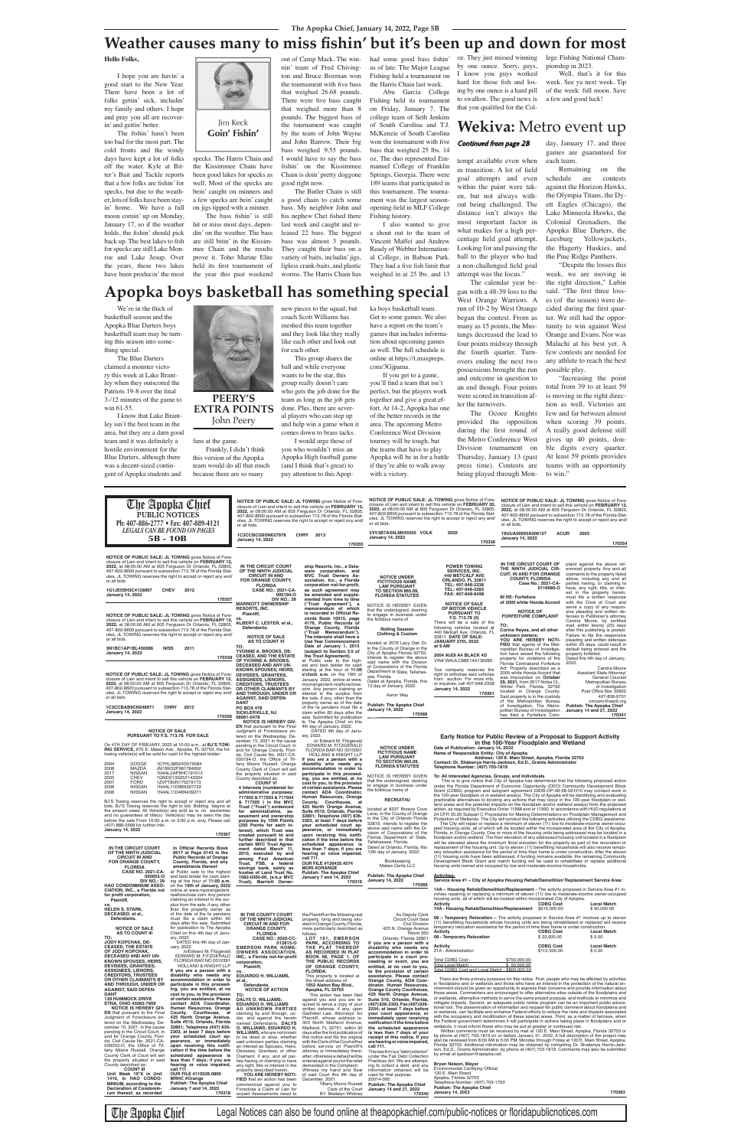### **The Apopka Chief, January 14, 2022, Page 5B**

tempt available even when in transition. A lot of field goal attempts and even within the paint were taken, but not always without being challenged. The distance isn't always the most important factor in what makes for a high percentage field goal attempt. Looking for and passing the ball to the player who had a non-challenged field goal

attempt was the focus."

The calendar year began with a 48-39 loss to the West Orange Warriors. A

run of 10-2 by West Orange began the contest. From as many as 15 points, the Mustangs decreased the lead to four points midway through the fourth quarter. Turnovers ending the next two possessions brought the run and outcome in question to an end though. Four points

The Ocoee Knights

were scored in transition after the turnovers. provided the opposition during the first round of the Metro Conference West Division tournament on Thursday, January 13 (past press time). Contests are

NOTICE OF PUBLIC SALE: JL TOWING gives Notice of Fore-<br>closure of Lien and intent to sell this vehicle on FEBRUARY 20,<br>2022, at 08:00:00 AM at 605 Ferguson Dr Orlando, FL 32805,<br>407-802-8600 pursuant to subsection 713.78 o

NOTICE OF PUBLIC SALE: JL TOWING gives Notice of Fore-<br>closure of Lien and intent to sell this vehicle on FEBRUARY 12,<br>2022, at 08:00:00 AM at 605 Ferguson Dr Orlando, FL 32805,<br>407-802-8600 pursuant to subsection 713.78 o

being played through Mon-

day, January 17, and three games are guaranteed for

each team. Remaining on the schedule are contests against the Horizon Hawks, the Olympia Titans, the Dyett Eagles (Chicago), the

Lake Minneola Hawks, the Colonial Grenadiers, the Apopka Blue Darters, the Leesburg Yellowjackets, the Hagerty Huskies, and the Pine Ridge Panthers.

"Despite the losses this week, we are moving in the right direction," Lubin said. "The first three losses (of the season) were decided during the first quarter. We still had the opportunity to win against West Orange and Evans. Nor was Malachi at his best yet. A few contests are needed for any athlete to reach the best possible play.

"Increasing the point total from 39 to at least 59 is moving in the right direction as well. Victories are few and far between almost when scoring 39 points. A really good defense still gives up 40 points, double digits every quarter. At least 59 points provides teams with an opportunity to win."

**Hello Folks,**

I hope you are havin' a good start to the New Year. There have been a lot of folks gettin' sick, includin' my family and others. I hope and pray you all are recoverin' and gettin' better.

The fishin' hasn't been too bad for the most part. The cold fronts and the windy days have kept a lot of folks off the water. Kyle at Bitter's Bait and Tackle reports that a few folks are fishin' for specks, but due to the weather, lots of folks have been stayin' home. We have a full moon comin' up on Monday, January 17, so if the weather holds, the fishin' should pick back up. The best lakes to fish for specks are still Lake Monroe and Lake Jesup. Over the years, these two lakes



specks. The Harris Chain and the Kissimmee Chain have been good lakes for specks as well. Most of the specks are bein' caught on minners and a few specks are bein' caught on jigs tipped with a minner.

have been producin' the most the year this past weekend The bass fishin' is still hit or miss most days, dependin' on the weather. The bass are still bitin' in the Kissimmee Chain and the results prove it. Toho Marine Elite held its first tournament of

out of Camp Mack. The winnin' team of Fred Chivington and Bruce Bozman won the tournament with five bass that weighed 26.68 pounds. There were five bass caught that weighed more than 8 pounds. The biggest bass of the tournament was caught by the team of John Wayne and John Barrow. Their big bass weighed 9.55 pounds. I would have to say the bass fishin' on the Kissimmee Chain is doin' pretty doggone good right now.

The Butler Chain is still a good chain to catch some bass. My neighbor John and his nephew Chet fished there last week and caught and released 22 bass. The biggest bass was almost 3 pounds. They caught their bass on a variety of baits, includin' jigs, lipless crank-baits, and plastic worms. The Harris Chain has had some good bass fishin' as of late. The Major League Fishing held a tournament on the Harris Chain last week.

Abu Garcia College Fishing held its tournament on Friday, January 7. The college team of Seth Jenkins of South Carolina and T.J. McKenzie of South Carolina won the tournament with five bass that weighed 25 lbs. 14 oz. The duo represented Emmanuel College of Franklin Springs, Georgia. There were 189 teams that participated in this tournament. The tournament was the largest season-

opening field in MLF College Fishing history. I also wanted to give a shout out to the team of Vincent Maffei and Andrew Ready of Webber International College, in Babson Park. They had a five fish limit that weighed in at 25 lbs. and 13

We're in the thick of basketball season and the Apopka Blue Darters boys basketball team may be turning this season into something special.

The Blue Darters claimed a monster victory this week at Lake Brantley when they outscored the Patriots 19-8 over the final 3-/12 minutes of the game to win 61-55.

I know that Lake Brantley isn't the best team in the area, but they are a darn good team and it was definitely a hostile environment for the Blue Darters, although there was a decent-sized contingent of Apopka students and

Frankly, I didn't think this version of the Apopka

team would do all that much because there are so many

new pieces to the squad, but coach Scott Williams has meshed this team together and they look like they really like each other and look out for each other.

This group shares the ball and while everyone wants to be the star, this group really doesn't care who gets the job done for the team as long as the job gets done. Plus, there are several players who can step up and help win a game when it comes down to brass tacks. I would urge those of

you who wouldn't miss an Apopka High football game (and I think that's great) to pay attention to this Apop-

ka boys basketball team. Get to some games. We also have a report on the team's games that includes information about upcoming games as well. The full schedule is online at https://t.maxpreps. com/3Gjpama.

fans at the game. John Peery

If you get to a game, you'll find a team that isn't perfect, but the players work together and give a great effort. At 14-2, Apopka has one of the better records in the area. The upcoming Metro Conference West Division tourney will be tough, but the teams that have to play Apopka will be in for a battle if they're able to walk away

with a victory.

## **Wekiva:** Metro event up

### Continued from page 2B

oz. They just missed winning by one ounce. Sorry, guys, I know you guys worked hard for those fish and losing by one ounce is a hard pill

to swallow. The good news is that you qualified for the College Fishing National Cham-

pionship in 2023.

Well, that's it for this week. See ya next week. Tip of the week: full moon. Save a few and good luck!

# **Weather causes many to miss fishin' but it's been up and down for most**

**PEERY'S** 

**EXTRA POINTS**

# **Apopka boys basketball has something special**

**NOTICE OF PUBLIC SALE: JL TOWING** gives Notice of Fore-<br>closure of Lien and intent to sell this vehicle on **FEBRUARY 12,**<br>2022, at 08:00:00 AM at 605 Ferguson Dr Orlando, FL 32805,<br>407-802-8600 pursuant to subsection 713. utes. JL TOWING reserves the right to accept or reject any and/

| 3N1BC1AP1BL450086                                                                                                                  | <b>NISS</b> | 2011                                   |                                                                   | TO:<br>YVONNE A. BROOKS, DE-                                           | Date of January 1, 2015<br>(subject to Section 3.5 of                | iocaled al zu76 Lacy Oak Dr,<br>in the County of Orange in the        | at 9 AM                                                                                  | <b>FIED</b> that agents of the Met-<br>ropolitan Bureau of Investiga- | within 20 days, could result in<br>default being entered and the                                                                                                                                         |
|------------------------------------------------------------------------------------------------------------------------------------|-------------|----------------------------------------|-------------------------------------------------------------------|------------------------------------------------------------------------|----------------------------------------------------------------------|-----------------------------------------------------------------------|------------------------------------------------------------------------------------------|-----------------------------------------------------------------------|----------------------------------------------------------------------------------------------------------------------------------------------------------------------------------------------------------|
| <b>January 14, 2022</b>                                                                                                            |             |                                        | 170358                                                            | <b>CEASED, AND THE ESTATE</b><br>OF YVONNE A. BROOKS,                  | the Trust Agreement).<br>at Public sale to the high-                 | City of Apopka Florida 32703,<br>intends to register the above        | 2004 AUDI A4 BLACK 4D<br>VIN# WAULC68E14A136285                                          | tion have seized the following<br>property for violations of the      | property forfeited.<br>Dated this 4th day of January,                                                                                                                                                    |
|                                                                                                                                    |             |                                        |                                                                   | <b>DECEASED AND ANY UN-</b><br><b>KNOWN SPOUSES, HEIRS,</b>            | est and best bidder for cash<br>starting at the hour of 11:00        | said name with the Division<br>of Corporations of the Florida         | Tow company reserves the                                                                 | Florida Contraband Forfeiture<br>Act: Property described as a         | 2022.<br>Candra Moore                                                                                                                                                                                    |
| <b>NOTICE OF PUBLIC SALE: JL TOWING gives Notice of Fore-</b>                                                                      |             |                                        |                                                                   | <b>DEVISEES, GRANTEES,</b>                                             | o'clock a.m. on the 19th of                                          | Department of State, Tallahas-<br>see, Florida.                       | right to withdraw said vehicles                                                          | 2005 white Honda Accord that<br>was impounded on October              | Assistant State Attorney<br><b>General Counsel</b>                                                                                                                                                       |
| closure of Lien and intent to sell this vehicle on FEBRUARY 12,<br>2022, at 08:00:00 AM at 605 Ferguson Dr Orlando, FL 32805,      |             |                                        |                                                                   | <b>ASSIGNEES, LIENORS,</b><br><b>CREDITORS, TRUSTEES</b>               | January, 2022, online at www.<br>myorangeclerk.realforeclose.        | Dated at Apopka, Florida, this<br>12 day of January, 2022.            | from auction. For more info,<br>or inquiries, call 407-948-2338                          | 29, 2021, from 2617 Noles Ct.                                         | Metropolitan Bureau                                                                                                                                                                                      |
| 407-802-8600 pursuant to subsection 713.78 of the Florida Stat-<br>utes. JL TOWING reserves the right to accept or reject any and/ |             |                                        |                                                                   | OR OTHER CLAIMANTS BY<br>AND THROUGH, UNDER OR                         | com. Any person claiming an<br>interest in the surplus from          |                                                                       | <b>January 14, 2022</b><br>170361                                                        | Winter Park, Florida, 32792<br>located in Orange County.              | of Investigation<br>Post Office Box 32802                                                                                                                                                                |
| or all bids.                                                                                                                       |             |                                        |                                                                   | <b>AGAINST, SAID DEFEN-</b><br><b>DANT</b>                             | the sale, if any, other than the<br>property owner as of the date    | Aaron Way                                                             |                                                                                          | Said property is in the custody<br>of the Metropolitan Bureau         | 407-836-9701<br>cmoore@sao9.org                                                                                                                                                                          |
| 1C3CCBAB9CN248971                                                                                                                  | <b>CHRY</b> | 2012                                   |                                                                   | <b>PO BOX 478</b>                                                      | of the lis pendens must file a                                       | <b>Publish: The Apopka Chief</b><br><b>January 14, 2022</b>           |                                                                                          | of Investigation. The Metro-<br>politan Bureau of Investigation       | <b>Publish: The Apopka Chief</b><br>January 14 and 21, 2022                                                                                                                                              |
| <b>January 14, 2022</b>                                                                                                            |             |                                        | 170356                                                            | <b>SICKLERVILLE, NJ</b><br>08081-0478                                  | claim within 60 days after the<br>sale. Submitted for publication    | 170368                                                                |                                                                                          | has filed a Forfeiture Com-                                           | 170341                                                                                                                                                                                                   |
|                                                                                                                                    |             |                                        |                                                                   | <b>NOTICE IS HEREBY GIV-</b><br><b>EN</b> that pursuant to the Final   | to The Apopka Chief on this<br>4th day of January, 2022.             |                                                                       |                                                                                          |                                                                       |                                                                                                                                                                                                          |
| <b>NOTICE OF SALE</b><br>PURSUANT TO F.S. 713.78 FOR SALE                                                                          |             |                                        |                                                                   | Judgment of Foreclosure en-<br>tered on the Wednesday, De-             | DATED 4th day of Janu-<br>ary, 2022.                                 |                                                                       |                                                                                          |                                                                       | Early Notice for Public Review of a Proposal to Support Activity                                                                                                                                         |
| On 4TH DAY OF FEBUARY, 2022 at 10:00 a.m., at BJ'S TOW-                                                                            |             |                                        |                                                                   | cember 15, 2021 in the cause<br>pending in the Circuit Court, in       | /s/ Edward M. Fitzgerald<br>EDWARD M. FITZGERALD                     |                                                                       |                                                                                          | in the 100-Year Floodplain and Wetland                                |                                                                                                                                                                                                          |
| ING SERVICE, 670 E. Mason Ave., Apopka, FL 32703, the fol-<br>lowing vehicle(s) will be sold for cash to the highest bidder:       |             |                                        |                                                                   | and for Orange County, Flori-                                          | FLORIDA BAR NO 0010391                                               | <b>NOTICE UNDER</b><br><b>FICTITIOUS NAME</b>                         | Date of Publication: January 14, 2022<br>Name of Responsible Entity: City of Apopka      |                                                                       |                                                                                                                                                                                                          |
|                                                                                                                                    |             |                                        |                                                                   | da, Civil Cause No. 2021-CA-<br>000194-O, the Office of Tif-           | <b>HOLLAND &amp; KNIGHT LLP</b><br>If you are a person with a        | <b>LAW PURSUANT</b><br><b>TO SECTION 865.09,</b>                      | Contact: Dr. Shakenya Harris-Jackson, Ed.D., Grants Administrator                        | Address: 120 E. Main Street, Apopka, Florida 32703                    |                                                                                                                                                                                                          |
| 2004<br><b>DODGE</b><br>MAZDA<br>2008                                                                                              |             | 1D7HL38N24S579584<br>JM1BK32F981784092 |                                                                   | fany Moore Russell, Orange<br>County Clerk of Court will sell          | disability who needs any<br>accommodation in order to                | <b>FLORIDA STATUTES</b>                                               | Telephone Number: (407) 703-1819                                                         |                                                                       |                                                                                                                                                                                                          |
| <b>NISSAN</b><br>2017<br><b>CHEV</b><br>2005                                                                                       |             | 1N4AL3AP6HC191013<br>1GNDS13S252143324 |                                                                   | the property situated in said<br>County described as:                  | participate in this proceed-<br>ing, you are entitled, at no         | NOTICE IS HEREBY GIVEN                                                | To: All Interested Agencies, Groups, and Individuals                                     |                                                                       |                                                                                                                                                                                                          |
| <b>FORD</b><br>2007<br><b>NISSAN</b><br>2006                                                                                       |             | 1ZVFT80N175279173<br>1N4AL11D96N307722 |                                                                   | <b>COUNT VI</b><br>4 Interests (numbered for                           | cost to you, to the provision<br>of certain assistance. Please       | that the undersigned, desiring<br>to engage in business under         |                                                                                          |                                                                       | This is to give notice that City of Apopka has determined that the following proposed action<br>under the Florida Department of Economic Opportunity (DEO) Community Development Block                   |
| <b>NISSAN</b><br>2006                                                                                                              |             | 1N4AL11D46N439271                      |                                                                   | administrative purposes:<br>717502 & 717503 & 717504                   | contact ADA Coordinator,<br>Human Resources, Orange                  | the fictitious name of                                                |                                                                                          |                                                                       | Grant (CDBG) program and subgrant agreement 22DB-OP-06-58-02-H10 may conduct work in<br>the 100-year floodplain or in wetland area(s). The City of Apopka will be identifying and evaluating             |
| BJ'S Towing reserves the right to accept or reject any and all                                                                     |             |                                        |                                                                   | & 717505 ) in the MVC                                                  | County, Courthouse, at                                               | <b>RECRUIT4U</b>                                                      |                                                                                          |                                                                       | practicable alternatives to locating any actions that may occur in the 100-year floodplain or wet-<br>land areas and the potential impacts on the floodplain and/or wetland area(s) from the proposed    |
| bids. BJ'S Towing reserves the right to bid. Bidding begins at<br>the amount owed. All Vehicle(s) are sold as is, no warranties    |             |                                        |                                                                   | Trust ("Trust") evidenced<br>for administrative, as-                   | 425 North Orange Avenue,<br>Suite #510, Orlando, Florida             | located at 8237 Breeze Cove<br>Lane, in the County of Orange          |                                                                                          |                                                                       | action, as required by Executive Order 11988 and or 11990, in accordance with HUD regulations at<br>24 CFR 55.20 Subpart C Procedures for Making Determinations on Floodplain Management and             |
| and no guarantees of title(s). Vehicle(s) may be seen the day<br>before the sale From 10:00 a.m. to 3:00 p.m. only. Please call    |             |                                        |                                                                   | sessment and ownership<br>purposes by 1000 Points                      | 32801; Telephone (407) 836-<br>2303, at least 7 days before          | in the City of Orlando Florida                                        |                                                                                          |                                                                       | Protection of Wetlands. The City will conduct the following activities utilizing the CDBG assistance                                                                                                     |
| (407) 886-0568 for further info.<br>January 14, 2022                                                                               |             |                                        |                                                                   | (250 Points for each In-<br>terest), which Trust was                   | your scheduled court ap-<br>pearance, or immediately                 | 32819, intends to register the<br>above said name with the Di-        |                                                                                          |                                                                       | The City will repair or replace a minimum of eleven (11) low-to moderate-income owner-occu-<br>pied housing units, all of which will be located within the incorporated area of the City of Apopka       |
|                                                                                                                                    |             |                                        | 170367                                                            | created pursuant to and<br>further described in that                   | upon receiving this notifi-<br>cation if the time before the         | vision of Corporations of the<br>Florida Department of State,         |                                                                                          |                                                                       | Florida, in Orange County. One or more of the housing units being addressed may be located in a<br>floodplain and/or wetland. The floor elevation of any addressed housing unit located in a floodplair  |
| IN THE CIRCUIT COURT                                                                                                               |             |                                        | in Official Records Book                                          | certain MVC Trust Agree-<br>ment dated March 11,                       | scheduled appearance is<br>less than 7 days; if you are              | Tallahassee, Florida.<br>Dated at Orlando, Florida, this              |                                                                                          |                                                                       | will be elevated above the minimum flood elevation for the property as part of the renovation or<br>replacement of the housing unit. Up to eleven (11) benefitting households will also receive tempo-   |
| OF THE NINTH JUDICIAL<br><b>CIRCUIT IN AND</b>                                                                                     |             |                                        | 6017 at Page 0143 in the<br><b>Public Records of Orange</b>       | 2010, executed by and                                                  | hearing or voice impaired,                                           | 12th day of January, 2022.                                            |                                                                                          |                                                                       | rary relocation assistance for the period of time their home is under construction. After the eleven<br>(11) housing units have been addressed, if funding remains available, the remaining Community    |
| FOR ORANGE COUNTY,                                                                                                                 |             |                                        | County, Florida, and any                                          | among First American<br>Trust, FSB, a federal                          | call 711.<br>OUR FILE #126435.4574                                   | Bookkeeping<br>Makes Cents LLC                                        | housing units owned and occupied by low and moderate-income households.                  |                                                                       | Development Block Grant and match funding will be used to rehabilitate or replace additional                                                                                                             |
| <b>FLORIDA</b><br><b>CASE NO. 2021-CA-</b>                                                                                         |             | amendments thereof.                    | at Public sale to the highest                                     | savings bank, solely as<br>trustee of Land Trust No.                   | <b>MORI #ORANGE</b><br><b>Publish: The Apopka Chief</b>              | <b>Publish: The Apopka Chief</b>                                      | <b>Activities:</b>                                                                       |                                                                       |                                                                                                                                                                                                          |
| 000053-0<br><b>DIV NO.: 39</b>                                                                                                     |             |                                        | and best bidder for cash start-<br>ing at the hour of 11:00 a.m.  | 1082-0300-00, (a.k.a MVC<br>Trust), Marriott Owner-                    | January 7 and 14, 2022<br>170316                                     | <b>January 14, 2022</b>                                               |                                                                                          |                                                                       | Service Area #1 – City of Apopka Housing Rehab/Demolition/ Replacement Service Area:                                                                                                                     |
| <b>HAO CONDOMINIUM ASSO-</b><br>CIATION, INC., a Florida not                                                                       |             |                                        | on the 19th of January, 2022<br>online at www.myorangeclerk.      |                                                                        |                                                                      | 170369                                                                |                                                                                          |                                                                       | 14A – Housing Rehab/Demolition/Replacement - The activity proposed in Service Area #1 in-                                                                                                                |
| for profit corporation,<br>Plaintiff,                                                                                              |             |                                        | realforeclose.com. Any person<br>claiming an interest in the sur- |                                                                        |                                                                      |                                                                       | housing units, all of which will be located within Incorporated City of Apopka.          |                                                                       | volves repairing or replacing a minimum of eleven (11) low to moderate-income owner-occupied                                                                                                             |
| HELEN S. STARK,                                                                                                                    |             |                                        | plus from the sale, if any, other<br>than the property owner as   |                                                                        |                                                                      |                                                                       | Activity<br>14A - Housing Rehab/Demolition/Replacement \$615,500.00                      | CDBG Cost                                                             | <b>Local Match</b><br>\$50,000.00                                                                                                                                                                        |
| DECEASED, et al.,<br>Defendants.                                                                                                   |             |                                        | of the date of the lis pendens<br>must file a claim within 60     | IN THE COUNTY COURT                                                    | the Plaintiff on the following real                                  | As Deputy Clerk                                                       |                                                                                          |                                                                       | 08 - Temporary Relocation - The activity proposed in Service Area #1 involves up to eleven                                                                                                               |
| <b>NOTICE OF SALE</b>                                                                                                              |             |                                        | days after the sale. Submitted                                    | OF THE NINTH JUDICIAL<br><b>CIRCUIT IN AND FOR</b>                     | property, lying and being situ-<br>ated in Orange County, Florida,   | Circuit Court Seal<br>Civil Division                                  | temporary relocation assistance for the period of time their home is under construction. |                                                                       | (11) benefitting households whose housing units are being rehabilitated or replaced will receive                                                                                                         |
| <b>AS TO COUNT III</b>                                                                                                             |             |                                        | for publication to The Apopka<br>Chief on this 4th day of Janu-   | <b>ORANGE COUNTY,</b><br><b>FLORIDA</b>                                | more particularly described as<br>follows:                           | 425 N. Orange Avenue<br>Room 350                                      | <b>Activity</b><br>08 - Temporary Relocation                                             | <b>CDBG Cost</b>                                                      | Local Match                                                                                                                                                                                              |
| TO:<br>JODY KOPCHAK, DE-                                                                                                           | ary, 2022.  |                                        | DATED this 4th day of Jan-                                        | <b>CASE NO.: 2020-CC-</b><br>012815-0                                  | LOT 191, EMERSON<br>PARK, ACCORDING TO                               | Orlando, Florida 32801<br>If you are a person with a                  |                                                                                          | \$22,000.00                                                           | \$0.00                                                                                                                                                                                                   |
| <b>CEASED, THE ESTATE</b><br>OF JODY KOPCHAK,                                                                                      |             | uary, 2022.                            | /s/Edward M. Fitzgerald                                           | <b>EMERSON PARK HOME-</b><br><b>OWNERS ASSOCIATION.</b>                | THE PLAT THEREOF<br>AS RECORDED IN PLAT                              | disability who needs any<br>accommodation in order to                 | Activity<br>21A - Administration                                                         | <b>CDBG Cost</b><br>\$112,500.00                                      | <b>Local Match</b><br>\$0.00                                                                                                                                                                             |
| <b>DECEASED AND ANY UN-</b><br><b>KNOWN SPOUSES, HEIRS,</b>                                                                        |             |                                        | EDWARD M. FITZGERALD<br>FLORIDA BAR NO 0010391                    | INC., a Florida not-for-profit<br>corporation,                         | <b>BOOK 68, PAGE 1, OF</b><br>THE PUBLIC RECORDS                     | participate in a court pro-<br>ceeding or event, you are              | Total CDBG Cost -                                                                        | \$750,000.00                                                          |                                                                                                                                                                                                          |
| <b>DEVISEES, GRANTEES,</b><br><b>ASSIGNEES, LIENORS,</b>                                                                           |             |                                        | <b>HOLLAND &amp; KNIGHT LLP</b><br>If you are a person with a     | Plaintiff,<br>VS.                                                      | OF ORANGE COUNTY,<br>FLORIDA.                                        | entitled, at no cost to you,<br>to the provision of certain           | Total Local Match -<br><u> Total CDBG Cost and Local Match - \$800,000.00</u>            | \$50,000.00                                                           |                                                                                                                                                                                                          |
| <b>CREDITORS, TRUSTEES</b><br>OR OTHER CLAIMANTS BY                                                                                |             |                                        | disability who needs any<br>accommodation in order to             | <b>EDUARDO H. WILLIAMS,</b>                                            | This property is located at<br>the street address of:                | assistance. Please contact<br>Orange County, ADA Coor-                |                                                                                          |                                                                       | There are three primary purposes for this notice. First, people who may be affected by activities                                                                                                        |
| AND THROUGH, UNDER OR                                                                                                              |             |                                        | participate in this proceed-                                      | et al.,<br>Defendants.                                                 | 1052 Alston Bay Blvd.,                                               | dinator. Human Resources.                                             |                                                                                          |                                                                       | in floodplains and or wetlands and those who have an interest in the protection of the natural en-<br>vironment should be given an opportunity to express their concerns and provide information about   |
| <b>AGAINST, SAID DEFEN-</b><br>DANT                                                                                                |             |                                        | ing, you are entitled, at no<br>cost to you, to the provision     | <b>NOTICE OF ACTION</b><br>TO:                                         | Apopka, FL 32703<br>This action has been filed                       | Orange County Courthouse,<br>425 North Orange Avenue,                 |                                                                                          |                                                                       | these areas. Commenters are encouraged to offer alternative sites outside of the floodplains and                                                                                                         |
| <b>129 HUMMOCK DRIVE</b><br>ETNA, OHIO 43062-7909                                                                                  |             |                                        | of certain assistance. Please<br>contact ADA Coordinator,         | <b>DALYS O. WILLIAMS;</b><br><b>EDUARDO H. WILLIAMS</b>                | against you and you are re-<br>quired to serve a copy of your        | Suite 510, Orlando, Florida,<br>(407) 836-2303, Fax (407) 836-        |                                                                                          |                                                                       | or wetlands, alternative methods to serve the same project purpose, and methods to minimize and<br>mitigate impacts. Second, an adequate public notice program can be an important public educa          |
| <b>NOTICE IS HEREBY GIV-</b><br><b>EN</b> that pursuant to the Final                                                               |             |                                        | Human Resources, Orange<br>County, Courthouse, at                 | AII UNKNOWN PARTIES<br>claiming by and through, un-                    | written defense, if any, upon<br>Garfinkel Law, Attorneys' for       | 2204; at least 7 days before<br>your court appearance, or             |                                                                                          |                                                                       | tional tool. The dissemination of information and request for public comment about floodplains and<br>or wetlands, can facilitate and enhance Federal efforts to reduce the risks and impacts associated |
| Judament of Foreclosure en-<br>tered on the Wednesday, De-                                                                         |             |                                        | 425 North Orange Avenue,<br>Suite #510, Orlando, Florida          | der, and against the herein<br>named Defendants, DALYS                 | Plaintiff, whose address is:<br>300 North Maitland Avenue,           | immediately upon receiving<br>notification if the time before         |                                                                                          |                                                                       | with the occupancy and modification of these special areas. Third, as a matter of fairness, when<br>the Federal government determines it will participate in actions taking place in floodplains and or  |
| cember 15, 2021, in the cause<br>pending in the Circuit Court, in                                                                  |             |                                        | 32801; Telephone (407) 836-<br>2303, at least 7 days before       | O. WILLIAMS; EDUARDO H.<br>WILLIAMS, who are not known                 | Maitland, FL 32751, within 30<br>days after the first publication of | the scheduled appearance<br>is less than 7 days of your               | wetlands, it must inform those who may be put at greater or continued risk.              |                                                                       | Written comments must be received by mail at 120 E. Main Street, Apopka, Florida 32703 or                                                                                                                |
| and for Orange County, Flori-<br>da, Civil Cause No. 2021-CA-                                                                      |             |                                        | your scheduled court ap-<br>pearance, or immediately              | to be dead or alive, whether                                           | this notice and file the original                                    | receipt of this notice. If you                                        |                                                                                          |                                                                       | by phone at (407) 703-1819 on or before January 31, 2022. A full description of the project may<br>also be reviewed from 8:00 AM to 5:00 PM, Monday through Friday at 120 E. Main Street, Apopka         |
| 000053-O, the Office of Tif-                                                                                                       |             |                                        | upon receiving this notifi-                                       | said unknown parties claiming<br>an interest as Spouses, Heirs,        | with the Clerk of the Court either<br>before service on Plaintiff's  | are hearing or voice impaired,<br>call 711.                           |                                                                                          |                                                                       | Florida 32703. Additional information may be obtained by contacting Dr. Shakenya Harris-Jack-<br>son, Ed.D., Grants Administrator, by phone at (407) 703-1819. Comments may also be submitted            |
| fany Moore Russell, Orange<br>County Clerk of Court will sell                                                                      |             |                                        | cation if the time before the<br>scheduled appearance is          | Devisees, Grantees, or other<br>Claimant, if any; and all par-         | attorney or immediately there-<br>after; otherwise a default will be | This law firm is a "debt collector"<br>under the Fair Debt Collection | by email at sjackson@apopka.net.                                                         |                                                                       |                                                                                                                                                                                                          |
| the property situated in said<br>County described as:                                                                              |             |                                        | less than 7 days; if you are<br>hearing or voice impaired,        | ties having or claiming to have<br>any right, title or interest in the | entered against you for the relief<br>demanded in the Complaint.     | Practices Act. We are attempt-<br>ing to collect a debt, and any      | Bryan Nelson, Mayor                                                                      |                                                                       |                                                                                                                                                                                                          |
| <b>COUNT III</b><br>Unit Week 19 <sup>*</sup> X in Unit                                                                            | call 711.   | OUR FILE #110528.0800                  |                                                                   | property described herein.<br>YOU ARE HEREBY NOTI-                     | Witness my hand and Seal<br>of said Court this 9th day of            | information obtained will be<br>used for that purpose.                | <b>Environmental Certifying Official</b><br>120 E. Main Street                           |                                                                       |                                                                                                                                                                                                          |
| 1410, in HAO CONDO-<br>MINIUM, according to the                                                                                    |             | <b>MRHC #Orange</b>                    | <b>Publish: The Apopka Chief</b>                                  | <b>FIED</b> that an action has been<br>commenced against you to        | December, 2021.<br><b>Tiffany Moore Russell</b>                      | 20014-095<br><b>Publish: The Apopka Chief</b>                         | Apopka, Florida 32703<br>Telephone Number: (407) 703-1700                                |                                                                       |                                                                                                                                                                                                          |
| <b>Declaration of Condomin-</b><br>ium thereof, as recorded                                                                        |             | January 7 and 14, 2022                 | 170318                                                            | Foreclose a Claim of Lien for                                          | Clerk of the Court<br>BY: Madalyn Whitney                            | January 14 and 21, 2022                                               | <b>Publish: The Apopka Chief</b><br><b>January 14, 2022</b>                              |                                                                       | 170363                                                                                                                                                                                                   |
|                                                                                                                                    |             |                                        |                                                                   | unpaid Assessments owed to                                             |                                                                      | 170340                                                                |                                                                                          |                                                                       |                                                                                                                                                                                                          |

The Apopka Chief Legal Notices can also be found online at theapopkachief.com/public-notices or floridapublicnotices.com

| Ph: 407-886-2777 • Fax: 407-889-4121                                                                                                                                                                                                                                                                                                                                                      | utes. JL TOWING reserves the right to accept or reject any and/<br>or all bids.                                                                                                      |                                                                                                                                                                                                                                                                       | at the research is the right to accept of refect any and<br>or all bids.                                                                                                                                                                      |                                                                                                                                                                                                                                                    | utes. JL TOWING reserves the right to accept or reject any and/<br>or all bids.                                                                                                                             |                                                                                                                                                                                                                                                                                                                                           |
|-------------------------------------------------------------------------------------------------------------------------------------------------------------------------------------------------------------------------------------------------------------------------------------------------------------------------------------------------------------------------------------------|--------------------------------------------------------------------------------------------------------------------------------------------------------------------------------------|-----------------------------------------------------------------------------------------------------------------------------------------------------------------------------------------------------------------------------------------------------------------------|-----------------------------------------------------------------------------------------------------------------------------------------------------------------------------------------------------------------------------------------------|----------------------------------------------------------------------------------------------------------------------------------------------------------------------------------------------------------------------------------------------------|-------------------------------------------------------------------------------------------------------------------------------------------------------------------------------------------------------------|-------------------------------------------------------------------------------------------------------------------------------------------------------------------------------------------------------------------------------------------------------------------------------------------------------------------------------------------|
| <b>LEGALS CAN BE FOUND ON PAGES</b><br>5B - 10B                                                                                                                                                                                                                                                                                                                                           | <b>CHRY</b><br>1C3CCBCG9DN627978<br><b>January 14, 2022</b>                                                                                                                          | 2013<br>170355                                                                                                                                                                                                                                                        | 3VV3B7AX6LM045555 VOLK<br><b>January 14, 2022</b>                                                                                                                                                                                             | 2020<br>170336                                                                                                                                                                                                                                     | 19UUA56693A006127<br><b>January 14, 2022</b>                                                                                                                                                                | 2003<br><b>ACUR</b><br>170354                                                                                                                                                                                                                                                                                                             |
| <b>NOTICE OF PUBLIC SALE: JL TOWING gives Notice of Fore-</b>                                                                                                                                                                                                                                                                                                                             |                                                                                                                                                                                      |                                                                                                                                                                                                                                                                       |                                                                                                                                                                                                                                               |                                                                                                                                                                                                                                                    |                                                                                                                                                                                                             |                                                                                                                                                                                                                                                                                                                                           |
| closure of Lien and intent to sell this vehicle on <b>FEBRUARY 12.</b><br>2022, at 08:00:00 AM at 605 Ferguson Dr Orlando, FL 32805,<br>407-802-8600 pursuant to subsection 713.78 of the Florida Stat-<br>utes. JL TOWING reserves the right to accept or reject any and/<br>or all bids.<br>2012<br>1G1JE5SH3C4128907<br><b>CHEV</b><br><b>January 14, 2022</b><br>170357               | IN THE CIRCUIT COURT<br>OF THE NINTH JUDICIAL<br><b>CIRCUIT IN AND</b><br><b>FOR ORANGE COUNTY.</b><br><b>FLORIDA</b><br><b>CASE NO.: 2021-CA-</b><br>000194-0<br><b>DIV NO.: 39</b> | ship Resorts, Inc., a Dela-<br>ware corporation, and<br><b>MVC Trust Owners As-</b><br>sociation, Inc., a Florida<br>corporation not-for-profit,<br>as such agreement may<br>be amended and supple-<br>mented from time to time                                       | <b>NOTICE UNDER</b><br><b>FICTITIOUS NAME</b><br><b>LAW PURSUANT</b><br><b>TO SECTION 865.09.</b><br><b>FLORIDA STATUTES</b>                                                                                                                  | <b>POWER TOWING</b><br><b>SERVICES, INC.</b><br><b>440 METCALF AVE</b><br>ORLANDO, FL 32811<br>TEL: 407-948-2338<br>TEL: 407-948-2283<br>FAX: 407-948-9498                                                                                         | IN THE CIRCUIT COURT OF<br>THE NINTH JUDICIAL CIR-<br><b>CUIT, IN AND FOR ORANGE</b><br><b>COUNTY, FLORIDA</b><br>Case No.: 2021-CA-<br>0116680-O<br><b>IN RE: Forfeiture</b><br>of 2005 white Honda Accord | plaint against the above ref-<br>erenced property. Any and all<br>claimants to the property listed<br>above, including any and all<br>parties having, or claiming to<br>have, any right, title, or inter-<br>est in the property herein,<br>must file a written response<br>with the Clerk of Court and                                   |
| NOTICE OF PUBLIC SALE: JL TOWING gives Notice of Fore-<br>closure of Lien and intent to sell this vehicle on FEBRUARY 12,<br>2022, at 08:00:00 AM at 605 Ferguson Dr Orlando, FL 32805,<br>407-802-8600 pursuant to subsection 713.78 of the Florida Stat-<br>utes. JL TOWING reserves the right to accept or reject any and/<br>or all bids.<br>3N1BC1AP1BL450086<br>2011<br><b>NISS</b> | <b>MARRIOTT OWNERSHIP</b><br><b>RESORTS, INC.</b><br>Plaintiff.<br>ALBERT C. LESTER, et al.,<br>Defendants.<br><b>NOTICE OF SALE</b><br>AS TO COUNT VI<br>TO:                        | ("Trust Agreement"), a<br>memorandum of which<br>is recorded in Official Re-<br>cords Book 10015, page<br>4176, Public Records of<br>Orange County, Florida<br>"Trust Memorandum").<br>The Interests shall have a<br>Use Year Commencement<br>Date of January 1, 2015 | NOTICE IS HEREBY GIVEN<br>that the undersigned, desiring<br>to engage in business under<br>the fictitious name of<br><b>Rolling Session</b><br><b>Clothing &amp; Custom</b><br>located at 2076 Lacy Oak Dr,<br>in the County of Orange in the | <b>NOTICE OF SALE</b><br>OF MOTOR VEHICLE<br><b>PURSUANT TO</b><br>F.S. 713.78 (5)<br>There will be a sale of the<br>following vehicles located at<br>440 Metcalf Ave, Orlando, FL<br>32811. DATE OF SALE:<br><b>JANUARY 27th, 2022</b><br>at 9 AM | <b>NOTICE OF</b><br><b>FORFEITURE COMPLAINT</b><br>TO:<br>Corina Reyes, and all other<br>unknown owners:<br>YOU ARE HEREBY NOTI-<br><b>FIED</b> that agents of the Met-<br>ropolitan Bureau of Investiga-   | serve a copy of any respon-<br>sive pleading and written de-<br>fenses to Petitioner's attorney<br>Candra Moore, by certified<br>mail, within twenty (20) days<br>after this publishing is posted.<br>Failure to file the responsive<br>pleading and written defenses<br>within 20 days, could result in<br>default being entered and the |
| January 14, 2022                                                                                                                                                                                                                                                                                                                                                                          | YVONNE A. BROOKS, DE-                                                                                                                                                                | (subject to Section 3.5 of                                                                                                                                                                                                                                            | City of Apopka Florida 32703.                                                                                                                                                                                                                 | the contract of the contract of the contract of the contract of the contract of                                                                                                                                                                    | tion hous soized the following                                                                                                                                                                              | proporty forfaited                                                                                                                                                                                                                                                                                                                        |

**PUBLIC NOTICES** The Apopka Chief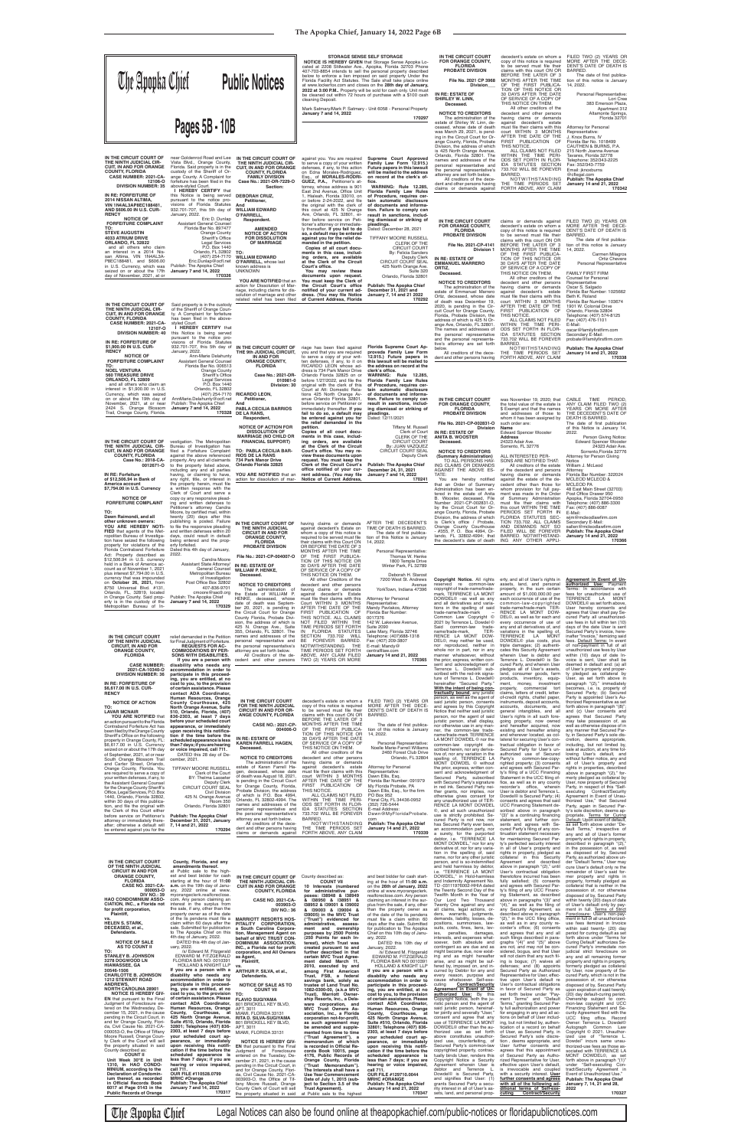| <b>The Apopka Chief</b>                                                                                                                                                                                                                                                                                                                                                                                                                                                                                                   |                                                                                                                                                                                                                                                                                                                                                                                                                                                                                                                                                                                | <b>Public Notices</b>                                                                                                                                                                                                                                                                                                                                                                                                                                                    | STORAGE SENSE SELF STORAGE<br>NOTICE IS HEREBY GIVEN that Storage Sense Apopka Lo-<br>cated at 2208 Stillwater Ave., Apopka, Florida 32703 Phone<br>407-703-8854 intends to sell the personal property described<br>below to enforce a lien imposed on said property Under the<br>Florida Facility Act Statutes. The Sale shall take place online<br>at www.lockerfox.com and closes on the 28th day of January,<br>2022 at 3:00 P.M Property will be sold for cash only. Unit must<br>be cleaned out within 72 hours of purchase with a \$100 cash<br>cleaning Deposit.<br>Mark Satmary/Mark P. Satmary - Unit 6058 - Personal Property |                                                                                                                                                                                                                                                                                                                                                                                                                                                                                         | IN THE CIRCUIT COURT<br>FOR ORANGE COUNTY,<br><b>FLORIDA</b><br>PROBATE DIVISION<br>File No. 2021 CP 3968<br>Division<br>IN RE: ESTATE OF<br><b>SHIRLEY W. LINN,</b><br>Deceased.                                                                                                                                                                                                                                                                                                                                                                                                    | decedent's estate on whom a<br>copy of this notice is required<br>to be served must file their<br>claims with this court ON OR<br>BEFORE THE LATER OF 3<br>MONTHS AFTER THE TIME<br>OF THE FIRST PUBLICA-<br>TION OF THIS NOTICE OR<br>30 DAYS AFTER THE DATE<br>OF SERVICE OF A COPY OF<br>THIS NOTICE ON THEM.<br>All other creditors of the                                                                                                                                                                                                                                                                 | FILED TWO (2) YEARS OR<br>MORE AFTER THE DECE-<br>DENT'S DATE OF DEATH IS<br>BARRED.<br>The date of first publica-<br>tion of this notice is January<br>14, 2022.<br>Personal Representative:<br>Lori Cree<br>383 Emerson Plaza,<br>Apartment 312                                                                                                                                                                                                                                                                                                                                                                       |
|---------------------------------------------------------------------------------------------------------------------------------------------------------------------------------------------------------------------------------------------------------------------------------------------------------------------------------------------------------------------------------------------------------------------------------------------------------------------------------------------------------------------------|--------------------------------------------------------------------------------------------------------------------------------------------------------------------------------------------------------------------------------------------------------------------------------------------------------------------------------------------------------------------------------------------------------------------------------------------------------------------------------------------------------------------------------------------------------------------------------|--------------------------------------------------------------------------------------------------------------------------------------------------------------------------------------------------------------------------------------------------------------------------------------------------------------------------------------------------------------------------------------------------------------------------------------------------------------------------|------------------------------------------------------------------------------------------------------------------------------------------------------------------------------------------------------------------------------------------------------------------------------------------------------------------------------------------------------------------------------------------------------------------------------------------------------------------------------------------------------------------------------------------------------------------------------------------------------------------------------------------|-----------------------------------------------------------------------------------------------------------------------------------------------------------------------------------------------------------------------------------------------------------------------------------------------------------------------------------------------------------------------------------------------------------------------------------------------------------------------------------------|--------------------------------------------------------------------------------------------------------------------------------------------------------------------------------------------------------------------------------------------------------------------------------------------------------------------------------------------------------------------------------------------------------------------------------------------------------------------------------------------------------------------------------------------------------------------------------------|----------------------------------------------------------------------------------------------------------------------------------------------------------------------------------------------------------------------------------------------------------------------------------------------------------------------------------------------------------------------------------------------------------------------------------------------------------------------------------------------------------------------------------------------------------------------------------------------------------------|-------------------------------------------------------------------------------------------------------------------------------------------------------------------------------------------------------------------------------------------------------------------------------------------------------------------------------------------------------------------------------------------------------------------------------------------------------------------------------------------------------------------------------------------------------------------------------------------------------------------------|
|                                                                                                                                                                                                                                                                                                                                                                                                                                                                                                                           | Pages 5B - 10B                                                                                                                                                                                                                                                                                                                                                                                                                                                                                                                                                                 |                                                                                                                                                                                                                                                                                                                                                                                                                                                                          | January 7 and 14, 2022                                                                                                                                                                                                                                                                                                                                                                                                                                                                                                                                                                                                                   | 170297                                                                                                                                                                                                                                                                                                                                                                                                                                                                                  | <b>NOTICE TO CREDITORS</b><br>The administration of the<br>estate of Shirley W. Linn, de-<br>ceased, whose date of death<br>was March 29, 2021, is pend-<br>ing in the Circuit Court for Or-<br>ange County, Florida, Probate<br>Division, the address of which<br>is 425 North Orange Avenue,<br>Orlando, Florida 32801. The                                                                                                                                                                                                                                                        | decedent and other persons<br>having claims or demands<br>against decedent's estate<br>must file their claims with this<br>court WITHIN 3 MONTHS<br>AFTER THE DATE OF THE<br>FIRST PUBLICATION OF<br>THIS NOTICE.<br>ALL CLAIMS NOT FILED<br>WITHIN THE TIME PERI-                                                                                                                                                                                                                                                                                                                                             | Altamonte Springs,<br>Florida 32701<br><b>Attorney for Personal</b><br>Representative:<br>J. Knox Burns, IV<br>Florida Bar No. 1018499<br>CAUTHEN & BURNS, P.A.<br>215 North Joanna Avenue<br>Tavares, Florida 32778                                                                                                                                                                                                                                                                                                                                                                                                    |
| IN THE CIRCUIT COURT OF<br>THE NINTH JUDICIAL CIR-<br><b>CUIT, IN AND FOR ORANGE</b><br><b>COUNTY, FLORIDA</b><br>CASE NUMBER: 2021-CA-<br>12106-0<br><b>DIVISION NUMBER: 35</b><br>IN RE: FORFEITURE OF<br>2014 NISSAN ALTIMA,<br>VIN 1N4AL3AP8EC188481.                                                                                                                                                                                                                                                                 | near Goldenrod Road and Lee<br>Vista Blvd., Orange County,<br>Florida. Said property is in the<br>custody of the Sheriff of Or-<br>ange County. A Complaint for<br>forfeiture has been filed in the<br>above-styled Court.<br>I HEREBY CERTIFY that<br>this Notice is being served<br>pursuant to the notice pro-<br>visions of Florida Statutes                                                                                                                                                                                                                               | IN THE CIRCUIT COURT OF<br>THE NINTH JUDICIAL CIR-<br><b>CUIT, IN AND FOR ORANGE</b><br><b>COUNTY, FLORIDA</b><br><b>FAMILY DIVISION</b><br>Case No.: 2021-DR-7229-O<br>Section:<br><b>DEBORAH CRUZ,</b><br>Petitioner,<br>And                                                                                                                                                                                                                                           | against you. You are required<br>to serve a copy of your written<br>defenses, if any, to this action<br>on Edna Morales-Rodriguez,<br>Esq., of MORALES-RODRI-<br>GUEZ, P.A., Petitioner's at-<br>torney, whose address is 901<br>East 2nd Avenue, Office Unit<br>1, Hialeah, Florida 33010, on<br>or before 2-24-2022, and file<br>the original with the clerk of                                                                                                                                                                                                                                                                        | Supreme Court Approved<br>Family Law Form 12.915.)<br>Future papers in this lawsuit<br>will be mailed to the address<br>on record at the clerk's of-<br>fice.<br>WARNING: Rule 12.285.<br>Florida Family Law Rules<br>of Procedure, requires cer-<br>tain automatic disclosure<br>of documents and informa-                                                                                                                                                                             | names and addresses of the<br>personal representative and<br>the personal representative's<br>attorney are set forth below.<br>All creditors of the dece-<br>dent and other persons having<br>claims or demands against                                                                                                                                                                                                                                                                                                                                                              | ODS SET FORTH IN FLOR-<br>IDA STATUTES SECTION<br>733.702 WILL BE FOREVER<br>BARRED.<br>NOTWITHSTANDING<br>THE TIME PERIODS SET<br>FORTH ABOVE, ANY CLAIM                                                                                                                                                                                                                                                                                                                                                                                                                                                      | Telephone: 352/343-2225<br>Fax: 352/343-7759<br>Email: jknoxburns<br>@cflegal.com<br><b>Publish: The Apopka Chief</b><br>January 14 and 21, 2022<br>170342                                                                                                                                                                                                                                                                                                                                                                                                                                                              |
| AND \$606.00 IN U.S. CUR-<br><b>RENCY</b><br><b>NOTICE OF</b><br><b>FORFEITURE COMPLAINT</b><br>TO:<br><b>STEVE AUGUSTIN</b><br><b>4033 ATRIUM DRIVE</b><br>ORLANDO, FL 32822<br>and all others who claim<br>an interest in a 2014 Nis-<br>san Altima. VIN 1N4AL3A-<br>P8EC188481, and \$606.00<br>in U.S. Currency, which was<br>seized on or about the 17th<br>day of November, 2021, at or                                                                                                                             | 932.701-707, this 5th day of<br>January, 2022.<br>Eric D. Dunlap<br><b>Assistant General Counsel</b><br>Florida Bar No. 897477<br>Orange County<br>Sheriff's Office<br><b>Legal Services</b><br>P.O. Box 1440<br>Orlando, FL 32802<br>(407) 254-7170<br>Eric.Dunlap@ocfl.net<br>Publish: The Apopka Chief<br>January 7 and 14, 2022<br>170326                                                                                                                                                                                                                                  | <b>WILLIAM EDWARD</b><br>O'FARRELL,<br>Respondent.<br><b>AMENDED</b><br><b>NOTICE OF ACTION</b><br><b>FOR DISSOLUTION</b><br><b>OF MARRIAGE</b><br>TO:<br><b>WILLIAM EDWARD</b><br>O'FARRELL, whose last<br>known address is<br><b>UNKNOWN</b><br>YOU ARE NOTIFIED that an                                                                                                                                                                                               | this court at 425 N Orange<br>Ave, Orlando, FL 32801, ei-<br>ther before service on Peti-<br>tioner's attorney or immediate-<br>ly thereafter. If you fail to do<br>so, a default may be entered<br>against you for the relief de-<br>manded in the petition.<br>Copies of all court docu-<br>ments in this case, includ-<br>ing orders, are available<br>at the Clerk of the Circuit<br>Court's office.<br>You may review these<br>documents upon request.<br>You must keep the Clerk of                                                                                                                                                | tion. Failure to comply can<br>result in sanctions, includ-<br>ing dismissal or striking of<br>pleadings.<br>Dated: December 28, 2021<br><b>TIFFANY MOORE RUSSELL</b><br><b>CLERK OF THE</b><br><b>CIRCUIT COURT</b><br><b>By: Felicia Sanders</b><br>Deputy Clerk<br>CIRCUIT COURT SEAL<br>425 North Orange Ave.<br>Suite 320<br>Orlando, Florida 32801                                                                                                                                | IN THE CIRCUIT COURT<br><b>FOR ORANGE COUNTY,</b><br><b>FLORIDA</b><br>PROBATE DIVISION<br>File No. 2021-CP-4141<br>Division 1<br>IN RE: ESTATE OF<br><b>EMMANUEL MARRERO</b><br>ORTIZ,<br>Deceased.                                                                                                                                                                                                                                                                                                                                                                                 | claims or demands against<br>decedent's estate on whom a<br>copy of this notice is required<br>to be served must file their<br>claims with this court ON OR<br>BEFORE THE LATER OF 3<br>MONTHS AFTER THE TIME<br>OF THE FIRST PUBLICA-<br>TION OF THIS NOTICE OR<br>30 DAYS AFTER THE DATE<br>OF SERVICE OF A COPY OF<br>THIS NOTICE ON THEM.<br>All other creditors of the                                                                                                                                                                                                                                    | FILED TWO (2) YEARS OR<br>MORE AFTER THE DECE-<br>DENT'S DATE OF DEATH IS<br>BARRED.<br>The date of first publica-<br>tion of this notice is January<br>14, 2022.<br><b>Carmen Milagros</b><br>Ortiz Chevere<br>Personal Representative<br><b>FAMILY FIRST FIRM</b><br><b>Counsel for Personal</b>                                                                                                                                                                                                                                                                                                                      |
| IN THE CIRCUIT COURT OF<br>THE NINTH JUDICIAL CIR-<br><b>CUIT. IN AND FOR ORANGE</b><br><b>COUNTY, FLORIDA</b><br>CASE NUMBER: 2021-CA-<br>12107-0<br><b>DIVISION NUMBER: 40</b><br>IN RE: FORFEITURE OF<br>\$1,900.00 IN U.S. CUR-<br><b>RENCY</b><br><b>NOTICE OF</b><br><b>FORFEITURE COMPLAINT</b><br>TO:                                                                                                                                                                                                             | Said property is in the custody<br>of the Sheriff of Orange Coun-<br>ty. A Complaint for forfeiture<br>has been filed in the above-<br>styled Court.<br>I HEREBY CERTIFY that<br>this Notice is being served<br>pursuant to the notice pro-<br>visions of Florida Statutes<br>932.701-707, this 5th day of<br>January, 2022.<br>Ann-Marie Delahunty<br>Assistant General Counsel<br>Florida Bar No. 006513                                                                                                                                                                     | action for Dissolution of Mar-<br>riage, including claims for dis-<br>solution of marriage and other<br>related relief has been filed<br>IN THE CIRCUIT COURT OF<br>THE 9th JUDICIAL CIRCUIT.<br>IN AND FOR<br><b>ORANGE COUNTY,</b><br><b>FLORIDA</b>                                                                                                                                                                                                                   | the Circuit Court's office<br>notified of your current ad-<br>dress. (You may file Notice<br>of Current Address, Florida<br>riage has been filed against<br>you and that you are required<br>to serve a copy of your writ-<br>ten defenses, if any, to it on<br>RICARDO LEON whose ad-                                                                                                                                                                                                                                                                                                                                                   | <b>Publish: The Apopka Chief</b><br>December 31, 2021 and<br>January 7, 14 and 21 2022<br>170292<br>Florida Supreme Court Ap-<br>proveda Family Law Form<br>12.915.) Future papers in<br>this lawsuit will be mailed to                                                                                                                                                                                                                                                                 | <b>NOTICE TO CREDITORS</b><br>The administration of the<br>estate of Emmanuel Marrero<br>Ortiz, deceased, whose date<br>of death was December 19,<br>2020, is pending in the Cir-<br>cuit Court for Orange County,<br>Florida, Probate Division, the<br>address of which is 425 N Or-<br>ange Ave, Orlando, FL 32801.<br>The names and addresses of<br>the personal representative<br>and the personal representa-<br>tive's attorney are set forth<br>below.<br>All creditors of the dece-<br>dent and other persons having                                                         | decedent and other persons<br>having claims or demands<br>against decedent's estate<br>must file their claims with this<br>court WITHIN 3 MONTHS<br>AFTER THE DATE OF THE<br>FIRST PUBLICATION OF<br>THIS NOTICE.<br>ALL CLAIMS NOT FILED<br>WITHIN THE TIME PERI-<br>ODS SET FORTH IN FLOR-<br>IDA STATUTES SECTION<br>733.702 WILL BE FOREVER<br>BARRED.<br>NOTWITHSTANDING<br>THE TIME PERIODS SET<br>FORTH ABOVE, ANY CLAIM                                                                                                                                                                                | Representative<br>Oscar S. Salgado<br>Florida Bar Number: 1025662<br>Beth K. Roland<br>Florida Bar Number: 103674<br>1901 W. Colonial Drive<br>Orlando, Florida 32804<br>Telephone: (407) 574-8125<br>Fax: (407) 476-1101<br>E-Mail:<br>oscar@familyfirstfirm.com<br>Secondary E-Mail:<br>probate@familyfirstfirm.com<br><b>Publish: The Apopka Chief</b><br>January 14 and 21, 2022<br>170338                                                                                                                                                                                                                          |
| <b>NOEL VENTURA</b><br><b>560 TREASURE DRIVE</b><br>ORLANDO, FL 32809<br>and all others who claim an<br>interest in \$1,900.00 in U.S.<br>Currency, which was seized<br>on or about the 19th day of<br>November, 2021, at or near<br>2424 S. Orange Blossom<br>Trail, Orange County, Florida<br>IN THE CIRCUIT COURT OF<br>THE NINTH JUDICIAL CIR-<br>CUIT. IN AND FOR ORANGE<br><b>COUNTY, FLORIDA</b>                                                                                                                   | Orange County<br>Sheriff's Office<br><b>Legal Services</b><br>P.O. Box 1440<br>Orlando, FL 32802<br>(407) 254-7170<br>AnnMarie.Delahunty@ocfl.net<br>Publish: The Apopka Chief<br>January 7 and 14, 2022<br>170328<br>vestigation. The Metropolitan<br>Bureau of Investigation has<br>filed a Forfeiture Complaint<br>against the above referenced                                                                                                                                                                                                                             | Case No.: 2021-DR-<br>010981-0<br>Division: 30<br><b>RICARDO LEON,</b><br>Petitioner,<br>And<br><b>PABLA CECILIA BARRIOS</b><br>DE LA RANS.<br>Respondent.<br><b>NOTICE OF ACTION FOR</b><br><b>DISSOLUTION OF</b><br><b>MARRIAGE (NO CHILD OR</b><br><b>FINANCIAL SUPPORT)</b><br>TO: PABLA CECILIA BAR-<br><b>RIOS DE LA RANS</b>                                                                                                                                      | dress is 734 Park Manor Drive<br>Orlando Florida 32825 on or<br>before 1/27/2022, and file the<br>original with the clerk of this<br>Court at Att: Domestic Rela-<br>tions 425 North Orange Av-<br>enue Orlando Florida 32801,<br>before service on Petitioner or<br>immediately thereafter. If you<br>fail to do so, a default may<br>be entered against you for<br>the relief demanded in the<br>petition.<br>Copies of all court docu-<br>ments in this case, includ-<br>ing orders, are available<br>at the Clerk of the Circuit<br>Court's office. You may re-<br>view these documents upon                                         | the address on record at the<br>clerk's office.<br>WARNING: Rule 12.285,<br>Florida Family Law Rules<br>of Procedure, requires cer-<br>tain automatic disclosure<br>of documents and informa-<br>tion. Failure to comply can<br>result in sanctions, includ-<br>ing dismissal or striking of<br>pleadings.<br>Dated: 12/11/2021<br>Tiffany M. Russell<br>Clerk of Court<br><b>CLERK OF THE</b><br><b>CIRCUIT COURT</b><br>By: JUAN VAZQUEZ<br>CIRCUIT COURT SEAL<br><b>Deputy Clerk</b> | IN THE CIRCUIT COURT<br><b>FOR ORANGE COUNTY,</b><br><b>FLORIDA</b><br>PROBATE DIVISION<br>File No. 2021-CP-002831-O<br>Division<br>IN RE: ESTATE OF<br><b>ANITA B. WOOSTER</b><br>Deceased.<br><b>NOTICE TO CREDITORS</b><br>(Summary Administration)                                                                                                                                                                                                                                                                                                                               | was November 19, 2020; that<br>the total value of the estate is<br>\$ Exempt and that the names<br>and addresses of those to<br>whom it has been assigned by<br>such order are:<br>Name<br><b>Edward Spencer Wooster</b><br><b>Address</b><br>24323 Adair Ave.<br>Sorrento, FL 32776<br>ALL INTERESTED PER-                                                                                                                                                                                                                                                                                                    | CABLE TIME<br><b>PERIOD</b><br>ANY CLAIM FILED TWO (2)<br>YEARS OR MORE AFTER<br>THE DECEDENT'S DATE OF<br>DEATH IS BARRED.<br>The date of first publication<br>of this Notice is January 14,<br>2022.<br>Person Giving Notice:<br><b>Edward Spencer Wooster</b><br>24323 Adair Ave.<br>Sorrento, Florida 32776<br>Attorney for Person Giving                                                                                                                                                                                                                                                                           |
| Case No.: 2018-CA-<br>0012671-0<br>IN RE: Forfeiture<br>of \$12,506.94 in Bank of<br>America account<br>\$7,794.00 in U.S. Currency<br><b>NOTICE OF</b><br><b>FORFEITURE COMPLAINT</b><br>TO:<br>Dawn Raimondi, and all<br>other unknown owners:<br>YOU ARE HEREBY NOTI-<br>FIED that agents of the Met-<br>ropolitan Bureau of Investiga-                                                                                                                                                                                | property. Any and all claimants<br>to the property listed above,<br>including any and all parties<br>having, or claiming to have,<br>any right, title, or interest in<br>the property herein, must file<br>a written response with the<br>Clerk of Court and serve a<br>copy oy any responsive plead-<br>ing and written defenses to<br>Petitioner's attorney Candra<br>Moore, by certified mail, within<br>twenty (20) days after this<br>publishing is posted. Failure<br>to file the responsive pleading<br>and written defenses within 20<br>days, could result in default | 734 Park Manor Drive<br>Orlando Florida 32825<br>YOU ARE NOTIFIED that an<br>action for dissolution of mar-<br>IN THE CIRCUIT COURT OF<br>THE NINTH JUDICIAL<br><b>CIRCUIT IN AND FOR</b><br><b>ORANGE COUNTY,</b>                                                                                                                                                                                                                                                       | request. You must keep the<br>Clerk of the Circuit Court's<br>office notified of your cur-<br>rent address. (You may file<br>Notice of Current Address,<br>having claims or demands AFTER THE DECEDENT'S<br>against decedent's Estate on<br>whom a copy of this notice is<br>required to be served must file                                                                                                                                                                                                                                                                                                                             | <b>Publish: The Apopka Chief</b><br>December 24, 31, 2021<br>January 7 and 14, 2022<br>170241<br>TIME OF DEATH IS BARRED.<br>The date of first publica-<br>tion of this Notice is January                                                                                                                                                                                                                                                                                               | TO ALL PERSONS HAV-<br>ING CLAIMS OR DEMANDS<br>AGAINST THE ABOVE ES-<br>TATE:<br>You are hereby notified<br>that an Order of Summary<br>Administration has been en-<br>tered in the estate of Anita<br>B. Wooster, deceased, File<br>Number 2021-CP-002831-O,<br>by the Circuit Court for Or-<br>ange County, Florida, Probate<br>Division, the address of which<br>is Clerk's office / Probate,<br>Orange County Courthouse<br>- #355, P. O. Box 4994, Or-<br>lando, FL 32802-4994; that                                                                                           | SONS ARE NOTIFIED THAT:<br>All creditors of the estate<br>of the decedent and persons<br>having claims or demands<br>against the estate of the de-<br>cedent other than those for<br>whom provision for full pay-<br>ment was made in the Order<br>of Summary Administration<br>must file their claims with<br>this court WITHIN THE TIME<br>PERIODS SET FORTH IN<br>FLORIDA STATUTES SEC-<br>TION 733.702. ALL CLAIMS<br>AND DEMANDS NOT SO<br>FILED WILL BE FOREVER<br>BARRED. NOTWITHSTAND-                                                                                                                 | Notice<br>William J. McLeod<br>Attorney<br>Florida Bar Number: 322024<br>MCLEOD MCLEOD &<br><b>MCLEOD PA</b><br>48 East Main Street (32703)<br>Post Office Drawer 950<br>Apopka, Florida 32704-0950<br>Telephone: (407) 886-3300<br>Fax: (407) 886-0087<br>E-Mail:<br>wim@mcleodlawfirm.com<br>Secondary E-Mail:<br>sallen@mcleodlawfirm.com<br><b>Publish: The Apopka Chief</b><br>January 14 and 21, 2022                                                                                                                                                                                                             |
| tion have seized the following<br>property for violations of the<br>Florida Contraband Forfeiture<br>Act: Property described as<br>\$12,506.94 in U.S. currency<br>held in a Bank of America ac-<br>count as of November 1, 2021<br>plus interest \$7,794.00 in U.S.<br>currency that was impounded<br>on October 26, 2021, from<br>8750 Universal Blvd. #131,<br>Orlando, FL, 32819, located<br>in Orange County. Said prop-<br>erty is in the custody of the<br>Metropolitan Bureau of In-                              | being entered and the prop-<br>erty forfeited.<br>Dated this 4th day of January,<br>2022.<br>Candra Moore<br>Assistant State Attorney/<br>General Counsel<br>Metropolitan Bureau<br>of Investigation<br>Post Office Box 32802<br>407-836-9701<br>cmoore@sao9.org<br>Publish: The Apopka Chief<br>January 7 and 14, 2022<br>170329                                                                                                                                                                                                                                              | <b>FLORIDA</b><br><b>PROBATE DIVISION</b><br>File No.: 2021-CP-004007-O<br>IN RE: ESTATE OF<br><b>WILLIAM P. HENKE,</b><br>Deceased.<br><b>NOTICE TO CREDITORS</b><br>The administration of<br>the Estate of WILLIAM P.<br>HENKE, deceased, whose<br>date of death was Septem-<br>ber 20, 2021, is pending in<br>the Circuit Court for Orange<br>County Florida, Probate Divi-<br>sion, the address of which is<br>425 N. Orange Ave., Suite                             | their claims with this Court ON 14, 2022.<br>OR BEFORE THE DATE OF 3<br>MONTHS AFTER THE TIME<br>OF THE FIRST PUBLICA-<br>TION OF THIS NOTICE OR<br>30 DAYS AFTER THE DATE<br>OF SERVICE OF A COPY OF<br>THIS NOTICE ON THEM.<br>All other Creditors of the<br>decedent and other persons<br>having claims or demands<br>against decedent's Estate<br>must file their claims with this<br>Court WITHIN 3 MONTHS<br>AFTER THE DATE OF THE<br>FIRST PUBLICATION OF<br>THIS NOTICE. ALL CLAIMS<br>NOT FILED WITHIN THE<br>TIME PERIODS SET FORTH                                                                                            | Personal Representative:<br>Thomas W. Henke<br>1800 Temple Drive<br>Winter Park, FL 32789<br>Deborah H. Starost<br>7200 West St. Andrews<br>Avenue<br>YorkTown, Indiana 47396<br>Attorney for Personal<br>Representative:<br>Mandy Pavlakos, Attorney<br>Florida Bar Number:<br>0017376<br>142 W. Lakeview Avenue.<br><b>Suite 2090</b>                                                                                                                                                 | the decedent's date of death<br><b>Copyright Notice.</b> All rights erty, and all of User's rights in<br>reserved re common-law<br>copyright of trade-name/trade-<br>mark, TERRENCE LA MONT<br>DOWDEL <sup>®</sup> -as well as any<br>and all derivatives and varia-<br>tions in the spelling of said<br>trade-name/trade-mark<br>Common Law Copyright ©<br>2021 by Terrence L. Dowdel ©<br>Said common-law trade-                                                                                                                                                                   | ING ANY OTHER APPLI-<br>assets, land, and personal<br>property, in the sum certain<br>amount of \$1,000,000.00 per<br>each occurrence of use of the<br>common-law-copyrighted<br>trade-name/trade-mark TER-<br>RENCE LA MONT DOW-<br>DEL©, as well as for each and<br>every occurrence of use of<br>any and all derivatives of, and                                                                                                                                                                                                                                                                            | 170366<br>Agreement in Event of Un-<br><b>authorized Use:</b> Payment<br>Terms: In accordance with<br>fees for unauthorized use of<br>TERRENCE LA MONT<br>DOWDEL <sup>®</sup> as set forth above,<br>User hereby consents and<br>agrees that User shall pay Se-<br>cured Party all unauthorized-<br>use fees in full within ten (10)<br>days of the date User is sent                                                                                                                                                                                                                                                   |
| IN THE CIRCUIT COURT<br>OF THE NINTH JUDICIAL<br><b>CIRCUIT, IN AND FOR</b><br><b>ORANGE COUNTY,</b><br><b>FLORIDA</b><br><b>CASE NUMBER:</b><br>2021-CA-10340-O<br><b>DIVISION NUMBER: 36</b><br>IN RE: FORFEITURE OF<br>\$6,617.00 IN U.S. CUR-<br><b>RENCY</b><br><b>NOTICE OF ACTION</b><br>TO:                                                                                                                                                                                                                       | relief demanded in the Petition<br>for Final Judgment of Forfeiture.<br><b>REQUESTS FOR AC-</b><br><b>COMMODATIONS BY PER-</b><br><b>SONS WITH DISABILITIES.</b><br>disability who needs any<br>accommodation in order to<br>participate in this proceed-<br>ing, you are entitled, at no<br>cost to you, to the provision<br>of certain assistance. Please<br>contact ADA Coordinator,<br>Human Resources, Orange<br>County Courthouse, 425<br>North Orange Avenue, Suite                                                                                                     | 355, Orlando, FL 32801. The<br>names and addresses of the<br>personal representative and<br>the personal representative's<br>attorney are set forth below.<br>All Creditors of the de-<br>If you are a person with cedent and other persons<br>FOR THE NINTH JUDICIAL                                                                                                                                                                                                    | IN FLORIDA STATUTES<br>SECTION 733.702 WILL<br>BE FOREVER BARRED.<br>NOTWITHSTANDING<br><b>THE</b><br>TIME PERIODS SET FORTH<br>ABOVE, ANY CLAIM FILED<br>TWO (2) YEARS OR MORE<br>IN THE CIRCUIT COURT decedent's estate on whom a FILED TWO (2) YEARS OR<br>copy of this notice is required                                                                                                                                                                                                                                                                                                                                            | Lake Mary, Florida 32746<br>Telephone: (407)688-1318<br>Fax: (407) 209-3807<br>E-mail: Mandy@<br>centralfllaw.com<br>January 14 and 21, 2022<br>170365<br>MORE AFTER THE DECE-                                                                                                                                                                                                                                                                                                          | name/trade-mark,<br>TER-<br>RENCE LA MONT DOW-<br>DEL©, may neither be used,<br>nor reproduced, neither in<br>whole nor in part, nor in any<br>manner whatsoever, without<br>the prior, express, written con-<br>sent and acknowledgment of<br>Terrence L. Dowdel <sup>®</sup> sub-<br>scribed with the red-ink signa-<br>ture of Terrence L. Dowdel©<br>hereinafter "Secured Party."<br><u>With the intent of being con-</u><br>tractually bound, any juristic<br>person, as well as the agent of<br>said juristic person, consents<br>and agrees by this Copyright                 | variations in the spelling of,<br>TERRENCE LA MONT<br>DOWDEL <sup>®</sup> plus costs, plus<br>triple damages; (2) authenti-<br>cates this Security Agreement<br>wherein User is debtor and<br>Terrence L. Dowdel <sup>®</sup> is Se-<br>cured Party, and wherein User<br>pledges all of User's assets,<br>land, consumer goods, farm<br>products, inventory, equip-<br>ment, money, investment<br>property, commercial tort<br>claims, letters of credit, letter-<br>of-credit rights, chattel paper,<br>instruments, deposit accounts<br>accounts, documents, and                                             | Secured Party's invoice, here-<br>inafter "Invoice," itemizing said<br>fees. Default Terms: In event<br>of non-payment in full of all<br>unauthorized use fees by User<br>within (10) days of date In-<br>voice is sent. User shall be<br>deemed in default and: (a) all<br>of User's property and proper-<br>ty pledged as collateral by<br>User, as set forth above in<br>paragraph "(2)," immediately<br>becomes, i.e. is, property of<br>Secured Party; (b) Secured<br>Party is appointed User's Au-<br>thorized Representative as set<br>forth above in paragraph "(8)";                                           |
| LAVAR MCNAIR<br>YOU ARE NOTIFIED that<br>an action pursuant to the Florida<br>Contraband Forfeiture Act has<br>been filed by the Orange County<br>Sheriff's Office on the following<br>property in Orange County, FL:<br>\$6,617.00 in U.S. Currency<br>seized on or about the 17th day<br>of September, 2021, at or near<br>South Orange Blossom Trail<br>and Carter Street, Orlando,<br>Orange County, Florida. You<br>are required to serve a copy of                                                                  | 510, Orlando, Florida, (407)<br>836-2303, at least 7 days<br>before your scheduled court<br>appearance, or immediately<br>upon receiving this notifica-<br>tion if the time before the<br>scheduled appearance is less<br>than 7 days; if you are hearing<br>or voice impaired, call 711.<br>DATED this 28 day of De-<br>cember, 2021.<br><b>TIFFANY MOORE RUSSELL</b><br>Clerk of the Court                                                                                                                                                                                   | <b>CIRCUIT IN AND FOR OR-</b><br><b>ANGE COUNTY, FLORIDA</b><br><b>CASE NO.: 2021-CP-</b><br>004006-O<br>IN RE: ESTATE OF<br><b>KAREN FARRELL HAGEN,</b><br>Deceased.<br><b>NOTICE TO CREDITORS</b><br>The administration of the<br>estate of Karen Farrell Ha-<br>gen, deceased, whose date                                                                                                                                                                             | to be served must file their<br>claims with this court ON OR<br>BEFORE THE LATER OF 3<br>MONTHS AFTER THE TIME<br>OF THE FIRST PUBLICA-<br>TION OF THIS NOTICE OR<br>30 DAYS AFTER THE DATE<br>OF SERVICE OF A COPY OF<br>THIS NOTICE ON THEM.<br>All other creditors of the<br>decedent and other persons<br>having claims or demands<br>against decedent's estate<br>must file their claims with this                                                                                                                                                                                                                                  | DENT'S DATE OF DEATH IS<br>BARRED.<br>The date of first publica-<br>tion of this notice is January<br>14, 2022<br>Personal Representative:<br>Noelle Marie-Farrell Williams<br>2460 Forest Club Drive<br>Orlando, FL 32804<br><b>Attorney for Personal</b><br>Representative:                                                                                                                                                                                                           | Notice that neither said juristic<br>person, nor the agent of said<br>juristic person, shall display,<br>nor otherwise use in any man-<br>ner, the common-law trade-<br>name/trade-mark TERRENCE<br>LA MONT DOWDEL © nor the<br>common-law copyright de-<br>scribed herein, nor any deriva-<br>tive of, nor any variation in the<br>spelling of. TERRENCE LA<br>MONT DOWDEL © without<br>the prior, express, written con-<br>sent and acknowledgment of                                                                                                                              | general intangibles, and all<br>User's rights in all such fore-<br>going property, now owned<br>and hereafter acquired, now<br>existing and hereafter arising<br>and wherever located, as col-<br>lateral for securing User's con-<br>tractual obligation in favor of<br>Secured Party for User's un-<br>authorized use of Secured<br>common-law-copy-<br>Party's<br>righted property; (3) consents<br>and agrees with Secured Par-<br>ty's filing of a UCC Financing                                                                                                                                          | and (c) User consents and<br>agrees that Secured Party<br>may take possession of, as<br>well as otherwise dispose of in<br>any manner that Secured Par-<br>ty, in Secured Party's sole dis-<br>cretion, deems appropriate,<br>including, but not limited by,<br>sale at auction, at any time fol-<br>lowing User's default, and<br>without further notice, any and<br>all of User's property and<br>rights in properties, described<br>above in paragraph "(2)," for-                                                                                                                                                   |
| your written defenses, if any, to<br>the Assistant General Counsel<br>for the Orange County Sheriff's<br>Office, Legal Services, P.O. Box<br>1440, Orlando, Florida 32802,<br>within 30 days of this publica-<br>tion, and file the original with<br>the Clerk of this Court either<br>before service on Petitioner's<br>attorney or immediately there-<br>after; otherwise a default will<br>be entered against you for the                                                                                              | BY: Thelma Lasseter<br>Deputy Clerk<br><b>CIRCUIT COURT SEAL</b><br>Civil Division<br>425 N. Orange Avenue<br><b>Room 350</b><br>Orlando. Florida 32801<br><b>Publish: The Apopka Chief</b><br>December 31, 2021, January<br>7, 14 and 21, 2022<br>170294                                                                                                                                                                                                                                                                                                                      | of death was August 18, 2021,<br>is pending in the Circuit Court<br>for Orange County, Florida,<br>Probate Division, the address<br>of which is P.O. Box 4994.<br>Orlando, FL 32802-4994. The<br>names and addresses of the<br>personal representative and<br>the personal representative's<br>attorney are set forth below.<br>All creditors of the dece-<br>dent and other persons having<br>claims or demands against                                                 | court WITHIN 3 MONTHS<br>AFTER THE DATE OF THE<br>FIRST PUBLICATION OF<br>THIS NOTICE.<br>ALL CLAIMS NOT FILED<br>WITHIN THE TIME PERI-<br>ODS SET FORTH IN FLOR-<br>IDA STATUTES SECTION<br>733.702 WILL BE FOREVER<br>BARRED.<br>NOTWITHSTANDING<br>THE TIME PERIODS SET<br>FORTH ABOVE, ANY CLAIM                                                                                                                                                                                                                                                                                                                                     | Dawn Ellis, Esq.<br>Florida Bar Number: 091979<br>My Florida Probate, PA<br>Dawn Ellis, Esg., for the firm<br>PO Box 952<br>Floral City, FL 34436-0952<br>(352) 726-5444<br>E-mail Address:<br>Dawn@MyFloridaProbate.<br>com<br><b>Publish: The Apopka Chief</b><br>January 14 and 21, 2022<br>170339                                                                                                                                                                                   | Secured Party, subscribed<br>with Secured Party's signature<br>in red ink. Secured Party nei-<br>ther grants, nor implies, nor<br>otherwise gives consent for<br>any unauthorized use of TER-<br>RENCE LA MONT DOWDEL<br>©, and all such unauthorized<br>use is strictly prohibited. Se-<br>cured Party is not now, nor<br>has Secured Party ever been,<br>an accommodation party, nor<br>a surety, for the purported<br>debtor, i.e. "TERRENCE LA<br>MONT DOWDEL," nor for any<br>derivative of, nor for any varia-<br>tion in the spelling of, said                                | Statement in the UCC filing of-<br>fice, as well as in any county<br>recorder's office, wherein<br>User is debtor and Terrence L.<br>Dowdel <sup>©</sup> is Secured Party; (4)<br>consents and agrees that said<br>UCC Financing Statement de-<br>scribed above in paragraph<br>"(3)" is a continuing financing<br>statement, and further con-<br>sents and agrees with Se-<br>cured Party's filing of any con-<br>tinuation statement necessary<br>for maintaining Secured Par-<br>ty's perfected security interest<br>in all of User's property and<br>rights in property, pledged as                        | merly pledged as collateral by<br>User, now property of Secured<br>Party, in respect of this "Self-<br>executing Contract/Security<br>Agreement in Event of Unau-<br>thorized Use," that Secured<br>Party, again in Secured Par-<br>ty's sole discretion, deems ap-<br>propriate. Terms for Curing<br>Default: Upon event of default,<br>as set forth above under "De-<br>fault Terms," irrespective of<br>any and all of User's former<br>property and rights in property,<br>described in paragraph "(2),<br>in the possession of, as well<br>as disposed of by, Secured                                              |
| IN THE CIRCUIT COURT<br>OF THE NINTH JUDICIAL<br><b>CIRCUIT IN AND FOR</b><br><b>ORANGE COUNTY,</b><br><b>FLORIDA</b><br><b>CASE NO. 2021-CA-</b><br>000053-0<br><b>DIV NO.: 39</b><br>HAO CONDOMINIUM ASSO-<br>CIATION, INC., a Florida not<br>for profit corporation,<br>Plaintiff,<br>VS.<br>HELEN S. STARK,<br>DECEASED, et al.,<br>Defendants.                                                                                                                                                                       | County, Florida, and any<br>amendments thereof.<br>at Public sale to the high-<br>est and best bidder for cash<br>starting at the hour of 11:00<br>a.m. on the 19th day of Janu-<br>ary, 2022 online at www.<br>myorangeclerk.realforeclose.<br>com. Any person claiming an<br>interest in the surplus from<br>the sale, if any, other than the<br>property owner as of the date<br>of the lis pendens must file a<br>claim within 60 days after the<br>sale. Submitted for publication<br>to The Apopka Chief on this<br>4th day of January, 2022.                            | IN THE CIRCUIT COURT OF<br>THE NINTH JUDICIAL CIR-<br><b>CUIT IN AND FOR ORANGE</b><br><b>COUNTY, FLORIDA</b><br><b>CASE NO. 2021-CA-</b><br>003903-0<br><b>DIV NO.: 36</b><br><b>MARRIOTT RESORTS HOS-</b><br>PITALITY CORPORATION,<br>a South Carolina Corpora-<br>tion, Management Agent on                                                                                                                                                                           | County described as:<br><b>COUNT VII</b><br>10 Interests (numbered<br>for administrative pur-<br>poses: I38948 & I38949<br>138950 & 138951 &<br>&<br>138952 & 139001 & 139002<br>& 139003 & 139004 &<br>139005) in the MVC Trust<br>("Trust") evidenced for<br>administrative, assess-<br>ment and ownership<br>purposes by 2500 Points                                                                                                                                                                                                                                                                                                  | and best bidder for cash start-<br>ing at the hour of 11:00 a.m.<br>on the 26th of January, 2022<br>online at www.myorangeclerk.<br>realforeclose.com. Any person<br>claiming an interest in the sur-<br>plus from the sale, if any, other<br>than the property owner as<br>of the date of the lis pendens<br>must file a claim within 60<br>days after the sale. Submitted<br>for publication to The Apopka<br>Chief on this 10th day of Janu-                                         | name, nor for any other juristic<br>person, and is so-indemnified<br>and held harmless by debtor,<br>i.e. "TERRENCE LA MONT<br>DOWDEL." in Hold-harmless<br>and Indemnity Agreement No.<br>TD -03111976002-HHIA dated<br>the Twenty Second Day of the<br>Twelfth Month in the Year of<br>Our Lord Two Thousand<br>Twenty One against any and<br>all claims, legal actions, or-<br>ders, warrants, judgments,<br>demands, liability, losses, de-<br>positions, summonses, law-<br>suits, costs, fines, liens, lev-<br>penalties,<br>damages,<br>ies,<br>interests, and expenses what- | collateral in this Security<br>Agreement and described<br>above in paragraph "(2)," until<br>User's contractual obligation<br>theretofore incurred has been<br>fully satisfied; (5) consents<br>and agrees with Secured Par-<br>ty's filing of any UCC Financ-<br>ing Statement, as described<br>above in paragraphs "(3)" and<br>" $(4)$ ," as well as the filing of<br>any Security Agreement, as<br>described above in paragraph<br>" $(2)$ ," in the UCC filing office,<br>as well as in any county re-<br>corder's office; (6) consents<br>and agrees that any and all<br>such filings described in para- | Party, as authorized above un-<br>der "Default Terms," User may<br>cure User's default only re the<br>remainder of User's said for-<br>mer property and rights in<br>property, formally pledged as<br>collateral that is neither in the<br>possession of, nor otherwise<br>disposed of by, Secured Party<br>within twenty (20) days of date<br>of User's default only by pay-<br>ment in full. Terms of Strict<br>Foreclosure: User's non-pay-<br>ment in full of all unauthorized-<br>use fees itemized in Invoice<br>within said twenty- (20) day<br>period for curing default as set<br>forth above under "Terms for |
| <b>NOTICE OF SALE</b><br><b>AS TO COUNT II</b><br>TO:<br><b>STANLEY B. JOHNSON</b><br>3278 DOGWOOD LN<br>HIAWASSEE, GA<br>30546-1506<br><b>CHARLOTTE B. JOHNSON</b><br><b>1212 STEWART ROAD</b><br><b>ANDREWS.</b><br><b>NORTH CAROLINA 28901</b><br><b>NOTICE IS HEREBY GIV-</b><br><b>EN</b> that pursuant to the Final<br>Judgment of Foreclosure en-<br>tered on the Wednesday, De-<br>cember 15, 2021, in the cause                                                                                                  | DATED this 4th day of Jan-<br>uary, 2022.<br>/s/ Edward M. Fitzgerald<br>EDWARD M. FITZGERALD<br>FLORIDA BAR NO. 0010391<br><b>HOLLAND &amp; KNIGHT LLP</b><br>If you are a person with a<br>disability who needs any<br>accommodation in order to<br>participate in this proceed-<br>ing, you are entitled, at no<br>cost to you, to the provision<br>of certain assistance. Please<br>contact ADA Coordinator,<br>Human Resources, Orange<br>County, Courthouse, at                                                                                                          | behalf of MVC TRUST CON-<br>DOMINIUM ASSOCIATION.<br>INC., a Florida not for profit<br>corporation, and All Owners<br>as Agent,<br>Plaintiff,<br>VS.<br>ARTHUR P. SILVA, et al.,<br>Defendants.<br><b>NOTICE OF SALE AS TO</b><br><b>COUNT VII</b><br>TO:<br><b>FLAVIO SUGIYAMA</b><br>801 BRICKELL KEY BLVD<br>APT. 3011<br>MIAMI, FLORIDA 33131                                                                                                                        | (250 Points for each In-<br>terest), which Trust was<br>created pursuant to and<br>further described in that<br>certain MVC Trust Agree-<br>ment dated March 11,<br>2010, executed by and<br>among First American<br>Trust, FSB, a federal<br>savings bank, solely as<br>trustee of Land Trust No.<br>1082-0300-00, (a.k.a MVC<br>Trust), Marriott Owner-<br>ship Resorts, Inc., a Dela-<br>ware corporation, and<br><b>MVC Trust Owners As-</b><br>sociation, Inc., a Florida                                                                                                                                                           | ary, 2022.<br>DATED this 10th day of<br>January, 2022.<br>/s/ Edward M. Fitzgerald<br>EDWARD M. FITZGERALD<br>FLORIDA BAR NO 0010391<br><b>HOLLAND &amp; KNIGHT LLP</b><br>If you are a person with a<br>disability who needs any<br>accommodation in order to<br>participate in this proceed-<br>ing, you are entitled, at no<br>cost to you, to the provision<br>of certain assistance. Please<br>contact ADA Coordinator,<br>Human Resources, Orange<br>County, Courthouse, at       | soever, both absolute and<br>contingent as are due and as<br>might become due, now exist-<br>ing and as might hereafter<br>arise, and as might be suf-<br>fered by, imposed on, and in-<br>curred by Debtor for any and<br>every reason, purpose and<br>cause whatsoever. Self-exe-<br>cuting<br><b>Contract/Security</b><br>Agreement in Event of Un-<br>authorized Use: By this<br>Copyright Notice, both the ju-<br>ristic person and the agent of<br>said juristic person, hereinaf-<br>ter jointly and severally "User,"                                                        | graphs " $(4)$ " and " $(5)$ " above<br>are not, and may not be con-<br>sidered, bogus, and that User<br>will not claim that any such fil-<br>ing is bogus; (7) waives all<br>defenses; and (8) appoints<br>Secured Party as Authorized<br>Representative for User, effec-<br>tive upon User's default re<br>User's contractual obligations<br>in favor of Secured Party as<br>set forth below under "Pay-<br>ment Terms" and "Default"<br>Terms," granting Secured Par-<br>ty full authorization and power<br>for engaging in any and all ac-                                                                 | Curing Default" authorizes Se-<br>cured Party's immediate non<br>judicial strict foreclosure on<br>any and all remaining former<br>property and rights in property,<br>formerly pledged as collateral<br>by User, now property of Se-<br>cured Party, which is not in the<br>possession of, nor otherwise<br>disposed of by, Secured Party<br>upon expiration of said twenty-<br>(20) day default-curing period.<br>Ownership subject to com-<br>mon-law copyright and UCC<br>Financing Statement and Se-<br>curity Agreement filed with the                                                                            |
| pending in the Circuit Court, in<br>and for Orange County, Flori-<br>da, Civil Cause No. 2021-CA-<br>000053-O, the Office of Tiffany<br>Moore Russell, Orange Coun-<br>ty Clerk of the Court will sell<br>the property situated in said<br>County described as:<br><b>COUNT II</b><br>Unit Week 30*E in Unit<br>1310, in HAO CONDO-<br>MINIUM, according to the<br><b>Declaration of Condomin-</b><br>ium thereof, as recorded<br>in Official Records Book<br>6017 at Page 0143 in the<br><b>Public Records of Orange</b> | 425 North Orange Avenue,<br>Suite #510, Orlando, Florida<br>32801; Telephone (407) 836-<br>2303, at least 7 days before MIAMI, FLORIDA 33131<br>your scheduled court ap-<br>pearance, or immediately<br>upon receiving this notifi-<br>cation if the time before the<br>scheduled appearance is<br>less than 7 days; if you are<br>hearing or voice impaired,<br>call 711.<br>OUR FILE #110528.0799<br><b>MRHC #Orange</b><br>Publish: The Apopka Chief<br>January 7 and 14, 2022<br>170317                                                                                    | RITA D. SILVA-SUGIYAMA<br>801 BRICKELL KEY BLVD,<br>AP I. 3011<br><b>NOTICE IS HEREBY GIV-</b><br><b>EN</b> that pursuant to the Final<br>Judgment of Foreclosure<br>entered on the Tuesday, De-<br>cember 21, 2021, in the cause<br>pending in the Circuit Court, in<br>and for Orange County, Flori-<br>da, Civil Cause No. 2021-CA-<br>003903-O, the Office of Tif-<br>fany Moore Russell, Orange<br>County Clerk of Court will sell<br>the property situated in said | corporation not-for-profit,<br>as such agreement may<br>be amended and supple-<br>mented from time to time<br>("Trust Agreement"), a<br>memorandum of which<br>is recorded in Official Re-<br>cords Book 10015, page<br>4176, Public Records of<br>Orange County, Florida<br>("Trust Memorandum").<br>The Interests shall have a<br><b>Use Year Commencement</b><br>Date of July 1, 2015 (sub-<br>ject to Section 3.5 of the<br>Trust Agreement).<br>at Public sale to the highest                                                                                                                                                       | 425 North Orange Avenue,<br>Suite #510, Orlando, Florida<br>32801; Telephone (407) 836-<br>2303, at least 7 days before<br>your scheduled court ap-<br>pearance, or immediately<br>upon receiving this notifi-<br>cation if the time before the<br>scheduled appearance is<br>less than 7 days; if you are<br>hearing or voice impaired,<br>call 711.<br>OUR FILE #129710.0044<br><b>MRHC #ORANGE</b><br><b>Publish: The Apopka Chief</b><br>January 14 and 21, 2022<br>170347          | consent and agree that any<br>use of TERRENCE LA MONT<br>DOWDEL <sup>®</sup> other than the au-<br>thorized use as set forth<br>above constitutes unauthor-<br>ized use, counterfeiting, of<br>Secured Party's common-law<br>copyrighted property, contrac-<br>tually binds User, renders this<br>Copyright Notice a Security<br>Agreement wherein User is<br>debtor and Terrence L.<br>Dowdel <sup>©</sup> is Secured Party,<br>and signifies that User: (1)<br>grants Secured Party a secu-<br>rity interest in all of User's as-<br>sets, land, and personal prop-                | tions on behalf of User includ-<br>ing, but not limited by, authen-<br>tication of a record on behalf<br>of User, as Secured Party, in<br>Secured Party's sole discre-<br>tion, deems appropriate, and<br>User further consents and<br>agrees that this appointment<br>of Secured Party as Autho-<br>rized Representative for User,<br>effective upon User's default,<br>is irrevocable and coupled<br>with a security interest. User<br>further consents and agrees<br>with all of the following ad-<br>ditional terms of Self-exe-<br><b>Contract/Security</b><br>cuting                                     | UCC filing office. Record<br>Owner: Terrence L. Dowdel©<br>Autograph Common Law<br>Copyright © 2021. Unauthor-<br>ized use of "Terrence L.<br>Dowdel" incurs same unau-<br>thorized-use fees as those as-<br>sociated with TERRENCE LA<br>MONT DOWDEL <sup>®</sup> , as set<br>forth above in paragraph "(1)"<br>under "Self-executing Con-<br>tract/Security Agreement in<br>Event of Unauthorized Use."<br>Publish: The Apopka Chief<br>January 7, 14, 21 and 28,<br>2022<br>170327                                                                                                                                   |

The Apopka Chief Legal Notices can also be found online at theapopkachief.com/public-notices or floridapublicnotices.com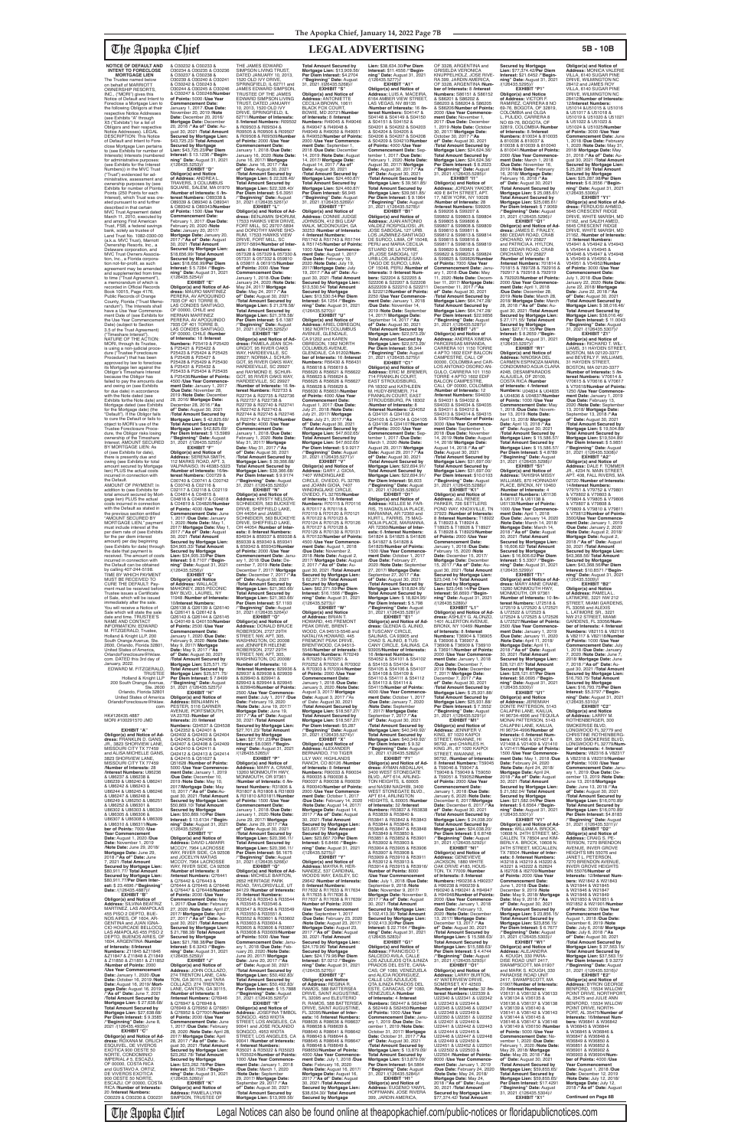The Apopka Chief Legal Notices can also be found online at theapopkachief.com/public-notices or floridapublicnotices.com

## **NOTICE OF DEFAULT AND INTENT TO FORECLOSE**

Sale which will state the sale date and time. TRUSTEE'S NAME AND CONTACT INFORMATION: EDWARD M. FITZGERALD, Trustee, Holland & Knight LLP, 200

**MORTGAGE LIEN** The Trustee named below on behalf of MARRIOTT OWNERSHIP RESORTS, INC., ("MORI") gives this Notice of Default and Intent to Foreclose a Mortgage Lien to the following Obligors at their respective Notice Addresses (see Exhibits "A" through X5 ("Exhibits") for a list of Obligors and their respective Notice Addresses). LEGAL DESCRIPTION: This Notice of Default and Intent to Foreclose Mortgage Lien pertains to (see Exhibits for number of **Interests (numbered** for administrative purposes (see Exhibits for the Interest Numbers)) in the MVC Trust ("Trust") evidenced for administrative, assessment and ownership purposes by (see Exhibits for number of Points) Points (250 Points for each Interest), which Trust was created pursuant to and further described in that certain MVC Trust Agreement dated March 11, 2010, executed by and among First American Trust, FSB, a federal savings bank, solely as trustee of Land Trust No. 1082-0300-00 (a.k.a. MVC Trust), Marriott Ownership Resorts, Inc., a Delaware corporation, and MVC Trust Owners Association, Inc., a Florida corpora-<br>tion not-for-profit, as such agreement may be amended and supplemented from time to time ("Trust Agreement"), a memorandum of which is recorded in Official Records Book 10015, Page 4176, Public Records of Orange County, Florida ("Trust Memo-randum"). The Interests shall have a Use Year Com ment Date of (see Exhibits for the Use Year Commencement Date) (subject to Section 3.5 of the Trust Agreement)<br>("Timeshare Interest") ("Timeshare Interest"). NATURE OF THE ACTION: MORI, through its Trustee, is using a non-judicial procedure ("Trustee Foreclosure Procedure") that has been approved by law to foreclose its Mortgage lien against the Obligor's Timeshare Interest because the Obligor has failed to pay the amounts due and owing on (see Exhibits for due date) in accordance with the Note dated (see Exhibits forthe Note date) and Mortgage dated (see Exhibits for the Mortgage date) (the "Default"). If the Obligor fails to cure the Default or fails to object to MORI's use of the Trustee Foreclosure Proce-dure, the Obligor risks losing ownership of the Timeshare Interest. AMOUNT SECURED BY MORTGAGE LIEN: As of (see Exhibits for date), there is presently due and owing (see Exhibits for total amount secured by Mortgage lien) PLUS the actual costs incurred in connection with the Default. AMOUNT OF PAYMENT: In addition to (see Exhibits for total amount secured by Mortgage lien) PLUS the actual costs incurred in connection with the Default as stated in the previous section entitled "AMOUNT SECURED BY MORTGAGE LIEN," paymer must include interest at the per diem rate of (see Exhibits for the per diem interest amount) per day beginning<br>(see Exhibits for date) through the date that payment is received. The amount of costs incurred in connection with the Default can be obtained by calling 407-244-5198. TIME BY WHICH PAYMENT MUST BE RECEIVED TO CURE THE DEFAULT: Pay-<br>ment must be received before<br>Trustee issues a Certificate<br>of Sale, which will be issued immediately after the sale. You will receive a Notice of

/**"Beginning" Date:** August 31, 2021 /(126435.5262)// **EXHIBIT "M" Obligor(s) and Notice of Ad-dress:** PAMELA JEAN SCH-URGOT, 95 RIVER OAKS WAY, HARDEEVILLE, SC 29927; NORMA J. SCHUR-GOT, 95 RIVER OAKS WAY, HARDEEVILLE, SC 29927 and RAYMOND E. SCHUR-GOT, 95 RIVER OAKS WAY, HARDEEVILLE, SC 29927 /**Number of Interests:** 16 /**Interest Numbers:** R22733 & R22734 & R22735 & R22736 & R22737 & R22738 & R22739 & R22740 & R22741 & R22742 & R22743 & R22744 & R22745 & R22746 & R22747 & R22748/**Number of Points:** 4000 /**Use Year Commencement Date:** January 1, 2018 /**Due Date:** February 1, 2020 /**Note Date:** May 31, 2017/ **Mortgage Date:** May 31, 2017 /**"As of" Date:** August 30, 2021 /**Total Amount Secured by Obligor(s) and Notice of Address:** ARIEL OBREGON, 1362 NORTH COLUMBUS AVENUE, GLENDALE,<br>CA 91202 and KAREN<br>OBREGON, 1362 NORTH<br>COLUMBUS AVENUE, GLENDALE, CA 91202/**Number of Interests:** 16 /**Interest Numbers:** R56430 & R56431 & R56618 & R56619 & R56620 & R56621 & R56622 & R56623 & R56624 & R56625 & R56626 & R56627 & R56628 & R56629 & R56630 & R56631/**Number of Points:** 4000 /**Use Year Commencement Date:** August 1, 2017 /**Due Date:** July 21, 2018 /**Note Date:** July 21, 2017/ **Mortgage Date:** July 21, 2017 /**"As of" Date:** August 30, 2021 /**Total Amount Secured by Mortgage Lien:** \$47,602.65/ **Total Amount Secured by Mortgage Lien: \$47,602.65/<br><b>Per Diem Interest: \$** 9.9217<br>/**"Beginning" Date:** August<br>31, 2021 /(126435.5271)//

**of Points:** 2000 /**Use Year Commencement Date:** Janu-ary 1, 2018 /**Due Date:** December 7, 2019 /**Note Date:** December 7, 2017/ **Mortgage Date:** December 7, 2017 /**"As of" Date:** August 30, 2021 /**Total Amount Secured by Mortgage Lien:** \$21,363.66/ **Total Amount Secured by Mortgage Lien:** \$21,363.66/ **Per Diem Interest:** \$7.1193 /**"Beginning" Date:** August 31, 2021 /(126435.5264)// 2018 /**Note Date:** August 2,<br>2017/ **Mortgage Date:** August<br>2, 2017 /"**As of**" **Date:** Au-<br>gust 30, 2021 /**Total Amount<br>Secured by Mortgage Lien:<br>\$ 62,371.59/ <b>Total Amount Secured by Mortgage Lien: \$62,371.59/Per Diem<br><b>Interest: \$**16.1566 /**"Begin-<br><b>ning" Date:** August 31, 2021<br>/(126435.5273)//

ROBERSON, 2727 29TH STREET, NW, APT. 305, WASHINGTON, DC 20008/<br>Number of Interests: 10 **Number of Interests:** 10<br>/**Interest Numbers:** 829936 &<br>829937 & 829938 & 829939 & 829940 & 829941 & 829943 & 829944 & 829945 & 829946/**Number of Points:** 2500 /**Use Year Commencement Date:** July 1, 2017 /**Due Date:** February 19, 2020 /**Note Date:** June 19, 2017/ **Mortgage Date:** June 19, 2017 /**"As of" Date:** August 30, 2021 /**Total Amount Secured by Mortgage Lien:** \$27,701.23/ **Total Amount Secured by Mortgage Lien:** \$27,701.23/**Per Diem Interest:** \$8.0365 /**"Beginning" Date:** August 31, 2021<br>/(126435.5265)// **EXHIBIT "P" Obligor(s) and Notice of Address:** MARY A. CRANE, 13260 MONMOUTH HWY, MONMOUTH, OR 97361 /**Number of Interests:** 6 /**In-terest Numbers:** R31806 & R31807 & R31808 & R31809 & R31810 &R31811/**Number of Points:** 1500 /**Use Year Commencement Date:** January 1, 2018 /**Due Date:** January 1, 2020 /**Note Date:** June 29, 2017/ **Mortgage Date:** June 29, 2017 /**"As of" Date:** August 30, 2021 /Total Amount Secured by<br>Mortgage Lien: \$20,396.11/<br>Total Amount Secured by<br>Mortgage Lien: \$20,396.11/<br>Per Diem Interest: \$6.1675<br>/"Beginning" Date: August<br>31, 2021 /(126435.5266)// **EXHIBIT "Q" Obligor(s) and Notice of Ad-dress:** MICHELE BARTON, 2652 HERITAGE PARK ROAD, TAYLORSVILLE, UT 84129 /**Number of Interests:** 20 /**Interest Numbers:** R33542 & R33543 & R33544 & R33545 & R33546 & R33547 & R33548 & R33549 & R33550 & R33551 & R33552 & R33601 & R33602 & R33603 & R33604 & R33605 & R33606 & R33607 & R33608 & R33609/**Number of Points:** 5000 /**Use Year Commencement Date:** January 1, 2018 /**Due Date:** February 20, 2020 /**Note Date:** June 20, 2017/ **Mortgage Date:** June 20, 2017 /**"As of" Date:** August 30, 2021 /**Total Amount Secured by Mortgage Lien: \$50,492.83/<br><b>Total Amount Secured by<br><b>Mortgage Lien: \$50,492.83/<br><b>Per Diem Interest: \$** 15.7888<br>/**"Beginning" Date:** August<br>31, 2021 /(126435.5267)// **EXHIBIT "R"<br>
<b>Obligor(s) and Notice of**<br> **Address:** JOSEFINA TIMBOL<br>
SONGCO, 4953 WIOTA<br>
STREET, LOS ANGELES, CA<br>
90041 and JOSE ROLANDO SONGCO, 4953 WIOTA<br>STREET, LOS ANGELES, CA 90041 /**Number of Interests:** 4 /**Interest Numbers:** R35021 & R35022 & R35023 & R35024/**Number of Points:** 1000 /**Use Year Commencement Date:** January 1, 2018 /**Due Date:** March 1, 2020 /**Note Date:** September 29, 2017/ **Mortgage Date:** September 29, 2017 /**"As of" Date:** August 30, 2021<br>/**Total Amount Secured by<br><b>Mortgage Lien:** \$13,909.56/

South Orange Avenue, Ste. 2600, Orlando, Florida 32801, United States of America, OrlandoForeclosure@hklaw. com. DATED this 3rd day of January, 2022. EDWARD M. FITZGERALD, TRUSTEE Holland & Knight LLP 200 South Orange Avenue, Ste. 2600 Orlando, Florida 32801 United States of America OrlandoForeclosure@hklaw. com HK#126435.4887 MORI #100291570 JMD **EXHIBIT "A" Obligor(s) and Notice of Ad-dress:** FRANKLIN D. GANS, JR., 3823 SHORVIEW LANE, MISSOURI CITY TX 77459 and ALISA MICHELLE GANS, 3823 SHORVIEW LANE,<br>MISSOURI CITY TX 77459<br>**/Number of Interests:** 28 /**Interest Numbers:** U86236 & U86237 & U86238 & U86239 & U86240 & U86241 & U86242 & U86243 & U86244 & U86245 & U86246 & U86247 & U86248 & U86249 & U86250 & U86251 & U86252 & U86301 & a Ooozoz a Ooooo 1 a<br>U86302 & U86303 & U86304<br>& U86305 & U86306 & & U86305 & U86306 & U86307 & U86308 & U86309 & U86310 & U86311/**Number of Points:** 7000 /**Use Year Commencement Date:** August 1, 2020 /**Due Date:** November 1, 2019 /**Note Date:** June 29, 2018/ **Mortgage Date:** June 29, 2018 /**"As of" Date:** June 7, 2021 /**Total Amount Secured by Mortgage Lien:** \$80,911.77/ **Total Amount Secured by Mortgage Lien:** \$80,911.77/**Per Diem Inter-est:** \$ 23.4696 /**"Beginning" Date:** /(126435.4887)// **EXHIBIT "B" Obligor(s) and Notice of<br><b>Address:** SILVINA BEATRIZ<br>MARTINEZ, LAS AMAPOLAS 455 PISO 2 DEPTO, BUE-NOS AIRES, OF 1604, AR-GENTINA and JUAN IGNA-<br>CIO HOURCADE BELLOCC CIO HOURCADE BELLOCQ, LAS AMAPOLAS 455 PISO 2 DEPTO, BUENOS AIRES, OF 1604, ARGENTINA /**Number of Interests:** 8/**Interest Numbers:** Z11845 &Z11846 &Z11847 & Z11848 & Z11849 & Z11850 & Z11851 & Z11852 /**Number of Points:** 2000 /**Use Year Commencement Date:** January 1, 2020 /**Due Date:** October 16, 2019 /**Note Date:** August 16, 2019/ **Mort-gage Date:** August 16, 2019 /**"As of" Date:** June 7, 2021 /**Total Amount Secured by Mortgage Lien:** \$ 27,638.68/ **Total Amount Secured by Mortgage Lien:** \$27,638.68/ **Per Diem Interest:** \$ 9.3585 /**"Beginning" Date:** June 8, 2021 /(126435.4935)// **EXHIBIT "C" Obligor(s) and Notice of Address:** ROXANA M. ORLICH ESQUIVEL, DE VIVEROS EXOTICA 900 OESTE 50 NORTE, CONDOMINIO IMPERIAL # 5, ESCAZU, OF 00000, COSTA RICA and GUSTAVO A. ORTIZ, DE VIVEROS EXOTICA 900 OESTE 50 NORTE, ESCAZU, OF 00000, COSTA RICA /**Number of Interests:** 20 /**Interest Numbers:** O30229 & O30230.& O30231 February 9, 2020 /**Note Date:** May 9, 2017/ **Mortgage Date:** May 9, 2017 /**"As of" Date:** August 30, 2021 /**Total Amount Secured by Mortgage Lien:** \$25,571.75/ **Total Amount Secured by Mortgage Lien:** \$25,571.75/ **Per Diem Interest:** \$ 7.8499 /**"Beginning" Date:** August 31, 2021 /(126435.5257)// **EXHIBIT "H" Obligor(s) and Notice of Address:** BENJAMIN H. PESTER, 5116 GARNER AVENUE, PORTSMOUTH, VA 23703 /**Number of Interests:** 20 /**Interest Numbers:** Q34537 & Q34538 & Q42352 & Q42401 & Q42402 & Q42403 & Q42404 & Q42405 & Q42406 & Q42407 & Q42408 & Q42409 & Q42410 & Q42411 & Q42412 & Q42413 & Q42414 & Q42415 & Q51627 & Q51628 /**Number of Points:** 5000 /**Use Year Commence-ment Date:** January 1, 2019 /**Due Date:** December 10, 2019 /**Note Date:** May 10, 2017/**Mortgage Date:** May 10, 2017 /**"As of" Date:**August 30, 2021 /**Total Amount Secured by Mortgage Lien:** \$50,869.10/ **Total Amount Secured by Mortgage Lien:** \$50,869.10/**Per Diem Interest:** \$ 13.6134 /**"Beginning" Date:** August 31, 2021<br>/(126435.5258)// **EXHIBIT "I" Obligor(s) and Notice of Address:** DAVID LAMARR MCCOY, 7964 LACROSSE WAY, RIVER SIDE, CA 92508 and JOCELYN MATIAS MCCOY, 7964 LACROSSE WAY, RIVER SIDE, CA 92508 /**Number of Interests:** 8 /**Interest Numbers:** Q76441 & Q76442 & Q76443 & Q76444 & Q76445 & Q76446 & Q76447 & Q76448/**Number of Points:** 2000 /**Use Year Commencement Date:** May 1, 2017 /**Due Date:** February 27, 2020 /**Note Date:** April 27, 2017/ **Mortgage Date:** April 27, 2017 /**"As of" Date:** August 30, 2021 /**Total Amount Secured by Mortgage Lien:** \$ 21,788.38/ **Total Amount Secured by Mortgage Lien:** \$21,788.38/**Per Diem Interest:** \$ 6.3243 /**"Begin-ning" Date:** August 31, 2021 /(126435.5259)// **EXHIBIT "J" Obligor(s) and Notice of Address:** JOHN COLLAZO, 274 TRENTON LANE, CAN-TON, GA 30115, and TARA COLLAZO, 274 TRENTON LANE, CANTON, GA 30115, /**Number of Interests:** 8 /**Interest Numbers:** Q76946 & Q76947 & Q76948 & Q76949 & Q76950 & Q76951 & Q76952 & Q77001/**Number of Points:** 2000 /**Use Year Commencement Date:** June 1, 2017 /**Due Date:** February 28, 2020 /**Note Date:** April 28, 2017/ **Mortgage Date:** April 28, 2017 /**"As of" Date:** Au-gust 30, 2021 /**Total Amount Secured by Mortgage Lien:** \$23,262.78/ **Total Amount Secured by Mortgage Lien:** \$23,262.78/**Per Diem Interest:** \$6.7593 /**"Beginning" Date:** August 31, 2021 /(126435.5260)// **EXHIBIT "K" Obligor(s) and Notice of Address:** PAMELA LYNN SIMPSON, TRUSTEE OF

& O30232 & O30233 & O30234 & O30235 & O30236 & O30237 & O30238 & O30239 & O30240 & O30241 & O30242 & O30243 & O30244 & O30245 & O30246 & O30247 & O30248/**Number of Points:** 5000 /**Use Year Commencement Date:** January 1, 2017 /**Due Date:** November 20, 2019 /**Note<br><b>Date:** December 20, 2016/<br>**Mortgage Date:** December<br>20, 2016 /**"As of" Date**: Au-<br>gust 30, 2021 /**Total Amount Secured by Mortgage Lien:** \$43,725.23/ **Total Amount Secured by Mortgage Lien:** \$43,725.23/**Per Diem Interest:** \$ 13.1236 /**"Begin-ning" Date:** August 31, 2021 /(126435.5253)// **EXHIBIT "D" Obligor(s) and Notice of Address:** ANDREA L. TRAVERS, 3 COLUMBUS SQUARE, SALEM, MA 01970 /**Number of Interests:** 6 /**In-terest Numbers:** O89338 & O89339 & O89340 & O89341 & O89342 & O89343/**Number of Points:** 1500 /**Use Year Commencement Date:** February 1, 2017 /**Due Date:** February 20, 2020 /**Note Date:** January 20, 2017/ **Mortgage Date:** January 20, 2017 /**"As of" Date:** August 30, 2021 /**Total Amount Secured by Mortgage Lien:** \$18,656.99/ **Total Amount Secured by Mortgage Lien:** \$18,656.99/**Per Diem Interest:** \$ 5.7284 /**"Beginning" Date:** August 31, 2021 /(126435.5254)// **EXHIBIT "E" Obligor(s) and Notice of Ad-dress:** MAURO MARTINEZ PERERA, AV APOQUINDO 7935 OF 401 TORRE B, LAS CONDES SANTIAGO, OF 00000, CHILE and HERNAN MARTINEZ PERERA, AV APOQUINDO 7935 OF 401 TORRE B, LAS CONDES SANTIAGO, OF 00000, CHILE /**Number** of Interests: 18 /Interest **of Interests:** 18 /**Interest<br><b>Numbers:** P25419 & P25420<br>& P25421 & P25422 &<br>P25423 & P25424 & P25425 & P25426 & P25427 & P25428 & P25429 & P25430 & P25431 & P25432 & P25433 & P25434 & P25435 & P25436/**Number of Points:** 4500 /**Use Year Commencement Date:** January 1, 2017 /**Due Date:** November 28, 2019 /**Note Date:** December 28, 2016/ **Mortgage Date:** December 28, 2016 /**"As of" Date:** August 30, 2021 /**Total Amount Secured by Mortgage Lien:** \$ 42,825.69/ **Total Amount Secured by Mortgage Lien:** \$42,825.69/ **Per Diem Interest:** \$ 13.5989 /**"Beginning" Date:** August 31, 2021 /(126435.5255)// **EXHIBIT "F" Obligor(s) and Notice of Address:** SERENA SMITH, 112 MARKS ROAD, APT. 3, VALPARAISO, IN 46383-5323 /**Number of Interests:** 16/**In-terest Numbers:** C00729 & C00740 & C00741 & C00742 & C00743 & C02116 & C02117 & C02118 & C02119 & C04814 & C04815 & C04816 & C04817 & C04818 & C04819 & C04820/**Number of Points:** 4000 /**Use Year Commencement Date:** June 1, 2017 /**Due Date:** January 1, 2020 /**Note Date:** May 1, 2017/ **Mortgage Date:** May 1, 2017 /**"As of" Date:** August 30, 2021 /**Total Amount Secured by Mortgage Lien:** \$34,905.33/ **Total Amount Secured by Mortgage Lien:** \$34,905.33/**Per Diem Interest:** \$ 8.7107 /**"Begin-ning" Date:** August 31, 2021 /(126435.5256)// **EXHIBIT "G" Obligor(s) and Notice of Address:** WALLACE MAHONEY, 2835 PECONIC BAY BLVD., LAUREL, NY 11948 /**Number of Interests:** 10/**Interest Numbers:** Q26138 & Q26139 & Q26140 & Q26141 & Q26142 & Q26143 & Q26144 & Q26145 & Q40149 & Q40150/**Number**  THE JAMES EDWARD SIMPSON LIVING TRUST,<br>DATED JANUARY 10, 2013, EDWARD SIMPSON LIVING TRUST, DATED JANUARY

**of Points:** 2500 /**Use Year Commencement Date:** January 1, 2020 /**Due Date:** Mortgage Lien: \$ 39,366.68/<br>**Mortgage Lien: \$39,366.68/<br><b>Mortgage Lien: \$**39,366.68/<br>**Per Diem Interest: \$** 9.9174<br>/**"Beginning" Date:** August<br>31, 2021 /(126435.5263)// **EXHIBIT "N"<br><b>Address:** KRISTY NELSON-<br>**SCHNEIDER, 563 BUCKEYE**<br>DRIVE, SHEFFIELD LAKE,<br>DH 44054 and JAMES SCHNEIDER, 563 BUCKEYE DRIVE, SHEFFIELD LAKE, OH 44054 /**Number of Inter-ests:** 8 /**Interest Numbers:** 834934 & 859337 & 859338 & 859339 & 859340 & 859341 & 859342 & 859343/**Number EXHIBIT "V"<br>
<b>Obligor(s) and Notice of**<br> **Address:** GARY J. GIOIA,<br>
7407 WINDINGLAKE<br>
CIRCLE, OVIEDO, FL 32765<br>
and JOANN GIOIA, 7407 WINDINGLAKE CIRCLE, OVIEDO, FL 32765/**Number**  & R70122 & R70123 &

**of Interests:** 18 /**Interest**<br>**Numbers:** R70115 & R70116<br>& R70117 & R70118 & R70119 & R70120 & R70121 R70124 & R70125 & R70126 & R70127 & R70128 & R70129 & R70130 & R70131 & R70132/**Number of Points:** 4500 /**Use Year Commence-ment Date:** August 1, 2018 /**Due Date:** November 2, **Obligor(s) and Notice of<br><b>Address:** KELLEE M. FAR-<br>RIS, 75 MAGNOLIA PLACE,<br>MARIANNA, AR 72360 and KURT L. FARRIS, 75 MAG-NOLIA PLACE, MARIANNA, AR 72360/**Number of Inter-ests:** 6 /**Interest Numbers:** S41824 & S41825 & S41826 & S41827 & S41828 & S41829/**Number of Points:** 1500 /**Use Year Commencement Date:** October 1, 2017 /**Due Date:** February 27, 2020 /**Note Date:** September 27, 2017/ **Mortgage Date:** September 27, 2017 /**"As of" Date:** August 30, 2021 /**Total Amount Secured by Mortgage Lien:** \$18,824.95/ **Total Amount Secured by Mortgage Lien:** \$ 18,824.95/ **Per Diem Interest:** \$ 5.798 /**"Beginning" Date:** August 31, 2021 /(126435.5281)//

**EXHIBIT "O" Obligor(s) and Notice of Address:** DONALD BRUCE ROBERSON, 2727 29TH STREET, NW, APT. 305, WASHINGTON, DC 20008 and JENNIFER HELENE

**Mortgage Lien:** \$64,747.28/ **Per Diem Interest:** \$22.9856 /**"Beginning" Date:** August 31, 2021 /(126435.5287)//<br>"EXHIBIT ".I1 **EXHIBIT "J1" Obligor(s) and Notice of Address:** ANDREA XIMENA PARCERISAS MIRANDA, CARRERA 101 1150 TORRE 4 APTO 1602 EDIF BALCON CAMPESTRE, CALI, OF 00000, COLOMBIA and CAR-LOS ANTONIO OSORIO AN-GULO, CARRERA 101 1150 TORRE 4 APTO 1602 EDIF BALCON CAMPESTRE,<br>CALI, OF 00000, COLOMBIA /**Number of Interests:** 12<br>/**Interest Numbers:** S94030<br>& S94031 & S94032 &<br>S94033 & S94034 & S94035 & S94311 & S94312 & S94313 & S94314 & S94315 & S94316/**Number of Points:** 3000 /**Use Year Commencement Date:** September 1, 2018 /Due Date: Novembe 14, 2019 /**Note Date:** August 14, 2018/ **Mortgage Date:** August 14, 2018 /**"As of" Date:** August 30, 2021 /**Total Amount Secured by Mortgage Lien:** \$31,697.00/ **Total Amount Secured by Mortgage Lien: \$31,697.00/<br><b>Per Diem Interest: \$**10.0103<br>/**"Beginning" Date:** August<br>31, 2021 /(126435.5288)//

10, 2013, 1520 OLD IVY DRIVE, SPRINGFIELD, IL 62711/**Number of Interests:** 8 /**Interest Numbers:** R09502 & R09503 & R09504 & R09505 & R09506 & R09507 & R09508 & R09509/**Number of Points:** 2000 /**Use Year Commencement Date:** January 1, 2018 /**Due Date:** January 16, 2020 /**Note Date:** June 16, 2017/ **Mortgage Date:** June 16, 2017 /**"As of" Date:** August 30, 2021 /**Total Amount Secured by Mortgage Lien:** \$ 22,328.40/ **Total Amount Secured by Mortgage Lien:** \$22,328.40/ **Per Diem Interest:** \$ 6.3951 /**"Beginning" Date:** August 31, 2021 /(126435.5261)// **EXHIBIT "L"** & R49047 & R49048 & R49049 & R49050 & R49051 & R49052/**Number of Points:** 2000 /**Use Year Commence-ment Date:** September 1, ment Date: September 1,<br>2018 /Due Date: December 14, 2019 /**Note Date:** August 14, 2017/ **Mortgage Date:** August 14, 2017 /**"As of" Date:** August 30, 2021 /**Total Amount Secured by Mortgage Lien:** \$24,460.87/ **Total Amount Secured by Mortgage Lien:** \$24,460.87/ **Per Diem Interest:** \$6,945 /**"Beginning" Date:** August 31, 2021 /(126435.5269)// **EXHIBIT "T"**

**Obligor(s) and Notice of Ad-dress:** BENJAMIN SHORUM, 17533 HAWKS VIEW DRIVE,<br>FORT MILL, SC 29707-5894<br>and DOROTHY MARIE SHO-<br>RUM, 17533 HAWKS VIEW DRIVE, FORT MILL, SC 29707-5894/**Number of Interests:** 8 /**Interest Numbers:** 057328 & 057329 & 057330 & 057331 & 057332 & 059810 & 059811 & 061915/**Number of Points:** 2000 /**Use Year Commencement Date:** January 1, 2018 /**Due Date:** January 24, 2020 /**Note Date:** May 24, 2017/ **Mortgage Date:** May 24, 2017 /**"As of" Date:** August 30, 2021 /**Total Amount Secured by Mortgage Lien:** \$ 21,378.58/ **Total Amount Secured by Mortgage Lien:** \$21,378.58/ **Per Diem Interest:** \$ 6.1387 **Obligor(s) and Notice of Address:** CONNIE JUDGE JOHNSON, 412 BIG LEAF WALK, MCDONOUGH, GA 30253 /**Number of Interests:** 4 /**Interest Numbers:** R51742 & R51743 & R51744 & R51745/**Number of Points:** 1000 /**Use Year Commence-ment Date:** August 1, 2017 /**Due Date:** February 19, 2020 /**Note Date:** July 19, 2017/**Mortgage Date:** July 19, 2017 /"**As of" Date:** Au-<br>gust 30, 2021 /Total Amount<br>Secured by Mortgage Lien:<br>\$13,530.54/ Total Amount<br>Secured by Mortgage<br>Lien: \$13,530.54/Per Diem<br>Interest: \$4.1254 /"Begin**ning" Date:** August 31, 2021 /(126435.5270)// **EXHIBIT "U"**

> **Secured by Mortgage Lien:** \$23,048.14/**Per Diem Interest:** \$6.6693 /**"Beginning" Date:** August 31, 2021<br>/(126435.5289)//

**EXHIBIT "W"<br>
<b>Obligor(s) and Notice**<br> **of Address:** BRIAN T.<br>
HOWARD, 445 FREMONT<br>
PEAK DRIVE, BRENT-<br>
WOOD, CA 94513-5546 and NATALIYA HOWARD, 445 FREMONT PEAK DRIVE, BRENTWOOD, CA 94513- 5546/**Number of Interests:** 8 /**Interest Numbers:** R70249 & R70250 & R70251 & R70252 & R70301 & R70302<br>& R70303 & R70304/**Number** & R70303 & R70304/**Number of Points:** 2000 /**Use Year Commencement Date:** January 1, 2018 /**Due Date:** January 3, 2020 /**Note Date:** August 3, 2017/ **Mortgage<br><b>Date:** August 3, 2017 /"As<br>of' Date: August 30, 2021<br>/**Total Amount Secured by Mortgage Lien:** \$18,567.27/ **Total Amount Secured by**  Mortgage Lien: \$18,567.27/<br>**Per Diem Interest:** \$5,287<br> **/**"Beginning" Date: August<br>31, 2021 /(126435.5274)//<br>**EXHIBIT "X"**<br>Obligor(s) and Notice of **Address:** ALEXANDER BERNARDO, 710 TIGER<br>LILY WAY, HIGHLANDS LILY WAY, HIGHLANDS RANCH, CO 80126 /**Number of Interests:** 8 /**Interest Numbers:** R90033 & R90034 & R90035 & R90036 &<br>R90037 & R90038 & R90039 R90037 & R90038 & R90039 & R90040/**Number of Points:** 2000 /**Use Year Commencement Date:** October 1, 2017 /**Due Date:** February 14, 2020 /**Note Date:** August 14, 2017/ **Mortgage Date:** August 14, 2017 /**"As of" Date:** August 30, 2021 /**Total Amount Secured by Mortgage Lien:** \$23,667.70/ **Total Amount Secured by Mortgage Lien:** \$23,667.70/**Per Diem Interest:** \$ 6.8466 /**"Beginning" Date:** August 31, 2021 /(126435.5275)// **EXHIBIT "Y" Obligor(s) and Notice of Address:** MAYRA R. HER-NANDEZ, 537 CARDINAL WOODS WAY, EASLEY, SC 29642 /**Number of Interests:** 8 /**Interest Numbers:** R17632 & R17633 & R17634 & R17635 & R17636 & R17637 & R17638 & R17639/ **Number of Points:** 2000 /**Use Year Commencement Date:** September 1, 2017 /**Due Date:** February 23, 2020 /**Note Date:** August 23, 2017/ **Mortgage Date:** August 23, 2017 /**"As of" Date:** August 30, 2021 /**Total Amount Secured by Mortgage Lien:** \$24,179.96/ **Total Amount Secured by Mortgage Lien:** \$24,179.96/**Per Diem Interest:** \$7.0212 /**"Beginning" Date:** August 31, 2021<br>/(126435.5276)// **EXHIBIT "Z" Obligor(s) and Notice of Address:** REGINA R.<br>RAMOS, 588 BATTERSEA<br>DRIVE, SAINT AUGUSTINE,<br>FL 32095 and ELEUTERIO R. RAMOS, 588 BATTERSEA DRIVE, SAINT AUGUSTINE,<br>FL 32095/Number of Inter-FL 32095/**Number of Inter-ests:** 16 /**Interest Numbers:** R98635 & R98636 & R98637 & R98638 & R98639 & R98640 & R98641 & R98642 & R98643 & R98644 & R98645 & R98646 & R98647 & R98648 & R98649 & R98650/**Number of Points:** 4000 /**Use Year Commencement Date:** July 1, 2018 /**Due Date:** February 16, 2020 /**Note Date:** August 16, 2017/ **Mortgage Date:** August 16, 2017 /**"As of" Date:** August 30, 2021 /**Total Amount Secured by Mortgage Lien:** \$38,634.30/ **Total Amount Secured by Mortgage EXHIBIT ''E1" Obligor(s) and Notice of Ad-dress:** GLENDA G. ALINIO, 8 TUSCANY CIRCLE, SALINAS, CA 93905 and CHAD S. ALINIO, 8 TUS-CANY CIRCLE, SALINAS, CA 93905/**Number of Interests:** 16 /**Interest Numbers:** S54052 & S54101 & S54102 & S54103 & S54104 & S54105 & S54106 & S54107 & S54108 & S54109 & S54110 & S54111 & S54112 & S54113 & S54114 & S54115/**Number of Points:** 4000 /**Use Year Commence-ment Date:** October 1, 2017 /**Due Date:** January 7, 2020 /**Note Date:** September 7, 2017/ **Mortgage Date:** September 7, 2017 /**"As of" Date:** August 30, 2021 /**Total Amount Secured by Mortgage Lien:** \$40,349.92/ **Total Amount Secured by Mortgage Lien:** \$40,349.92/ **Per Diem Interest:** \$ 9.32 /**"Beginning" Date:** August 31, 2021 /(126435.5282)// **EXHIBIT "F1" Obligor(s) and Notice of Ad-dress:** AYMAN ABDALLAH, 3400 WEST STONEGATE BLVD., APT 614, ARLING-TON HEIGHTS, IL 60005 and NASIM NAGHIBI, 3400 WEST STONEGATE BLVD. APT 614, ARLINGTON HEIGHTS, IL 60005 /**Number of Interests:** 32 /**Interest Numbers:** R53837 & R53838 & R53839 & R53840 & R53841 & R53842 & R53843 & R53844 & R53845 & R53846 & R53847 & R53848 & R53849 & R53850 & R53851 & R53852 & R53901<br>& R53902 & R53903 & & R53902 & R53903 & R53904 & R53905 & R53906 & R53907 & R53908 & R53909 & R53910 & R53911 & R53912 & R53913 & R53914 & R53915 & R53916/ **Number of Points:** 8000 /**Use Year Commencer Date:** July 1, 2018 /**Due Date:** September 9, 2018 /**Note Date:** November 9, 2017/ **Mortgage Date:** November 9,<br>2017 /"**As of" Date:** August<br>30, 2021 /**Total Amount Secured by Mortgage Lien:** \$ 102,413.30/ **Total Amount Secured by Mortgage Lien:** \$102,413.30/**Per Diem Interest:** \$ 22.7164 /**"Begin-ning" Date:** August 31, 2021 /(126435.5283)// **EXHIBIT "G1" Obligor(s) and Notice of Address:** FRANCISCO T. SALCEDO AVILA, CALLE LOS AZULEJOS QTA.ILINIZA PRADOS DEL ESTE, CARA-CAS, OF 1080, VENEZUELA and ALICIA RODRIGUEZ, CALLE LOS AZULEJOS QTA.ILINIZA PRADOS DEL ESTE, CARACAS, OF 1080, VENEZUELA /**Number of Interests:** 4 /**Interest Numbers:** S62447 & S62448 & S62449 & S62450/**Number of Points:** 1000 /**Use Year Commencement Date:** Janu-ary 1, 2019 /**Due Date:** December 1, 2019 /**Note Date:** October 31, 2017/ **Mortgage Date:** October 31, 2017 /**"As of" Date:** August 30, 2021<br>/**Total Amount Secured by<br>Mortgage Lien: \$ 13,879.09/<br><mark>Total Amount Secured by</mark> Mortgage Lien:** \$13,879.09/ **Per Diem Interest:** \$4.5864 /**"Beginning" Date:** August 31, 2021 /(126435.5284)// **EXHIBIT "H1" Obligor(s) and Notice of Address:** EUGENIO YAMYL HOFFMANN, JOSE RIVERA 399, JARDIN AMERICA, & T36906 & T36907 & T36908 & T36909 & T36910 & T36911/**Number of Points:** 2000 /**Use Year Commence ment Date:** January 1, 2018 /**Due Date:** December 7, 2019 /**Note Date:** December 7, 2017/ **Mortgage Date:** December 7, 2017 /**"As of" Date:** August 30, 2021 /**Total Amount Secured by Mortgage Lien:** \$ 25,931.88/ **Total Amount Secured by Mortgage Lien:** \$25,931.88/ **Per Diem Interest:** \$ 7.3552 /**"Beginning" Date:** August 31, 2021 /(126435.5291)// **EXHIBIT "M1" Obligor(s) and Notice of Address:** JENNIFER V. AGGIESS. JEINNIFER I STREET, WAIANAE, HI 96792, and CHARLES H. KING JR., 87 1020 KAIPOI STREET, WAIANAE, HI<br>96792. /Number of Interests 96792, /**Number of Interests:** 8 /**Interest Numbers:** T59045 & T59046 & T59047 & T59048 & T59049 & T59050 & T59051 & T59052/**Number of Points:** 2000 /**Use Year Commencement Date:** January 1, 2018 /**Due Date:** January 6, 2020 /**Note Date:** December 6, 2017/**Mortgage Date:** December 6, 2017 /**"As of" Date:** August 30, 2021 /**Total Amount Secured by Mortgage Lien:** \$ 24,038.20/ **Total Amount Secured by Mortgage Lien:** \$24,038.20/ **Per Diem Interest:** \$ 6.8748 /**"Beginning" Date:** August 31, 2021 /(126435.5292)// **EXHIBIT "N1" Obligor(s) and Notice of Address:** GENEVIEVE JACKSON, 1880 WHITE OAK DRIVE #183, HOUS TON, TX 77009 /**Number of Interests:** 8 /**Interest Numbers:** H90236 & H90237 & H90238 & H90239 & H90240 & H90241 & H94947<br>& H94948/**Number of Points:**<br>2000 /**Use Year Commence-**<br>ment Date: January 1, 2018<br>**/Due Date:** February 13,<br>2020 /**Note Date:** December 13, 2017/ **Mortgage Date:** December 13, 2017 /**"As of" Date:** August 30, 2021 /**Total Amount Secured by Mortgage Lien:** \$ 15,588.63/ **Total Amount Secured by Mortgage Lien:** \$15,588.63/<br>**Per Diem Interest:** \$ 4.4744<br>**"Beginning" Date:** August<br>31, 2021 /(126435.5293)//<br>**EXHIBIT "O1" Obligor(s) and Notice of Address:** LARRY BURTON, 47 WATERVIEW DRIVE, SOMERSET, KY 42503 /**Number of Interests:** 32 /**Interest Numbers:** U22339 & U22340 & U22341 & U22342 & U22343 & U22344 & U22345 & U22346 & U22347 & U22348 & U22349 & U22350 & U22351 & U22352 & U22401 & U22440 & U22441 & U22442 & U22443 & U22444 & U22445 & U22446 & U22447 & U22448 & U22449 & U22450 & U22451 & U22452 & U22501 & U22502 & U22503 & U22504 /**Number of Points:** 8000 /**Use Year Commencement Date:** January 1, 2019 /**Due Date:** February 24, 2020 /**Note Date:** May 24, 2018/ **Mortgage Date:** May 24, 2018 /**"As of" Date:** August 30, 2021 /**Total Amount Secured by Mortgage Lien:** \$77,374.42/ **Total Amount** 

CARMEN ESPINOZA MARIN,<br>CONDOMINIO AGUA CLARA<br>#24B, DESAMPARADOS ALAJUELA, OF 20100, **COSTA RICA /Number of Interests: 4 /Interest Numbers:** U04834 & U04835 & U04836 & U04837/**Number of Points:** 1000 /**Use Year Commencement Date:** May 1, 2018 /**Due Date:** November 13, 2019 /**Note Date:** April 13, 2018/ **Mortgage Date:** April 13, 2018 /**"As of"** Date: August 30, 2021 /**Total Amount Secured by Mortgage Lien:** \$ 15,586.57/ **Total Amount Secured by Mortgage Lien:** \$ 15,586.57/ **Per Diem Interest:** \$ 4.8789 /**"Beginning" Date:** August 31, 2021 /(126435.5298)//

**Obligor(s) and Notice of<br><b>Address:** RICHARD T. WIL-<br>LIAMS, 31 HAYDEN STREET, BOSTON, MA 02120-3377 and BEVERLY F. WILLIAMS, 31 HAYDEN STREET BOSTON, MA 02120-3377 /**Number of Interests:** 5 /**Interest Numbers:** V70614 & V70615 & V70616 & V70617 & V70618/**Number of Points:** 1250 /**Use Year Commence-ment Date:** January 1, 2019 /**Due Date:** February 13, 2020 /**Note Date:** September 13, 2018/ **Mortgage Date:** September 13, 2018 /**"As of" Date:** August 30, 2021 /**Total Amount Secured by Mortgage Lien:** \$ 19,504.89/ **Total Amount Secured by Mortgage Lien:** \$19,504.89/ **Per Diem Interest:** \$ 5.9851 /**"Beginning" Date:** August 31, 2021 /(126435.5308)// **EXHIBIT "A2"**

**Lien:** \$38,634.30/**Per Diem Interest:** \$11.4556 /**"Begin-ning" Date:** August 31, 2021 /(126435.5277)// **EXHIBIT "A1" Obligor(s) and Notice of Address:** LUIS A. MACEIRA, 6164 AMBER VIEW STREET, LAS VEGAS, NV 89135 /**Number of Interests:** 16 /**In-terest Numbers:** S04147 & S04148 & S04149 & S04150 & S04151 & S04152 & S04201 & S04202 & S04203 & S04204 & S04205 & S04206 & S04207 & S04208 & S04209 & S04210/**Number of Points:** 4000 /**Use Year Commencement Date:** September 1, 2017 /**Due Date:** February 1, 2020 /**Note Date:** August 30, 2017/ **Mortgage Date:** August 30, 2017 /**"As of" Date:** August 30, 2021 /**Total Amount Secured by Mortgage Lien:** \$ 39,561.85/ **Total Amount Secured by Mortgage Lien: \$39,561.85/<br><b>Per Diem Interest: \$** 9.1964<br>/**"Beginning" Date:** August<br>31, 2021 /(126435.5278)// **EXHIBIT "B1" Obligor(s) and Notice of Address:** JUAN ANTONIO VALDEZ ROSPIGLIOSI, JR. JOSE SABOGAL 127 URB. LOS JAZMINEZ-SANTIAGO

DE SURCO, LIMA, OF 15048, PERU and MARIA CECILIA STUARD DE LA TORRE,<br>JR.JOSE SABOGAL 127<br>URB.LOS JAZMINEZ-SAN-TIAGO DE SURCO, LIMA, OF 15048, PERU /**Number of Interests:** 9 /**Interest Numbers:** S22204 & S22205 & S22206 & S22207 & S22208 &S22209 & S22210 & S22211 & S22212/**Number of Points:** 2250 /**Use Year Commence-ment Date:** January 1, 2018 /**Due Date:** November 14, 2019 /**Note Date:** September 14, 2017/ **Mortgage Date:** September 14, 2017 /**"As of" Date:** August 30, 2021 /**Total Amount Secured by Mortgage Lien:** \$22,573.29/ **Total Amount Secured by Mortgage Lien:** \$22,573.29/ **Per Diem Interest:** \$6,344 /**"Beginning" Date:** August 31, 2021 /(126435.5279)// **EXHIBIT "C1" Obligor(s) and Notice of Address:** ERIC M .BREMER,

714 FRANKLIN COURT, EAST STROUDSBURG, PA 18302 and KATHLEEN M. HUDY-BREMER, 714 FRANKLIN COURT, EAST STROUDSBURG, PA 18302 /**Number of Interests:** 8 /**Interest Numbers:** Q34052 & Q34101 & Q34102 & Q34103 & Q34104 & Q34105 & Q34106 & Q34107/**Number of Points:** 2000 /**Use Year Commencement Date:** Sep-tember 1, 2017 /**Due Date:** March 1, 2020 /**Note Date:** August 29, 2017/ **Mortgage Date:** August 29, 2017 /**"As of" Date:** August 30, 2021 /**Total Amount Secured by Mortgage Lien:** \$22,694.91/ **Total Amount Secured by Mortgage Lien:** \$22,694.91/ **Per Diem Interest:** \$6,603 /**"Beginning" Date:** August 31, 2021 /(126435.5280)// **EXHIBIT "D1"**

OF 3328, ARGENTINA and GRISELDA VERONICA<br>KNUPPELHOLZ, JOSE RIVE-RA 399, JARDIN AMERICA, OF 3328, ARGENTINA /**Num-ber of Interests:** 8 /**Interest Numbers:** S86151 & S86152 & S86201 & S86202 & S86203 & S86204 & S86205 & S86206/**Number of Points:** 2000 /**Use Year Commence-ment Date:** November 1, 2017 /**Due Date:** December 1, 2019 /**Note Date:** October 30, 2017/ **Mortgage Date:** October 30, 2017 /**"As of" Date:** August 30, 2021 /**Total Amount Secured by Mortgage Lien:** \$24,624.36/ **Total Amount Secured by Mortgage Lien:** \$24,624.36/ **Per Diem Interest:** \$ 8.2023 /**"Beginning" Date:** August 31, 2021 /(126435.5285)//

**EXHIBIT "I1" Obligor(s) and Notice of Address:** JORDAN YAKOBY, 409 E 84TH STREET, APT. 17, NEW YORK, NY 10028 /**Number of Interests:** 28 /**Interest Numbers:** S99205 & S99206 & S99207 & S99802 & S99803 & S99804 & S99805 & S99806 & S99807 & S99808 & S99809 & S99810 & S99811 & S99812 & S99813 & S99814 & S99815 & S99816 & S99817 & S99818 & S99819 & S99820 & S99821 & S99822 & S99823 & S99824 & S99825 & S99826/**Number of Points:** 7000 /**Use Year Commencement Date:** Janu-ary 1, 2018 /**Due Date:** May 11, 2020 /**Note Date:** December 11, 2017/ **Mortgage Date:** December 11, 2017 /**"As of" Date:** August 30, 2021 /**Total Amount Secured by Mortgage Lien:** \$64,747.28/ **Total Amount Secured by** 

> **EXHIBIT "K1" Obligor(s) and Notice of Address:** JILL RENEE PARKER, 726 SETTLERS POND WAY, KNOXVILLE, TN 37923 /**Number of Interests:** 8 /**Interest Numbers:** T18922 & T18923 & T18924 & T18925 & T18926 & T18927 & T18928 & T18929/**Number of Points:** 2000 /**Use Year Commencement Date:** January 1, 2018 /**Due Date:** February 15, 2020 /**Note Date:** December 15, 2017/ **Mortgage Date:** December 15, 2017 /**"As of" Date:** Au-gust 30, 2021 /**Total Amount Secured by Mortgage Lien:** \$23,048.14/ **Total Amount**

> > **EXHIBIT "L1" Obligor(s) and Notice of Ad-dress:** ASHLEY G. ALONZO, 1401 ALLERTON AVENUE, BRONX, NY 10469 /**Number of Interests:** 8 /**Interest Numbers:** T36904 & T36905

**Secured by Mortgage Lien:** \$77,374.42/**Per Diem Interest:** \$21.6452 /**"Beginning" Date:** August 31, 2021 /(126435.5295)// **EXHIBIT "P1" Obligor(s) and Notice of Address:** VICTOR F. RAMIREZ, CARRERA 8 NO 69-76, BOGOTA, OF 32819,<br>COLOMBIA and OLGA<br>L. PULIDO, CARRERA 8<br>NO 69-76, BOGOTA, OF 32819, COLOMBIA /**Number of Interests:** 8 /**Interest Numbers:** 810034 & 810035<br>& 810036 & 810037 &<br>810038 & 810039 & 810040 & 810041/**Number of Points:** 2000 /**Use Year Commencement Date: March 1, 2018**<br> **Due Date: November 16.** /**Due Date:** November 16, 2019 /**Note Date:** February 16, 2018/ **Mortgage Date:** February 16, 2018 /**"As of" Date:** August 30, 2021 /**Total Amount Secured by Mortgage Lien:** \$ 25,085.61/ **Total Amount Secured by Mortgage Lien:** \$25,085.61/ **Per Diem Interest:** \$ 7.9069 /**"Beginning" Date:** August 31, 2021 /(126435.5296)// **EXHIBIT "Q1" Obligor(s) and Notice of Ad-dress:** JAMES E. FRALEY, 580 CEDAR ROAD, CRAB ORCHARD, WV 25827 and PATRICIA A. HYLTON, 580 CEDAR ROAD, CRAB ORCHARD, WV 25827 /**Number of Interests:** 8 /**Interest Numbers:** 701814 & 701815 & 789728 & 792916 & 792917 & 792918 & 792919 & 792920/**Number of Points:** 2000 /**Use Year Commence-ment Date:** April 1, 2018 /**Due Date:** December 28, 2019 /**Note Date:** March 28, 2018/ **Mortgage Date:** March 28, 2018 /**"As of" Date:** Au-gust 30, 2021 /**Total Amount Secured by Mortgage Lien:** \$ 27,171.55/ **Total Amount** 

**Secured by Mortgage Lien:** \$27,171.55/**Per Diem Interest:** \$ 8.2659 /**"Begin-ning" Date:** August 31, 2021 /(126435.5297)// **EXHIBIT "R1" Obligor(s) and Notice of Address:** NINOSKA DEL

**EXHIBIT "S1" Obligor(s) and Notice of<br><b>Address:** TAHISHA MISSY<br>WILLIAMS, 870 HORNADAY<br>PLACE, BRONX, NY 10460 /**Number of Interests:** 4 /**Interest Numbers:** U61136 & U61137 & U61138 & U61139/**Number of Points:** 1000 /**Use Year Commence-ment Date:** April 1, 2018 /**Due Date:** January 14, 2020 /**Note Date:** March 14, 2018/ **Mortgage Date:** March 14, 2018 /**"As of" Date:** August 30, 2021 /**Total Amount Secured by Mortgage Lien:** \$ 16,606.62/ **Total Amount Secured by Mortgage Lien:** \$ 16,606.62/**Per Diem Interest:** \$ 5.3307 /**"Beginning" Date:** August 31, 2021 /(126435.5299)// **EXHIBIT "T1"**

**Obligor(s) and Notice of Ad-dress:** MARY ANNE CRANE, 13260 MONMOUTH HWY, MONMOUTH, OR 97361 /**Number of Interests:** 10 /**Interest Numbers:** U72518 & U72519 & U72520 & U72521 & U72522 & U72523 & U72524 & U72525 & U72526 & U72527/**Number of Points:** 2500 /**Use Year Commence-ment Date:** January 1, 2019 /**Due Date:** January 11, 2020 /**Note Date:** April 11, 2018/ **Mortgage Date:** April 11, 2018 /**"As of" Date:** August 30, 2021 /**Total Amount Secured by Mortgage Lien:** \$28,121.67/ **Total Amount Secured by Mortgage Lien:** \$28,121.67/**Per Diem Interest:** \$8.0695 /**"Begin-ning" Date:** August 31, 2021 /(126435.5300)// **EXHIBIT "U1" Obligor(s) and Notice of Address:** JEREMIAH DONTE PATTERSON, 5143 CALAPINI LANE, KAILUA, HI 96734-4996 and TEQUILA MONAI PATTERSON, 5143 CALAPINI LANE, KAILUA HI 96734-4996/**Number of Interests:** 6 /**Interest Numbers:** V21406 & V21407 & V21408 & V21409 & V21410 & V21411/**Number of Points:** 1500 /**Use Year Commence-ment Date:** May 1, 2018 /**Due Date:** February 24, 2020 /**Note Date:** April 24, 2018/ **Mortgage Date:** April 24, 2018 /**"As of" Date:** August 30, 2021 /**Total Amoun Secured by Mortgage Lien:** \$ 21,582.04/ **Total Amount Secured by Mortgage Lien:** \$21,582.04/**Per Diem Interest:** \$ 6.6564 /**"Beginning" Date:** August 31, 2021<br>/(126435.5301)// **EXHIBIT "V1" Obligor(s) and Notice of Ad-dress:** WILLIAM A. BROCK, 10608 N. 24TH STREET, MC-CALLEN, TX 78504 and KIM-BERLY A. BROCK, 10608 N. 24TH STREET, MCCALLEN, TX 78504 /**Number of Interests:** 8 /**Interest Numbers:** I43218 & I43219 & I43220 & I43221 & I43222 & I52624 & I62708 & I62709/**Number of Points:** 2000 /**Use Year Commencement Date:** June 1, 2018 /**Due Date:** December 9, 2019 /**Note Date:** May 9, 2018/ **Mortgage Date:** May 9, 2018 /**"As of" Date:** August 30, 2021 /**Total Amount Secured by Mortgage Lien:** \$ 23,856.15/ **Total Amount Secured by Mortgage Lien:** \$23,856.15/ **Per Diem Interest:** \$ 6.7677 /**"Beginning" Date:** August 31, 2021 /(126435.5303)// **EXHIBIT "W1" Obligor(s) and Notice of Address:** ALEJANDRA A. KOUGH, 330 PARA-DISE ROAD UNIT 2417 SWAMPSCOTT, MA 01907 and MARK S. KOUGH, 330 PARADISE ROAD UNIT 2417, SWAMPSCOTT, MA 01907/**Number of Interests:** 20 /**Interest Numbers:** V36131 & V36132 & V36133 & V36134 & V36135 & V36136 & V36137 & V36138 & V36139 & V36140 & V36141 & V36142 & V36143 & V36144 & V36145 & V36146 & V36147 & V36148 & V36149 & V36150 /**Number of Points:** 5000 /**Use Year Commencement Date:** November 1, 2020 /**Due Date:** February 1, 2020 /**Note Date:** May 29, 2018/ **Mortgage Date:** May 29, 2018 /**"As of" Date:** August 30, 2021 /**Total Amount Secured by Mortgage Lien:** \$59,855.65/ **Total Amount Secured by Mortgage Lien:** \$59,855.65/ **Per Diem Interest:** \$17.4291 /**"Beginning" Date:** August 31, 2021 /(126435.5304)//

**EXHIBIT "X1"**

**Obligor(s) and Notice of Address:** MONICA VALERIE VILLA, 6140 SUGAR PINE DRIVE, WILMINGTON NC 28412 and JAMES ROY VILLA, 6140 SUGAR PINE DRIVE, WILMINGTON NC 28412/**Number of Interests:** 12/**Interest Numbers:** U51014 &U51015 & U51016 & U51017 & U51018 & U51019 & U51020 & U51021 & U51022 & U51023 & U51024 & U51025/**Number of Points:** 3000 /**Use Year Commencement Date:** June 1, 2018 /**Due Date:** February 1, 2020 /**Note Date:** May 31, 2018/ **Mortgage Date:** May 31, 2018 /**"As of" Date:** August 30, 2021 /**Total Amoun Secured by Mortgage Lien:** \$ 25,287.98/ **Total Amount Secured by Mortgage Lien:** \$25,287.98/**Per Diem Interest:** \$ 6.3556 /**"Begin-ning" Date:** August 31, 2021 /(126435.5306)// **EXHIBIT "Y1" Obligor(s) and Notice of Ad-dress:** FERDUOSI AHMED, 5645 CRESCENT RIDGE DRIVE, WHITE MARSH, MD 21162, and SALEH AMED, 5645 CRESCENT RIDGE<br>DRIVE, WHITE MARSH, MD<br>21162, /**Number of Interests:** 12 /**Interest Numbers:** V54941 & V54942 & V54943 & V54944 & V54945 & V54946 & V54947 & V54948 & V54949 & V54950 & V54951 & V54952/**Numbe of Points:** 3000 /**Use Year Commencement Date:** July 1, 2018 /**Due Date:** January 22, 2020 /**Note Date:** June 22, 2018/ **Mortgage Date:** June 22, 2018 /**"As** 

**of" Date:** August 30, 2021 /**Total Amount Secured by Mortgage Lien:** \$ 38,016.46/ **Total Amount Secured by Mortgage Lien:** \$38,016.46/ **Per Diem Interest:** \$ 11.0043 /**"Beginning" Date:** August 31, 2021 /(126435.5307)// **EXHIBIT "Z1"**

**Obligor(s) and Notice of Address:** DALE F. TOMMER **JR., 4234 N. MAIN STREET** APT. 408, FALL RIVERS, MA 02720 /**Number of Interests:** 14/**Interest Numbers:** V79751 & V79752 & V79801 & V79802 & V79803 & V79804 & V79805 & V79806 & V79807 & V79808 & V79809 & V79810 & V79811 & V79812/**Number of Points:** 3500/**Use Year Commencement Date:** January 1, 2019 /**Due Date:** January 2, 2020 /**Note Date:** August 2, 2018/ **Mortgage Date:** August 2, 2018 /**"As of" Date:** August 30, 2021 /**Total Amount Secured by Mortgage Lien:** \$43,368.56/ **Total Amount Secured by Mortgage Lien:** \$43,368.56/**Per Diem Interest:** \$10.8571 /**"Begin-ning" Date:** August 31, 2021 /(126435.5309)//

**EXHIBIT "B2" Obligor(s) and Notice of Address:** PAMELA L. LATIMORE, 3221 NW 212<br>STREET, MIAMI GARDENS, FL 33056 and ALEXIS L. LATIMORE SR., 3221 NW 212 STREET, MIAMI GARDENS, FL 33056/**Number of Interests:** 4 /**Interest Numbers:** V82115 & V82116  $&$  V82117 & V82118/**Numbe of Points:** 1000 /**Use Year Commencement Date:** July 1, 2018 /**Due Date:** January 7, 2020 /**Note Date:** June 7, 2018/ **Mortgage Date:** June 7, 2018 /**"As of" Date:** August 30, 2021 /**Total Amount Secured by Mortgage Lien:** \$16,793.75/ **Total Amount Secured by Mortgage Lien:** \$16,793.75/**Per Diem Interest:** \$5.3797 /**"Beginning" Date:** August 31, 2021<br>/(126435.5310)// **EXHIBIT "C2" Obligor(s) and Notice of Address:** LARRY M. ROTHENBERGER, 300 SMOKERISE BLVD,<br>LONGWOOD FL 32779 and CHRISTINE ROTHENBERG ER, 300 SMOKERISE BLVD, LONGWOOD FL 32779/**Number of Interests:** 4 /**Interest Numbers:** V82316 & V82317 & V82318 & V82319/**Number of Points:** 1000 /**Use Year Commencement Date:** Janu-ary 1, 2019 /**Due Date:** December 13, 2019 /**Note Date:** June 13, 2018/**Mortgage Date:** June 13, 2018 /**"As of" Date:** August 30, 2021 /**Total Amount Secured by Mortgage Lien:** \$16,070.89/ **Total Amount Secured by Mortgage Lien:** \$16,070.89/ **Per Diem Interest:** \$4.8183 /**"Beginning" Date:** August 31, 2021 /(126435.5311)// **EXHIBIT "D2" Obligor(s) and Notice of Address:** CRAIG S. PE-TERSON, 7270 BRENDON AVENUE, INVER GROVE HEIGHTS MN 55076 and JANET L. PETERSON, 7270 BRENDON AVENUE, INVER GROVE HEIGHTS MN 55076/**Number of Interests: 12/Interest Num bers:** W21842 & W21843 & W21844 & W21845 & W21846 & W21847 & W21848 & W21849 & W21850 & W21851 & W21852 & W21901/**Number of Points:** 3000 /**Use Year Commencement Date:** August 1, 2018 /**Due Date:** December 6, 2019 /**Note Date:** July 6, 2018/ **Mortgage Date:** July 6, 2018 /**"As of" Date:** August 30, 2021 /**Total Amount Secured by Mortgage Lien:** \$ 37,563.15/ **Total Amount Secured by Mortgage Lien:** \$37,563.15/ **Per Diem Interest:** \$ 9.3272 /**"Beginning" Date:** August 31, 2021 /(126435.5316)// **EXHIBIT "E2" Obligor(s) and Notice of Address:** BYRON GEORGE BENFORD, 15534 WILLOW POINT DRIVE, NORTHPORT AL 35475 and JULIE ANN BENFORD, 15534 WILLOW POINT DRIVE, NORTH-PORT, AL 35475/**Number of Interests:** 16/**Interest Num-bers:** W36841 & W36842 & W36843 & W36844 & W36845 & W36846 & W36847 & W36848 & W36849 & W36850 & W36851 & W36852 & W36901 & W36902 & W36903 & W36904/**Number of Points:** 4000 /**Use Year Commencement Date:** August 1, 2018 /**Due Date:** December 12, 2019 /**Note Date:** July 12, 2018/ **Mortgage Date:** July 12, 2018 /**"As of" Date:** August **Continued on Page 8B**

## The Apopka Chief **LEGAL ADVERTISING 5B - 10B**

1520 OLD IVY DRIVE,<br>SPRINGFIELD, IL 62711 and<br>JAMES EDWARD SIMPSON,<br>TRUSTEE OF THE JAMES **Total Amount Secured by Mortgage Lien:** \$13,909.56/ **Per Diem Interest:** \$4.2704 /**"Beginning" Date:** August 31, 2021 /(l26435.5268)// **EXHIBIT "S" Obligor(s) and Notice of Address:** ANTONIETTE CECILIA BROWN, 10611 BLACK FOX COURT,<br>BOWIE, MD 20721/**Number<br>of Interests: 8 /Interest<br><b>Numbers:** R49045 & R49046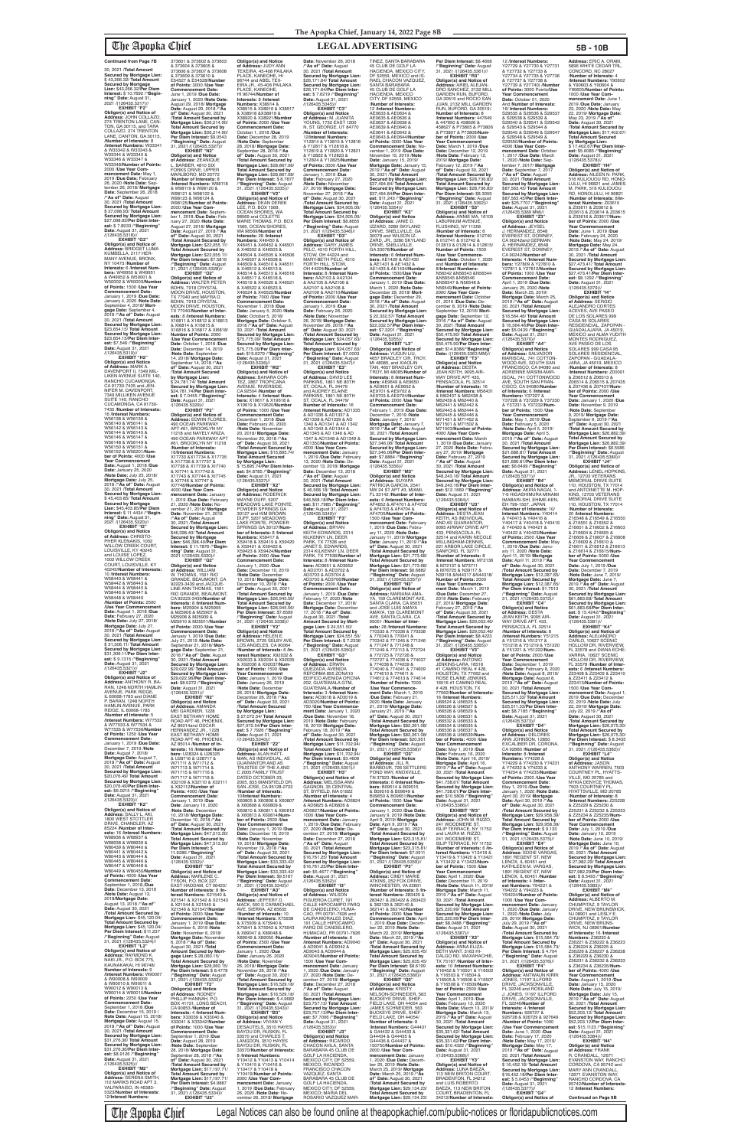The Apopka Chief Legal Notices can also be found online at theapopkachief.com/public-notices or floridapublicnotices.com

30, 2021 /**Total Amount Secured by Mortgage Lien:** \$ 43,266.32/ **Total Amount Secured by Mortgage Lien:** \$43,266.32/**Per Diem Interest:** \$ 10.7692 /**"Beginning" Date:** August 31, 2021 /(126435.5317)//<br>**EXHIBIT "F2"** 

**EXHIBIT "F2"<br><b>Address:** JOHN COLLAZO,<br>274 TRENTON LANE, CAN-<br>TON, GA 30115, and TARA COLLAZO, 274 TRENTON LANE, CANTON, GA 30115, /**Number of Interests:** 8 /**Interest Numbers:** W33341 & W33342 & W33343 & W33344 & W33345 & W33346 & W33347 & W33348/**Number of Points:** 2000 /**Use Year Commencement Date:** May 1, 2019 /**Due Date:** February 26, 2020 /**Note Date:** September 26, 2018/ **Mortgage Date:** September 26, 2018<br>/**"As of" Date:** August<br>30, 2021 /**Total Amount Secured by Mortgage Lien:** \$ 27,098.93/ **Total Amount Secured by Mortgage Lien:** \$27,098.93/**Per Diem Inter-est:** \$ 7.8933 /**"Beginning" Date:** August 31, 2021

/(126435.5318)// **EXHIBIT "G2" Obligor(s) and Notice of Address:** BRIDGET LUMA KUMBELLA, 2117 HER-MANY AVENUE, BRONX, NY 10473 /**Number of Interests:** 6 /**Interest Numbers:** W49950 & W49951 & W49952 & W50001 & W50002 & W50003/**Number of Points:** 1500 /**Use Year Commencement Date:** January 1, 2019 /**Due Date:** January 4, 2020 /**Note Date:** September 4, 2018/ **Mort-gage Date:** September 4, 2018 /**"As of" Date:** August 30, 2021 /**Total Amount Secured by Mortgage Lien:** \$23,654.15/ **Total Amount Secured by Mortgage Lien:** \$23,654.15/**Per Diem Inter-est:** \$7,546 /**"Beginning" Date:** August 31, 2021 /(126435.5319)//

**EXHIBIT "H2"<br><b>Obligor(s) and Notice**<br>**of Address:** MARK A.<br>DAVENPORT II, 7349 MIL-<br>LIKEN AVENUE SUITE 140, RANCHO CUCAMONGA, CA 91730-7435 and JEN-NIFER M. DAVENPORT, 7349 MILLIKEN AVENUE SUITE 140, RANCHO CUCAMONGA, CA 91730- 7435 /**Number of Interests:** 16 /**Interest Numbers:** W56138 & W56139 & W56140 & W56141 & W56142 & W56143 & W56144 & W56145 & W56146 & W56147 & W56148 & W56149 & W56150 & W56151 & W56152 & W56201/**Number of Points:** 4000 /**Use Year Commencement Date:** August 1, 2018 /**Due Date:** January 25, 2020 /**Note Date:** July 25, 2018/ **Mortgage Date:** July 25, 2018 /**"As of" Date:** August 30, 2021 /**Total Amount Secured by Mortgage Lien:** \$ 45,403.85/ **Total Amount Secured by Mortgage Lien:** \$45,403.85/**Per Diem<br><b>Interest:** \$ 11.4434 /**"Begin-<br><b>ning" Date:** August 31,<br>2021 /(126435.5320)//

373601 & 373602 & 373603 & 373604 & 373605 & 373606 & 373607 & 373608 & 373609 & 373610 & E54527 & E54528/**Number of Points:** 3000 /**Use Year Commencement Date:** June 1, 2019 /**Due Date:** January 1, 2020 /**Note Date:** August 29, 2018/ **Mortgage Date:** August 29, 2018 /**"As of" Date:** August 30, 2021 /**Total Amount Secured by Mortgage Lien:** \$36,214.90/ **Total Amount Secured by Mortgage Lien:** \$36,214.90/ **Per Diem Interest:** \$9.0543 /**"Beginning" Date:** August 31, 2021 /(126435.5327)// **EXHIBIT "N2" Obligor(s) and Notice of Address:** ZEANIQUE BARBER, 4810 SIX FORKS DRIVE, UPPER MARLBORO, MD 20772 /**Number of Interests:** 8 /**Interest Numbers:** W98118 & W98119 & W98120 & W98121 & W98122 & W98123 & W98124 & W98125/**Number of Points:** 2000 /**Use Year Com-**PLACE, KANEOHE

**EXHIBIT "I2" Obligor(s) and Notice of Address:** CHRISTO-<br>PHER KLENAKIS, 1002<br>WILLOW CREEK COURT,<br>LOUISVILLE, KY 40245 and LOUISE LOPEZ,<br>1002 WILLOW CREEK COURT, LOUISVILLE, KY 40245/**Number of Interests:** 10 /**Interest Numbers:** W58440 & W58441 & W58442 & W58443 & W58444 & W58445 &<br>W58446 & W58447 & W58446 & W58447 & W58448 & W58449 /**Number of Points:** 2500 /Use Year Commencemen **Date:** August 1, 2018 /**Due Date:** February 27, 2020 /**Note Date:** July 27, 2018/ **Mortgage Date:** July 27, 2018 /**"As of" Date:** August 30, 2021 /**Total Amount Secured by Mortgage Lien:** \$ 31,306.11/ **Total Amount** 

**mencement Date:** Septem-ber 1, 2018 /**Due Date:** February 27, 2020 /**Note Date:** August 27, 2018/ **Mortgage Date:** August 27, 2018 /**"As of" Date:** August 30, 2021 /**Total Amount Secured by Mortgage Lien:** \$22,055.11/ **Total Amount Secured by Mortgage Lien:** \$22,055.11/ **Per Diem Interest:** \$7.5819 /**"Beginning" Date:** August 31, 2021 /(126435.5328)// **EXHIBIT "O2" Obligor(s) and Notice of Address:** WALTER PETER BOHN, 7918 CRYSTAL MOON DRIVE, HOUSTON, TX 77040 and MAYRA D. BOHN, 7918 CRYSTAL MOON DRIVE, HOUSTON TX 77040/**Number of Interests:** 8 /**Interest Numbers:** X16811 & X16812 & X16813 & XI6814 & X16815 & X16816 & X16817 & XI6818/ **Number of Points:** 2000 /**Use Year Commencement Date:** October 1, 2018 /**Due**  LEE, P.O. BOX 1569, OCEAN SHORES, WA 98569 and COLETTE MARIE THOMAS, P.O. BOX 1569, OCEAN SHORES, WA 98569/**Number of Interests:** 28 /**Interest Numbers:** X46450 & X46451 & X46452 & X46501 & X46502 & X46503 & X46504 & X46505 & X46506 & X46507 & X46508 & X46509 & X46510 & X46511 & X46512 & X46513 & X46514 & X46515 & X46516 & X46517 & X46518 & X46519 & X46520 & X46521 & X46522 & X46523 & X46524 & X46525/**Number of Points:** 7000 /**Use Year Commencement Date:** November 1, 2018 /**Due Date:** January 5, 2020 /**Note Date:** October 5, 2018/ **Mortgage Date:** October 5, 2018 /**"As of" Date:** August 30, 2021 /**Total Amount Secured by Mortgage Lien:** \$75,775.09/ **Total Amount Secured by Mortgage Lien:** \$75,775.09/**Per Diem Interest:** \$19.0279 /**"Beginning"**<br>**Date:** August 31, 2021<br>/(126435.5336)//

**Secured by Mortgage Lien:** \$31,306.11/**Per Diem Inter-est:** \$ 9.1315 /**"Beginning" Date:** August 31, 2021 /(126435.5321)//

**EXHIBIT "J2" Obligor(s) and Notice of<br><b>Address:** ANTHONY R. BA-<br>RAN, 1248 NORTH HAMLIN<br>AVENUE, PARK RIDGE, IL 60068-1783 and DIANE P. BARAN, 1248 NORTH HAMLIN AVENUE, PARK RIDGE, IL 60068-1783 /**Number of Interests:** 5 /**Interest Numbers:** W77532 & W77533 & W77534 & W77535 & W77536/**Number of Points:** 1250 /**Use Year Commencement Date:** January 1, 2019 /**Due Date:** December 7, 2019 /**Note Date:** August 7, 2018/<br>**Mortgage Date:** August 7,<br>2018 /"**As of" Date:** August<br>30, 2021 /**Total Amount<br>Secured by Mortgage Lien:** \$20,076.49/ **Total Amount Secured by Mortgage Lien:** \$20,076.49/**Per Diem Interest:** \$6.0215 /**"Beginning" Date:** August 31, 2021<br>/(126435.5323)// **EXHIBIT "K2" Obligor(s) and Notice of Address:** SALLY L. AKI, 1800 WEST STOTTLER DRIVE, CHANDLER, AZ 85224 /**Number of Interests:** 16 /**Interest Numbers:** W68936 & W68937 & W68938 & W68939 & W80439 & W80440 & W80441 & W80442 & W80443 & W80444 & W80445 & W80446 & W80447 & W80448 & W80449 & W80450/**Numbe of Points:** 4000 /**Use Year Commencement Date:** September 1, 2018,/**Due Date:** December 13, 2019 /**Note Date:** August 13, 2018/**Mortgage Date:** August 13, 2018 /**"As of" Date:** August 30, 2021 /**Total Amount Secured by Mortgage Lien:** \$45,120.04/ **Total Amount Secured by Mortgage Lien: \$**45,120.04/<br>**Per Diem Interest: \$**11.237<br>/**"Beginning" Date:** August<br>31, 2021 /(126435.5324)// **EXHIBIT "L2" Obligor(s) and Notice of Address:** RAYMOND K. NAKI JR., P.O. BOX 775, KAUNAKAKAI, HI 96748/ **Number of Interests:** 9 /**Interest Numbers:** W90007 & W90008 & W90009 & W90010 & W90011 & W90012 & W90013 & W90014 & W90015/**Number of Points:** 2250 /**Use Year Commencement Date:** September 1, 2018 /**Due Date:** December 15, 2019 / **Note Date:** August 15, 2018/ **Mortgage Date:** August 15, 2018 /**"As of" Date:** August 30, 2021 /Total Amoun **Secured by Mortgage Lien:** \$31,276.36/ **Total Amount Secured by Mortgage Lien:** \$31,276.36/**Per Diem Inter-est:** \$8.9126 /**"Beginning" Date:** August 31, 2021 /(126435.5325)// **EXHIBIT "M2" Obligor(s) and Notice of Address:** SERENA SMITH,

112 MARKS ROAD APT 3, VALPARAISO, IN 46383- 5323/**Number of Interests:** 12/**Interest Numbers:**

M25908 & M25909 &

**Commencement Date:**

**of Address:** DAVID LEE PARKINS, 1861 NE 80TH ST, OCALA, FL 34479 and AUDREY ELAINE PARKINS, 1861 NE 80TH ST, OCALA, FL 34479/ **Number of Interests:** 16 /**Interest Numbers:** AD1335 & AD1336 & AD1337 & AD1338 & AD1339 & AD 1340 & AD1341 & AD 1342 & AD1343 & AD1344 & AD1345 & AD 1346 & AD 1347 & AD1348 & AD1349 & AD1350/**Number of Points:** 4000 /**Use Year Commencement Date:** January 1, 2019 /**Due Date:** February 13, 2020 /**Note Date:** December 13, 2018/ **Mortgage Date:** December 13, 2018 /**"As of" Date:** August 30, 2021 /**Total Amount Secured by Mortgage Lien:** \$ 46,568.18/ **Total Amount Secured by Mortgage Lien:** \$46,568.18/**Per Diem Interest:** \$11.7985 /**"Beginning" Date:** August 31, 2021<br>/(126435.5349)//

July 21, 2019 /**Note Date:** September 21, 2018/ **Mort-gage Date:** September 21, 2018 /**"As of" Date:** August 30, 2021 /**Total Amount Secured by Mortgage Lien:** \$29,022.96/ **Total Amount Secured by Mortgage Lien:** \$29,022.96/**Per Diem Interest:** \$8.5272 /**"Beginning" Date:** August 31, 2021<br>/(126435.5331)// **EXHIBIT "R2" Obligor(s) and Notice of Address:** AMANDA MEI GARDNER, 1228 EAST BETHANY HOME ROAD APT 46, PHOENIX,<br>AZ 85014and OSCAR AZ 85014and OSCAR HERNANDEZ JR., 1228 EAST BETHANY HOME ROAD APT 46, PHOENIX, AZ 85014 /**Number of In-terests:** 16 /**Interest Numbers:** U28324 & U28325<br>& U28716 & U28717 &<br>W71711 & W71712 & W71713 & W71714 & W71715 & W71716 & W71717 & W71718 & X32109 & X32110 & X32111 & X32112/**Number of Points:** 4000 /**Use Year Commencement Date:** January 1, 2019 /**Due Date:** January 10, 2020 /**Note Date:** December 10, 2018/ **Mortgage Date:** December 10, 2018 /**"As of"** Date: August 30, 2021 /**Total Amount Secured by Mortgage Lien:** \$47,513.20/ **Total Amount Secured by Mortgage Lien:** \$47,513.20/ **Per Diem Interest:** \$ 11.9286 /**"Beginning" Date:** August 31, 2021<br>/(126435.5332)// **EXHIBIT "S2" Obligor(s) and Notice of Address:** MARLENE C. TYSON, P.O. BOX 227, EAST HADDAM, CT 06423 **Number of Interests:** 8 /**Interest Numbers:** X21540 & X21541 & X21542 & X21543 & X21544 & X21545 & X21546 & X21547/**Number of Points:** 2000 /**Use Year Commencement Date:** January 1, 2019 /**Due Date:** December 6, 2019 /**Note Date:** November 6, 2018/ **Mortgage Date:** November 6, 2018 /**"As of" Date:** August 30, 2021 /**Total Amount Secured by Mort-gage Lien:** \$ 28,060.15/ **Total Amount Secured by Mortgage Lien:** \$28,060.15/ **Per Diem Interest:** \$ 8.4778<br>/**"Beginning" Date:** August<br>31, 2021 /(126435.5333)// **EXHIBIT "T2" Obligor(s) and Notice of Address:** RODNEY PHILLIP HANNAH, P.O. BOX 41731, LONG BEACH, CA 90853 /**Number of Interests:** 4 /**Interest Num-bers:** X33039 & X33040 & X33041 & X33042/**Number of Points:** 1000 /**Use Year Commencement Date:** September 1, 2019 /**Due Date:** August 28, 2019 /**Note Date:** September 28, 2018/ **Mortgage Date:** September 28, 2018 /**"As of" Date:** August 30, 2021 /**Total Amount Secured by Mortgage Lien:** \$17,197.71/ **Total Amount Secured by Mortgage Lien:** \$17,197.71/ **Per Diem Interest:** \$4.9887 /**"Beginning" Date:** August 31, 2021 /(126435.5334)// **EXHIBIT "U2"**

**Date:** December 14, 2019 /**Note Date:** September 14, 2018/ **Mortgage Date:** September 14, 2018 /**"As of" Date:** August 30, 2021 /**Total Amount Secured by Mortgage Lien:** \$ 24,781.74/ **Total Amount Secured by Mortgage Lien:** \$24,781.74/**Per Diem Interest:** \$ 7.0455 /"**Beginning"**<br>**Date:** August 31, 2021<br>/(126435.5329)// **EXHIBIT "P2" Obligor(s) and Notice of Address:** EDWIN FLORES, 490 OCEAN PARKWAY APT #61, BROOKLYN NY 11218 and NAYELY ARIZA 490 OCEAN PARKWAY APT #61, BROOKLYN NY 11218 /**Number of Interests:** 16/**Interest Numbers:** X17733 &X17734 & X17735 & X17736 & X17737 & XI7738 & X17739 & XI7740 & XI7741 & X17742 & X17743 & XI7744 & XI7745 & XI7746 & XI7747 & XI7748/**Number of Points:** 4000 /**Use Year Com-mencement Date:** January 1, 2019 /**Due Date:** February 21, 2020 /**Note Date:** November 21, 2018/ **Mortgage Date:** November 21, 2018 /**"As of" Date:** August 30, 2021 /**Total Amount Secured by Mortgage Lien:** \$46,398.40/ **Total Amount Secured by Mortgage Lien:** \$46,398.40/**Per Diem Interest:** \$ 11.7876 /**"Beginning" Date:** August 31,<br>2021 /(126435.5330)// **EXHIBIT "Q2" Obligor(s) and Notice of Address:** WILLIAM W. THOMAS, 1591 RIO GRANDE, BEAUMONT, CA 92223-3439 and JACQUE-LINE ANN THOMAS, 1591 **EXHIBIT "W2" Obligor(s) and Notice of Address:** BAHARA COR-TEZ, 2867 TROPICANA<br>AVENUE, RIVERSIDE. AVENUE, RIVERSIDE, CA 92504 /**Number of Interests:** 4 /**Interest Num-bers:** X19617 & X19618 & X19619 & X19620/**Number of Points:** 1000 /**Use Year Commencement Date:** December 1, 2018 /**Due Date:** February 20, 2020 /**Note Date:** November 20, 2018/ **Mortgage Date:** November 20, 2018 /**"As of" Date:** August 30, 2021 /**Total Amount Secured by Mortgage Lien:** \$15,895.74/ **Total Amount Secured by Mortgage Lien:** \$ 15,895.74/**Per Diem Inter-est:** \$4.8785 /**"Beginning" est:** \$4.87857"**Beginn**<br>**Date:** August 31, 2021 /(126435.5337)// **EXHIBIT "X2" Obligor(s) and Notice of Address:** RODERICK WAYNE DUFF, 5207 MEADOWS LAKE POINTE, POWDER SPRINGS GA 30127 and KIM BROWN DUFF, 5207 MEADOWS LAKE POINTE, POWDER SPRINGS GA 30127/**Number of Interests:** 8 /**Interest Numbers:** X59417 & X59418 & X59419 & X59420 & X59421 & X59422 & X59423 & X59424/**Number of Points:** 2000 /**Use Year Commencement Date:** January 1, 2020 /**Due Date:** December 10, 2019 /**Note Date:** December

RIO GRANDE, BEAUMONT, CA 92223-3439/**Number of Interests:** 8 /**Interest Numbers:** M25904 & M25905 & M25906 & M25907 & M25910 & M25911/**Number of Points:** 2000 /**Use Year**  January 1, 2019 /**Due Date:** 10, 2018/ **Mortgage Date:** December 10, 2018 /**"As** 

**Obligor(s) and Notice of Address:** JUDY ANN TEXEIRA, 45-408 PAILAKA PLACE, KANEOHE, HI 96744 and ABEL TEX-EIRA JR., 45-408 PAILAKA HI 96744/**Number of Interests:** 8 /**Interest Numbers:** X38914 &<br>X38915 & X38916 & X38917<br>& X38918 &X38919 & X38920 & X38921/**Number Date:** November 26, 2018 /**"As of" Date:** August 30, 2021 /**Total Amount Secured by Mortgage Lien:** \$26,171.64/ **Total Amount Secured by Mortgage Lien:** \$26,171.64/**Per Diem Inter-est:** \$ 7.6219 /**"Beginning" Date:** August 31, 2021 /(126435.5345)// **EXHIBIT "C3" Obligor(s) and Notice** 

**of Points:** 2000 /**Use Year Commencement Date:** October 1, 2018 /**Due Date:** December 28, 2019 /**Note Date:** September 28, 2018/ **Mortgage Date:** September 28, 2018 /"As<br>of" Date: August 30, 2021<br>**/Total Amount Secured by<br>Mortgage Lien: \$28,867.08/**<br>Total Amount Secured by<br>Mortgage Lien: \$28,867.08/<br>Per Diem Interest: \$ 8.7877 /**"Beginning" Date:** August 31, 2021 /(126435.5335)// **EXHIBIT "V2" Obligor(s) and Notice of Address:** DEAN DEREK **of Address:** M. JUANITA<br>YOUNG, 1732 EAST 1200 N, ST. GEORGE, UT 84770 /**Number of Interests:** 12/**Interest Numbers:** Y12814 & Y12815 & Y12816 & Y12817 & Y12818 & Y12819 & Y12820 & Y12821 & Y12822 & Y12823 & Y12824 & Y12825/**Number of Points:** 3000 /**Use Year Commencement Date:** January 1, 2019 /**Due Date:** February 27, 2020 /**Note Date:** November 27, 2018/ **Mortgage Date:** November 27, 2018 /**"As of" Date:** August 30, 2021 /**Total Amount Secured by Mortgage Lien:** \$34,905.00/ **Total Amount Secured by Mortgage Lien:** \$34,905.00/ **Per Diem Interest:** \$8.8655

**Per Diem Interest:** \$8.4608<br>/**"Beginning" Date:** August<br>31, 2021 /(126435.5361)// **EXHIBIT "R3" Obligor(s) and Notice of Address:** ARIEL ALEJAN-DRO SANCHEZ, 2132 MILL GARDEN RUN, BUFORD, GA 30519 and ROCIO SAN JUAN, 2132 MILL GARDEN RUN, BUFORD, GA 30519/ **Number of Interests:** 8 /**Interest Numbers:** 447649 & 447650 & 458626 & 458627 & P73805 & P73806 & P73807 & P73808/**Number of Points:** 2000 /**Use Year Commencement Date:** March 1, 2019 /**Due Date:** December 12, 2019 /**Note Date:** February 12, 2019/ **Mortgage Date:** February 12, 2019 /**"As of" Date:** August 30, 2021 /**Total Amount Secured by**  Mortgage Lien: \$28,736.83/<br>**Mortgage Lien: \$28,736.83/<br><b>Mortgage Lien: \$28,736.83/**<br>**Per Diem Interest: \$8.3059<br>/<sup>,</sup>"Beginning" Date: August<br>31, 2021 /(126435.5362)// EXHIBIT "S3"** 12 /**Interest Numbers:**<br>Y27729 & Y27730 & Y27731<br>& Y27732 & Y27733 &<br>Y27734 & Y27735 & Y27736<br>& Y27737 & Y27738 & Y27739 & Y27740) /**Number of Points:** 3000 Points/**Use**  Year Commencement<br>Date: October 01, 2020 **Date:** October 01, 2020 And **Number of Interests:** 16/ **Interest Numbers:** S29535 & S29536 & S29537 & S29538 & S29539 & S29540 & S29541 & S29542 & S29543 & S29544 & S29545 & S29546 & S29547 & S29548 & S29549 & S29550/**Number of Points:** 4000 /**Use Year Commencement Date:** October 1, 2017 /**Due Date:** March 1, 2020 /**Note Date:** September 7, 2017/ **Mortgage Date:** September 7, 2017 /**"As of" Date:** August 30, 2021 /**Total Amount Secured by Mortgage Lien:** \$87,563.45/ **Total Amount Secured by Mortgage Lien:** \$87,563.45/**Per Diem Inter-est:** \$25.7707 /**"Beginning" Date:** August 31, 2021 /(126435.5369 MM)// **EXHIBIT "Z3" Obligor(s) and Notice of Address:** JEYSEL<br>J. HERNANDEZ, 8548 EVEREST ST, DOWNEY, CA 90242and GERMAN A. HERNANDEZ, 8548 EVEREST ST, DOWNEY, CA 90242/**Number of Interests:** 4 /**Interest Numbers:** Y27809 & Y27810 & Y27811 & Y27812/**Number of Points:** 1000 /**Use Year Commencement Date:** April 1, 2019 /**Due Date:** January 25, 2020 /**Note Date:** March 25, 2019/ **Mortgage Date:** March 25, 2019 /**"As of" Date:** August 30, 2021 /**Total Amount Secured by Mortgage Lien:** \$16,564.46/ **Total Amount Secured by Mortgage Lien:** \$ 16,564.46/**Per Diem Inter-est:** \$5.0439 /**"Beginning" Date:** August 31, 2021 /(126435.5370)// **EXHIBIT "A4" Obligor(s) and Notice of Address:** SALVADOR MARISCAL, 741 COTTON-WOOD AVE, SOUTH SAN FRANCISCO, CA 94080 and ADRIENNE MASINI-MAR-ISCAL, 741 COTTONWOOD AVE, SOUTH SAN FRAN-CISCO, CA 94080/**Number of Interests:** 6 /**Interest Numbers:** Y37227 & Y37228 & Y37229 & Y37230 & Y37231 & Y37232/**Number of Points:** 1500 /**Use Year Commencement Date:** May 1, 2019 /**Due** 

/**"Beginning" Date:** August 31, 2021 /(126435.5346)// **EXHIBIT "D3" Obligor(s) and Notice of Address:** GARY JAMES PELC, 4510 FORTH HILL, STOW, OH 44224 and MARY-BETH PELC, 4510 FORTH HILL, STOW, OH 44224/**Number of Interests:** 8 /**Interest Numbers:** AA2103 & AA2104 & AA2105 & AA2106 & AA2107 & AA2108 & AA2109 & AA2110/**Number of Points:** 2000 /**Use Year Commencement Date:** January 1, 2019 /**Due Date:** February 26, 2020 /**Note Date:** November 26, 2018/ **Mortgage Date:** November 26, 2018 /**"As of" Date:** August 30, 2021 /**Total Amount Secured by Mortgage Lien:** \$24,057.63/ **Total Amount Secured by Mortgage Lien:** \$24,057.63/ **Per Diem Interest:** \$7.0003 /**"Beginning" Date:** August 31, 2021 /(126435.5347)// **EXHIBIT "E3" Obligor(s) and Notice** 

**of" Date:** August 30, 2021 /**Total Amount Secured by Mortgage Lien:** \$26,945.56/ **Total Amount Secured by Mortgage Lien:** \$26,945.56/ **Per Diem Interest:** \$7.6599 /**"Beginning" Date:** August 31, 2021 /(126435.5338)// **EXHIBIT "Y2" Obligor(s) and Notice of Address:** HELEN E. BROWN, 2725 SELBY AVE, LOS ANGELES, CA 90064 /**Number of Interests:** 6 /**Interest Numbers:** X92032 & X92033 & X92034 & X92035 & X92036 & X92037/**Number of Points:** 1500 /**Use Year Commencement Date:** January 1, 2019 /**Due Date:** January 26, 2019 /**Note Date:** December 26, 2018/ **Mortgage Date:** December 26, 2018 /**"As of" Date:** August 30, 2021 /**Total Amount Secured by Mortgage Lien:** \$ 27,072.54/ **Total Amount Secured by Mortgage Lien:** \$27,072.54/**Per Diem Interest:** \$ 7.7926 /**"Beginning" Date:** August 31, 2021 /(126435.5340)// **EXHIBIT "Z2" Obligor(s) and Notice of Address:** ALAN HATT-MAN, AS INDIVIDUAL, AS GUARANTOR AND AS TRUSTEE OF THE A AND C 2005 FAMILY TRUST DATED OCTOBER 23, 2005, 835 MANSFIELD DR, SAN JOSE, CA 95128-2722 /**Number of Interests:** 10/**Interest Numbers:** X60805 & X60806 & X60807 & X60808 & X60809 & X60810 & X60811 & X60812 & X60813 & X60814/**Num-ber of Points:** 2500 /**Use Year Commencement Date:** January 1, 2019 /**Due Date:** December 19, 2019 /**Note Date:** November 19, 2018/ **Mortgage Date:** November 19, 2018 /**"As of" Date:** August 30, 2021 /**Total Amount Secured by Mortgage Lien:** \$33,333.42/ **Total Amount Secured by Mortgage Lien:** \$33,333.42/ **Per Diem Interest:** \$9.5167 /**"Beginning" Date:** August 31, 2021 /(126435.5342)// **EXHIBIT "A3" Obligor(s) and Notice of Address:** JEFFERY D. MACK, 500 S CARMICHAEL AVE, SIERRA, AZ 85635 /**Number of Interests:** 10 /**Interest Numbers:** X75938 & X75939 & X75940 & X75941 & X75942 & X75943 & X89047 & X89048 & X89049 & X89050 /**Number of Points:** 2500 /**Use Year Commencement Date:** January 1, 2020 /**Due Date:** January 26, 2020 /**Note Date:** November 26, 2018/ **Mortgage Date:** November 26, 2018 /**"As of" Date:** August 30, 2021 /**Total Amount Secured by Mortgage Lien:** \$16,529.18/ **Total Amount Secured by Mortgage Lien:** \$16,529.18/ **Per Diem Interest:** \$ 4.9682 /**"Beginning" Date:** August 31, 2021 /(126435.5343)// **EXHIBIT "B3" Obligor(s) and Notice of Address:** VIVIAN Y. DESAUTELS, 3510 HAYES BAYOU DR, RUSKIN, FL 33570 and CHARLES T. LANGDON, 3510 HAYES BAYOU DR, RUSKIN, FL 33570/**Number of Interests:** 8 /**Interest Numbers:** Y10412 & Y10413 & Y10414 & Y10415 & Y10416 & Y10417 & Y10418 & Y10419/**Number of Points:** 2000 /**Use Year Commencement Date:** January 1, 2019 /**Due Date:** February 26, 2020 /**Note Date:** November 26, 2018/ **Mortgage**  AD3705 & AD3706/**Number of Points:** 2000 /**Use Year Commencement Date:** January 1, 2019 /**Due Date:** February 17, 2020 /**Note Date:** December 17, 2018/ **Mortgage Date:** December 17, 2018 /**"As of" Date:** August 30, 2021 /**Total Amount Secured by Mort-gage Lien:** \$ 24,551.50/ **Total Amount Secured by Mortgage Lien:** \$24,551.50/ **Per Diem Interest:** \$ 7.2336 /**"Beginning" Date:** August 31, 2021 /(126435.5350)// **EXHIBIT "G3" Obligor(s) and Notice of Address:** ERWIN QUEZADA, AVENIDA<br>REFORMA 895 ZONA10<br>EDIFICO AVENIDA OFICNA<br>202, GUATEMALA GTM, GUATEMALA /**Number of Interests:** 3 /**Interest Numbers:** AD3018 & AD3019 & AD3020/**Number of Points:** 750 /**Use Year Commencement Date:** January 1, 2020 /**Due Date:** November 18, 2019 /**Note Date:** February 18, 2019/ **Mortgage Date:** February 18, 2019 /**"As of" Date:** August 30, 2021 /**Total Amount Secured by Mortgage Lien:** \$11,702.94/ **Total Amount Secured by Mortgage Lien:** \$11,702.94/ **Per Diem Interest:** \$3.4606 /**"Beginning" Date:** August 31, 2021 /(126435.5351)// **EXHIBIT "H3" Obligor(s) and Notice of Address:** MELISSA ANN GAGNON, 35 CENTRAL ST, BYFIELD, MA 01922 /**Number of Interests:** 4 /**Interest Numbers:** AD6824 & AD6825 & AD6826 & AD6827/**Number of Points:** 1000 /**Use Year Com-mencement Date:** January 1, 2019 /**Due Date:** February 27, 2020 /**Note Date:** De-cember 27, 2018/ **Mortgage Date:** December 27, 2018 /**"As of" Date:** August 30, 2021 /**Total Amount Secured by Mortgage Lien:** \$16,761.25/ **Total Amount Secured by Mortgage Lien:** \$16,761.25/**Per Diem Inter-est:** \$5.4677 /**"Beginning" Date:** August 31, 2021 /(126435.5352)// **EXHIBIT "I3"<br>
<b>Obligor(s) and Notice**<br> **of Address:** WILSON<br>
FIGUEROA CURET, 191<br>
CALLE HIPOCAMPO PARQ<br>
DE CANDELERO, HUMA-CAO, PR 00791-7626 and LAURA MORALES DIAZ, 191 CALLE HIPOCAMPO PARQ DE CANDELERO, HUMACAO, PR 00791-7626 /**Number of Interests:** 6 /**Interest Numbers:** AD9040 & AD9041 & AD9042 & AD9043 & AD9044 & AD9045/**Number of Points:** 1500 /**Use Year Com-mencement Date:** January 1, 2020 /**Due Date:** January 27, 2020 /**Note Date:** December 27, 2018/ **Mortgage Date:** December 27, 2018 /**"As of" Date:** August 30, 2021 /**Total Amount Secured by Mortgage Lien:** \$23,757.13/ **Total Amount Secured by Mortgage Lien:** \$23,757.13/**Per Diem Inter-est:** \$7.7006 /**"Beginning" Date:** August 31, 2021 /(126435.5353)// **EXHIBIT "J3" Obligor(s) and Notice of Address:** RICARDO CHACON AVILA, SANTA BARABARA 45 CLUB DE GOLF LA HACIENDA,<br>MEXICO CITY, DF 52559, MEXICO; RICARDO<br>FRANCISCO CHACON<br>VAZQUEZ, SANTA<br>BARABARA 45 CLUB DE GOLF LA HACIENDA, MEXICO CITY, DF 52559 MEXICO; MARIA DEL ROSARIO VAZQUEZ MAR-

# **EXHIBIT "C4"<br>
<b>Obligor(s) and Notice**<br> **of Address:** DESTA<br>
JEAN KEITH, 9095 AIR-<br>
WAY DRIVE APT. 433,<br>
PENSACOLA, FL 32514 /**Number of Interests:** 8 /**Interest Numbers:** Y51215 & Y51216 & Y51217 & Y51218 & Y51219 & Y51220 & Y51221 & Y51222/**Num-**

**EXHIBIT "F3" Obligor(s) and Notice of Address:** BRYAN KEITH EDWARDS, 2314 KILKENNY LN, DEER PARK, TX 77536 and JANET S. EDWARDS 2314 KILKENNY LN, DEER PARK, TX 77536/**Number of Interests:** 8 /**Interest Numbers:** AD3651 & AD3652 & AD3701 & AD3702 & AD3703 & AD3704 &

**Address:** ERIC A. ORAM,<br>5896 WHITE CEDAR TRL, CONCORD, NC 28027 /**Number of Interests:** 4 /**Interest Numbers:** Y90602 & Y90603 & Y90604 & Y90605/**Number of Points:** 1000 /**Use Year Commencement Date:** June 1,<br>2019 /**Due Date:** January 2019 /**Due Date:** January 23, 2020 /**Note Date:** May 23, 2019/ **Mortgage Date:** May 23, 2019 /**"As of" Date:** August 30, 2021 /**Total Amount Secured by Mortgage Lien:** \$17,402.67/ **Total Amount Secured by Mortgage Lien:** \$ 17,402.67/**Per Diem Interest:** \$5.6085 / "Beginning **Date:** August 31, 2021<br>/(126435.5378)// **EXHIBIT "H4" Obligor(s) and Notice of Address:** AILEEN N. PARK, 516 KULIOUOU RD, HONO-LULU, HI 96821 and JAMES M. PARK, 516 KULIOUOU RD, HONOLULU, HI 96821 /**Number of Interests:** 8/**Interest Numbers:** Z03610 & Z03611 & Z03612 & Z03613 & Z03614 & Z03615 & Z03616 & Z03617/**Number of Points:** 2000 /**Use Year Commencement Date:** June 1, 2019 /**Due Date:** February 24, 2020 /**Note Date:** May 24, 2019/ **Mortgage Date:** May 24, 2019 /**"As of" Date:** August 30, 2021 /**Total Amount Secured by Mortgage Lien:** \$27,473.41/ **Total Amount Secured by Mortgage Lien:** \$27,473.41/**Per Diem Inter-est:** \$8.1292 /**"Beginning" Date:** August 31, 2021<br>/(126435.5379)// **EXHIBIT "I4" Obligor(s) and Notice of Address:** SERGIO ALEJANDRO CORTES ACEVES, AVE PASEO DE LOS SOLARES 999 CASA 95 SOLARES RESIDENCIAL, ZAPOPAN - GUADALAJARA, JA 45019, MEXICO and ALMA YUDITH MONTES RODRIGUEZ, AVE PASEO DE LOS SOLARES 999 CASA 95 SOLARES RESIDENCIAL, ZAPOPAN - GUADALA-JARA, JA 45019, MEXICO /**Number of Interests:** 8 /**Interest Numbers:** Z00001 & Z06512 & Z06513 & Z06514 & Z06515 & Z07435 & Z07436 & Z07437/**Number of Points:** 2000 /**Use Year Commencement Date:** January 1, 2020 /**Due**  Date: November 9, 2019<br>/Note Date: September<br>9, 2019/ Mortgage Date:<br>September 9, 2019 /"As<br>September 9, 2019 /"As<br>/Total Amount Secured by<br>Mortgage Lien: \$26,882.39/<br>Mortgage Lien: \$26,882.39/<br>Mortgage Lien: \$26,882.39/<br>M /**"Beginning" Date:** August 31, 2021 /(126435.5380)//

TINEZ, SANTA BARABARA 45 CLUB DE GOLF LA HACIENDA, MEXICO CITY,<br>DF 52559, MEXICO and IS-<br>RAEL CHACON VAZQUEZ,<br>SANTA BARABARA 45 CLUB DE GOLF LA HACIENDA, MEXICO CITY, DF 52559, MEXICO /**Number of Interests:** 12 /**Interest Numbers:** AE0633 & AE0634 & AE0635 & AE0636 & AE0637 & AE0638 & AE0639 & AE0640 & AE0641 & AE0642 & AE0643 & AE0644/**Number of Points:** 3000 /**Use Year Commencement Date:** November 1, 2019 /**Due Date:** November 15, 2019 /**Note Date:** January 15, 2019/ **Mortgage Date:** January 15, 2019 /**"As of" Date:** August 30, 2021 /**Total Amount Secured by Mortgage Lien:** \$37,494.84/ **Total Amount Secured by Mortgage Lien:** \$37,494.84/**Per Diem Interest:** \$11,243 /**"Beginning" Date:** August 31, 2021 /(126435.5354)// **EXHIBIT "K3" Obligor(s) and Notice of Address:** JANIE D. IZZARD, 3280 SKYLAND DRIVE, SNELLVILLE, GA 30078 and WILSON IZ-ZARD, JR., 3280 SKYLAND<br>DRIVE, SNELLVILLE, GA 30078/**Number of Interests:** 6 /**Interest Num-bers:** AE1429 & AE1430 & AE1431 & AE1432 & AE1433 & AE1434/**Number of Points:** 1500/**Use Year Commencement Date:** January 1, 2019 /**Due Date:** March 1, 2020 /**Note Date:** December 29, 2018/ **Mortgage Date:** December 29, 2018 /**"As of" Date:** August 30, 2021 /**Total Amount Secured by Mortgage Lien:** \$ 22,332.57/ **Total Amount Secured by Mortgage Lien:** \$22,332.57/**Per Diem Inter-est:** \$7.3201 /**"Beginning" Date:** August 31, 2021 /(126435.5355)// **EXHIBIT "L3" Obligor(s) and Notice of Address:** YUQUN LIU,<br>4657 BRADLEY CIR, TROY, MI 48085, and XIAOL TAN, 4657 BRADLEY CIR, TROY, MI 48085/**Number of Interests:** 8 /**Interest Numbers:** AE9649 & AE9650 & AE9651 & AE9652 & AE9701 & AE9702 & AE9703 & AE9704/**Number of Points:** 2000 /**Use Year Commencement Date:** February 1, 2019 /**Due Date:** December 7, 2019 /**Note Date:** January 7, 2019/ **Mortgage Date:** January 7, 2019 /**"As of" Date:** August 30, 2021 /**Total Amount Secured by Mortgage Lien:** \$27,346.06/ **Total Amount Secured by Mortgage Lien:** \$27,346.06/**Per Diem Inter-est:** \$7.8884 /**"Beginning" Date:** August 31, 2021 //1, 202 ......<br>//(126435.5356)//<br>**FXHIRIT** "M3" **EXHIBIT "M3" Obligor(s) and Notice of Address:** SUYAPA PATRICIA GARCIA, 2541 NW 24 ST APT #3, MIAMI, FL 33142 /**Number of Inter-ests:** 6 /**Interest Numbers:** AF4652 & AF4701 & AF4702 & AF4703 & AF4704 & AF4705/**Number of Points:** 1500 /**Use Year Commencement Date:** February 1, 2019 /**Due Date:** Febru-ary 11, 2020 /**Note Date:** January 11, 2019/ **Mortgage Date:** January 11, 2019 /**"As of" Date:** August 30, 2021 /**Total Amount Secured by Mortgage Lien:** \$21,773.68/ **Total Amount Secured by Mortgage Lien:** \$21,773.68/ **Per Diem Interest:** \$6.6882 /**"Beginning" Date:** August 31, 2021 /(126435.5357)// **EXHIBIT "N3" Obligor(s) and Notice of Address:** MARIANA AMA-YA, 159 CLAREMONT AVE, SANTA CLARA, CA 95051 and JOSE LUIS AMAYA AMAYA, 159 CLAREMONT

& 772725 & 772726 & /**Due Date:** February 21, January 21, 2019 /**"As EXHIBIT "O3" Obligor(s) and Notice of Address:** JILL R. POND WAY, KNOXVILLE, TN 37923 /**Number of Interests:** 6 /**Interest Numbers:** B09514 & B09515 & B09516 & B09649 & B09650 & B09651/**Number of Points:** 1500 /**Use Year EXHIBIT "P3" Obligor(s) and Notice of Address:** CINDY MARIE ATKINS, 252 FOX DRIVE, WINCHESTER, VA 22601 362141 & 362142/**Number Date:** March 22, 2019 /**"As EXHIBIT "Q3" Obligor(s) and Notice of Address:** KRISTY BUCKEYE DRIVE, SHEF-JAMES SCHNEIDER, 563 BUCKEYE DRIVE, SHEF-FIELD LAKE, OH 44054/ **Number of Interests:** 8 G44434 & G44435 & 2000 /**Use Year Com**ber 25, 2019 /**Note Date: of" Date:** August 30, 2021

AVE, SANTA CLARA, CA 95051 /**Number of Inter-ests:** 28 /**Interest Numbers:** 770335 & 770336 & 770338 & 770340 & 770341 & 770342 & 771245 & 771246 & 771247 & 771248 & 771249 & 772113 & 772724 772727 & 774036 & 774037 & 774038 & 774039 & 774040 & 774041 & 774609<br>& 774610 & 774611 &<br>774612 & 774613 & 774614<br>/**Number of Points:** 7000 /**Use Year Commence-ment Date:** March 1, 2019 2020 /**Note Date:** January 21, 2019/ **Mortgage Date: of" Date:** August 30, 2021 /**Total Amount Secured by Mortgage Lien:** \$82,261.08/ **Total Amount Secured by Mortgage Lien:** \$82,261.08/ **Per Diem Interest:** \$20,951 /**"Beginning" Date:** August 31, 2021 /(126435.5358)// BARBOUR, 726 SETTLERS **Commencement Date:** January 1, 2020 /**Due Date:** January 9, 2019 /**Note Date:** April 9, 2019/ **Mortgage Date:** April 9, 2019 /**"As of" Date:** August 30, 2021 /**Total Amount Secured by Mortgage Lien:** \$23,315.81/ **Total Amount Secured by Mortgage Lien:** \$23,315.81/ **Per Diem Interest:** \$7.0911 /**"Beginning" Date:** August 31, 2021 /(126435.5359)// /**Number of Interests:** 8 /**Interest Numbers:** 283420 & 283421 & 283422 & 283423 & 362139 & 362140 & **of Points:** 2000 /**Use Year Commencement Date:** April 1, 2019 /**Due Date:** Decem-ber 22, 2019 /**Note Date:** March 22, 2019/ **Mortgage of" Date:** August 30, 2021 /**Total Amount Secured by Mortgage Lien:** \$25,635.45/ **Total Amount Secured by Mortgage Lien:** \$25,635.45/ **Per Diem Interest:** \$8.6199 /**"Beginning" Date:** August 31, 2021 /(126435.5360)// NELSON-SCHNEIDER, 563 FIELD LAKE, OH 44054 and /**Interest Numbers:** G44431 & G44432 & G44433 & G44436 & G44437 & 150750/**Number of Points: mencement Date:** January 1, 2020 /**Due Date:** Decem-March 25, 2019/ **Mortgage Date:** March 25, 2019 /**"As**  /**Total Amount Secured by Mortgage Lien:** \$29,134.23/ **Total Amount Secured by Mortgage Lien:** \$29,134.23/ **Obligor(s) and Notice of Address:** ANNIE MA, 16105 LABURNUM AVENUE, FLUSHING, NY 11358 /**Number of Interests:** 6 /**Interest Numbers:** 012740 & 012741 & 012742 & 012813 & 012814 & 012815/ **Number of Points:** 1500 /**Use Year Commence-ment Date:** October 1, 2020 and **Number of Interests:** 8/**Interest Numbers:** N56542 &N56543 &N56544 &N56545 &N56546 &N56547 & N56548 & N56549/**Number of Points:** 2000 /**Use Year Commencement Date:** October 01, 2016 /**Due Date:** De-cember 8, 2019 /**Note Date:** September 12, 2016/ **Mort-gage Date:** September 12, 2016 /**"As of" Date:** August 30, 2021 /**Total Amount Secured by Mortgage Lien:** \$50,475.90/ **Total Amount Secured by Mortgage Lien:** \$50,475.90/**Per Diem Interest:** \$14.8386/**"Beginning" Date:** /(126435.5363 MM)// **EXHIBIT "T3" Obligor(s) and Notice of Address:** DESTA<br>JEAN KEITH, 9095 AIR-WAY DRIVE APT 433,<br>/**R**INNSACOLA, FL 32514<br>/**Number of Interests**: 16<br>/**Interest Numbers**: M56431<br>& M62437 & M62438 &<br>M62439 & M62440 & M62441 & M62442 & M62443 & M62444 & M62445 & M62446 & M71451 & M71452 & M71501 & M71502 & M71503/**Number of Points:** 4000 /**Use Year Commencement Date:** March 1, 2019 /**Due Date:** January 27, 2020 /**Note Date:** February 27, 2019/ **Mortgage Date:** February 27, 2019 /**"As of" Date:** August 30, 2021 /**Total Amount Secured by Mortgage Lien:** \$48,243.16/ **Total Amount Secured by Mortgage Lien:** \$48,243.16/**Per Diem Interest:** \$12.1669 /"**Beginning"**<br>**Date:** August 31, 2021<br>/(126435.5364)// **EXHIBIT "U3" Obligor(s) and Notice of Address:** DESTA JEAN KEITH, AS INDIVIDUAL AND AS GUARANTOR,<br>9095 AIRWAY DRIVE APT 9095 AIRWAY DRIVE APT 433, PENSACOLA, FL 32514 and KARIN NECOLE WILLINGHAM-DENNIS, 221 ARBOR LAKE CIRCLE,<br>SANFORD, FL 32771<br>**/<b>Number of Interests**: 8<br>**/Interest Numbers**: M72136<br>& M72137 & M73711<br>& M76725 & N39117 & N39118 &N44317 &N44318/ **Number of Points:** 2000 /**Use Year Commencement Date:** March 1, 2019 /**Due Date:** December 27, 2019 /**Note Date:** February 27, 2019/ **Mortgage Date:** February 27, 2019 /**"As of" Date:** August 30, 2021 /**Total Amount Secured by Mortgage Lien:** \$29,052.46/ **Total Amount Secured by Mortgage Lien:** \$29,052.46/ **Per Diem Interest:** \$8.4223 /**"Beginning" Date:** August 31, 2021 /(126435.5365)// **EXHIBIT "V3" Obligor(s) and Notice of Address:** ANTONIO<br>JENKINS-LARA, 16516 #1 CAMINO REAL # 428, HOtJSTON, TX 77062 and ROSE ELAINE JENKINS, 16516 #1 CAMINO REAL # 428, HOUSTON, TX 77062/**Number of Interests:** 16 /**Interest Numbers:** U66524 & U66525 & U66526 & U66527 & U66528 & U66529 & U66530 & U66531 & U66532 & U66533 & U66534 & U66535 & U66536 & U66537 & U66538 & U66539/**Number of Points:** 4000 /**Use Year Commencement Date:** May 1, 2019 /**Due Date:** February 16, 2020<br>**/Note Date:** April 16, 2019/<br>**Mortgage Date:** April 16,<br>2019 /**"As of" Date:** August 30, 2021 /**Total Amount Secured by Mortgage Lien:**<br>\$41,738,61/**Total Amount** \$41,738.61/ **Total Amount Secured by Mortgage Lien:** \$41,738.61/**Per Diem Inter-est:** \$10.5808 /**"Beginning" Date:** August 31, 2021<br>/(126435.5366)// **EXHIBIT "W3" Obligor(s) and Notice of Address:** JOHN M. RIZZO, 241 WOODMERE ST, ISLIP TERRACE, NY 11752 and LAURA M. RIZZO, 241 WOODMERE ST, ISLIP TERRACE, NY 11752 /**Number of Interests:** 6 /**Interest Numbers:** Y13418 & Y13419 & Y13420 & Y13421 & Y13422 & Y13423/**Number of Points:** 1500 /**Use Year Commencement Date:** April 1, 2020 /**Due Date:** December 11, 2019 /**Note Date:** March 11, 2019/ **Mortgage Date:** March 11,<br>2019 /**"As of" Dat**e: August<br>30, 2021 /**Total Amount<br>Secured by Mortgage Lien:<br>\$25,220.99/ Total Amount Secured by Mortgage Lien:** \$25,220.99/**Per Diem Interest:** \$8.0488 /"**Beginning"**<br>**Date:** August 31, 2021<br>/(126435.5367)// **EXHIBIT "X3" Obligor(s) and Notice of Address:** ANNA ELIZA-BETH WANT, 3163 HI-DALGO RD, WAXAHACHIE, TX 75167 /**Number of Interests:** 10 /**Interest Numbers:** Y16452 & Y16501 & Y16502 & Y16503 & Y16504 & Y16505 & Y16506 & Y16507 & Y16508 & Y16509/**Num-ber of Points:** 2500 /**Use Year Commencement Date:** April 1, 2019 /**Due Date:** February 13, 2020 /**Note Date:** March 13, 2019/ **Mortgage Date:** March 13, 2019 /**"As of" Date:** August 30, 2021 /**Total Amount Secured by Mortgage Lien:** \$35,331.62/ **Total Amount Secured by Mortgage Lien:** \$35,331.62/**Per Diem Inter-est:** \$10.4322 /**"Beginning" Date:** August 31, 2021 /(126435.5368)// **EXHIBIT "Y3" Obligor(s) and Notice of Address:** LUNA BAEZA, 113 NEW BRITON COURT, BRADENTON, FL 34212 and LUIS ROBERTO<br>BAEZA, 113 NEW BRITON COURT, BRADENTON, FL 34212/**Number of Interests:**

**Date:** February 5, 2020 /**Note Date:** April 5, 2019/ **Mortgage Date:** April 5, 2019 /**"As of" Date:** August 30, 2021 /**Total Amount Secured by Mortgage Lien:** \$21,686.81/ **Total Amount Secured by Mortgage Lien:** \$21,686.81/**Per Diem Interest:** \$6.6499 /**"Beginning"**<br>**Date:** August 31, 2021<br>/(126435.5371)// **EXHIBIT "B4" Obligor(s) and Notice of Address:** AKIRA NAGAI, 1- 7-6 HIGASHIMURA MINAMI<br>IMABARI-SHI, EHIME-KEN,<br>EH 799-1507, JAPAN<br>/**Number of Interests:** 10/ **Interest Numbers:** Y40414 & Y40415 & Y40416 & Y40417 & Y40418 & Y40419 & Y40420 & Y40421 & Y40422 & Y40423/**Number of Points:** 2500 /**Use Year Commencement Date:** May 1, 2019 /**Due Date:** January 11, 2020 /**Note Date:** April 11, 2019/ **Mortgage Date:** April 11, 2019 /**"As of" Date:** August 30, 2021 /**Total Amount Secured by Mortgage Lien:** \$12,387.65/ **Total Amount Secured by Mortgage Lien:** \$12,387.65/ **Per Diem Interest:** \$1.7513 /**"Beginning" Date:** August 31, 2021 /(126435.5372)//

**ber of Points:** 2000 /**Use Year Commencement Date:** September 1, 2019 /**Due Date:** February 8, 2020 /**Note Date:** August 8, 2019/ **Mortgage Date:** August 8, 2019 /**"As of" Date:** August 30, 2021 /**Total Amount Secured by Mortgage Lien:** \$25,511.33/ **Total Amount Secured by Mortgage Lien:** \$25,511.33/**Per Diem Interest:** \$8.7185 /**"Beginning" Date:** August 31, 2021<br>/(126435.5373)// **EXHIBIT "D4" Obligor(s) and Notice of Address:** DELORES ANN JOHNSON, 12850 EXCALIBER DR, CORONA, CA 92880 /**Number of Interests:** 8 /**Interest Numbers:** Y74228 & Y74229 & Y74230 & Y74231 & Y74232 & Y74233 & Y74234 & Y74235/**Number of Points:** 2000 /**Use Year Commencement Date:** May 1, 2019 /**Due Date:** January 1, 2020 /**Note Date:** April 30, 2019/ **Mortgage Date:** April 30, 2019 /**"As of" Date:** August 30, 2021 /**Total Amount Secured by Mortgage Lien:** \$29,958.39/ **Total Amount Secured by Mortgage Lien:** \$29,958.39/ **Per Diem Interest:** \$ 9.133 /**"Beginning" Date:** August 31, 2021 /(126435.5375)// **EXHIBIT "E4" Obligor(s) and Notice of Address:** EDDIE VARGAS, 1891 REGENT ST, NEW LENOX, IL 60451 and KATHLEEN M. VARGAS 1891 REGENT ST, NEW LENOX, IL 60451 /**Number of Interests:** 4 /**Interest Numbers:** Y94221 & Y94222 & Y94223 &<br>Y94224/<mark>Number of Points</mark> Y94224/**Number of Points:** 1000 /**Use Year Com-mencement Date:** January 1, 2020 /**Due Date:** January 1, 2020 /**Note Date:** July 29, 2019/ **Mortgage Date:** July 29, 2019 /**"As of" Date:** August 30, 2021 /**Total Amount Secured by Mortgage Lien:** \$15,584.73/ **Total Amount Secured by Mortgage Lien:** \$15,584.73/ **Per Diem Interest:** \$ 4.704 /**"Beginning" Date:** August 31, 2021 /(126435.5376)// **EXHIBIT "F4" Obligor(s) and Notice of Address:** ANTWAUN KIRRI JONES, 11197 ILLFORD DRIVE, JACKSONVILLE, FL 32246 and ROSILAND J. JONES, 11197 ILLFORD DRIVE, JACKSONVILLE, FL 32246/**Number of Interests:** 4 /**Interest Numbers:** 926727 & 926728 & 926729 & 927649 /**Number of Points:** 1000 /**Use Year Commencement Date:** June 1, 2020 /**Due Date:** February 17, 2020 /**Note Date:** May 17, 2019/ **Mortgage Date:** May 17, 2019 /**"As of" Date:** August 30, 2021 /**Total Amount Secured by Mortgage Lien:** \$ 16,452.18/ **Total Amount Secured by Mortgage Lien:** \$16,452.18/**Per Diem Interest:** \$ 5.0453 /**"Beginning" Date:** August 31, 2021 /(126435.5377)// **EXHIBIT "G4" Obligor(s) and Notice of** 

**EXHIBIT "J4" Obligor(s) and Notice of Address:** LENEL HOPKINS, JR., 12703 VETERANS MEMORIAL DRIVE SUITE 110, HOUSTON, TX 77014 and ANTOINETTE M. HOP-KINS, 12703 VETERANS MEMORIAL DRIVE SUITE 110, HOUSTON, TX 77014 /**Number of Interests:** 20 /**Interest Numbers:** Z16548 & Z16549 & Z16550 & Z16551 & Z16552 & Z16601 & Z16602 & Z16603 & Z16604 & Z16605 & Z16606 & Z16607 & Z16608 & Z16609 & Z16610 & Z16611 & Z16612 & Z16613 & Z16614 & Z16615/**Num-ber of Points:** 5000 /**Use Year Commencement Date:** July 1, 2019 /**Due Date:** December 7, 2019 /**Note Date:** June 7, 2019/ **Mortgage Date:** June 7,<br>2019 /**"As of" Date:** August<br>30, 2021 /**Total Amount<br>Secured by Mortgage Lien:** \$61,883.68/ **Total Amount Secured by Mortgage Lien:** \$61,883.68/**Per Diem Interest:** \$ 15.4242/**"Beginning" Date:** August 31, 2021 /(126435.5381)// **EXHIBIT "K4"**

> **Obligor(s) and Notice of Address:** ALEJANDRO CARLO, 10627 SCENIC HOLLOW DR, RIVERVIEW, FL 33578 and DIANA ECHE-VARRIA, 10627 SCENIC HOLLOW DR, RIVERVIEW FL 33578 /**Number of Interests:** 6 /**Interest Numbers:** Z23408 & Z23409 & Z23410 & Z23411 & Z23412 & Z23413/**Number of Points:** 1500 /**Use Year Com-mencement Date:** August 1, 2019 /**Due Date:** December 22, 2019 /**Note Date:** July 22, 2019/ **Mortgage Date:** July 22, 2019 /**"As of" Date:** August 30, 2021 /**Total Amount Secured by Mortgage Lien:** \$26,075.30/ **Total Amount Secured by Mortgage Lien:** \$26,075.30/ **Per Diem Interest:** \$ 8.3435 /**"Beginning" Date:** August 31, 2021 /(126435.5382)// **EXHIBIT "L4" Obligor(s) and Notice of Address:** JASON ANTHONY WARREN, 7503 COURTNEY PL, HYATTS-VILLE, MD 20785 and NYKIA DENYCE THOMAS, 7503 COURTNEY PL, HYATTSVILLE, MD 20785 /**Number of Interests:** 8 /**Interest Numbers:** Z25228 & Z25229 & Z25230 & x EEUEEU & EEUEUU &<br>795931 & Z95939 & Z95933 & Z25234 & Z25235/**Num-ber of Points:** 2000 /**Use Year Commencement Date:** July 1, 2019 /**Due Date:** January 10, 2019 /**Note Date:** June 10, 2019/ **Mortgage Date:** June 10, 2019 /**"As of" Date:** August 30, 2021 /**Total Amount Secured by Mortgage Lien:** \$ 27,982.29/ **Total Amount Secured by Mortgage Lien:** \$27,982.29/**Per Diem Inter-est:** \$ 8.5493 /**"Beginning" Date:** August 31, 2021 /(126435.5383)// **EXHIBIT "M4" Obligor(s) and Notice of Address:** ALBERTO M. CHUMPITAZ, 9 TAYLOR DRIVE, NEW BRUNSWICK, NJ 08901 and LESLY E. CHUMPITAZ, 9 TAYLOR DRIVE, NEW BRUNS-WICK, NJ 08901/**Number of Interests:** 16 /**Interest Numbers:** Z36220 & Z36221 & Z36222 & Z36223 & Z36224 & Z36225 & Z36226 & Z36227 & Z36228 & Z36229 & Z36230 & Z36231 & Z36232 & Z36233 & Z36234 & Z36235/**Number of Points:** 4000 /**Use Year Commencement Date:** August 1, 2019 /**Due Date:** January 15, 2020 /**Note Date:** July 15, 2019/ **Mortgage Date:** July 15, 2019 /**"As of" Date:** August 30, 2021 /**Total Amount Secured by Mortgage Lien:** \$52,203.12/ **Total Amount Secured by Mortgage Lien:** \$52,203.12/**Per Diem Interest:** \$15.1123 /**"Beginning"**<br>**Date:** August 31, 2021<br>/(126435.5384)// **EXHIBIT "N4" Obligor(s) and Notice of Address:** FRANK R. CRANDALL, 12671 EVANSTON WAY, RANCHO CORDOVA, CA 95742 and MARY ANN CRANDALL, 12671 EVANSTON WAY, RANCHO CORDOVA, CA 95742/**Number of Interests:** 12 /**Interest Numbers:**

**Continued on Page 9B**

**Continued from Page 7B**

### The Apopka Chief **LEGAL ADVERTISING 5B - 10B**